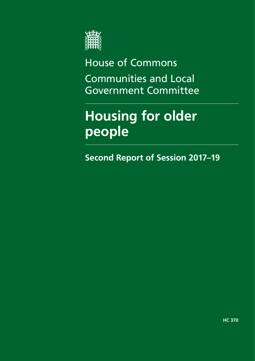

House of Commons Communities and Local Government Committee

# **Housing for older people**

**Second Report of Session 2017–19**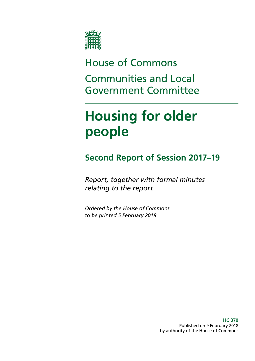

# House of Commons Communities and Local Government Committee

# **Housing for older people**

## **Second Report of Session 2017–19**

*Report, together with formal minutes relating to the report*

*Ordered by the House of Commons to be printed 5 February 2018*

> **HC 370** Published on 9 February 2018 by authority of the House of Commons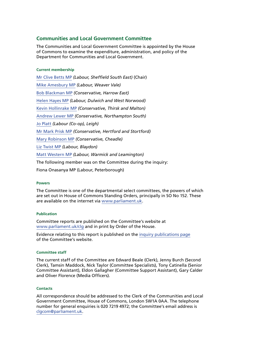### **Communities and Local Government Committee**

The Communities and Local Government Committee is appointed by the House of Commons to examine the expenditure, administration, and policy of the Department for Communities and Local Government.

#### **Current membership**

[Mr Clive Betts](https://www.parliament.uk/biographies/commons/mr-clive-betts/394) MP *(Labour, Sheffield South East)* (Chair) [Mike Amesbury MP](https://www.parliament.uk/biographies/commons/mike-amesbury/4667) *(Labour, Weaver Vale)* [Bob Blackman](https://www.parliament.uk/biographies/commons/bob-blackman/4005) MP *(Conservative, Harrow East)* [Helen Hayes](https://www.parliament.uk/biographies/commons/helen-hayes/4510) MP *(Labour, Dulwich and West Norwood)* [Kevin Hollinrake](https://www.parliament.uk/biographies/commons/kevin-hollinrake/4474) MP *(Conservative, Thirsk and Malton)* [Andrew Lewer MP](https://www.parliament.uk/biographies/commons/andrew-lewer/4659) *(Conservative, Northampton South)* [Jo Platt](https://www.parliament.uk/biographies/commons/jo-platt/4673) *(Labour (Co-op), Leigh)* [Mr Mark Prisk](https://www.parliament.uk/biographies/commons/mr-mark-prisk/1424) MP *(Conservative, Hertford and Stortford)* [Mary Robinson](https://www.parliament.uk/biographies/commons/mary-robinson/4406) MP *(Conservative, Cheadle)* [Liz Twist MP](https://www.parliament.uk/biographies/commons/liz-twist/4618) *(Labour, Blaydon)* [Matt Western MP](https://www.parliament.uk/biographies/commons/matt-western/4617) *(Labour, Warmick and Leamington)* The following member was on the Committee during the inquiry: Fiona Onasanya MP (Labour, Peterborough)

#### **Powers**

The Committee is one of the departmental select committees, the powers of which are set out in House of Commons Standing Orders, principally in SO No 152. These are available on the internet via [www.parliament.uk.](http://www.parliament.uk)

#### **Publication**

Committee reports are published on the Committee's website at [www.parliament.uk/clg](http://www.parliament.uk/clg) and in print by Order of the House.

Evidence relating to this report is published on the [inquiry publications page](https://www.parliament.uk/business/committees/committees-a-z/commons-select/communities-and-local-government-committee/inquiries/parliament-2017/housing-for-older-people-17-19/publications/) of the Committee's website.

#### **Committee staff**

The current staff of the Committee are Edward Beale (Clerk), Jenny Burch (Second Clerk), Tamsin Maddock, Nick Taylor (Committee Specialists), Tony Catinella (Senior Committee Assistant), Eldon Gallagher (Committee Support Assistant), Gary Calder and Oliver Florence (Media Officers).

#### **Contacts**

All correspondence should be addressed to the Clerk of the Communities and Local Government Committee, House of Commons, London SW1A 0AA. The telephone number for general enquiries is 020 7219 4972; the Committee's email address is [clgcom@parliament.uk.](mailto:clgcom%40parliament.uk?subject=)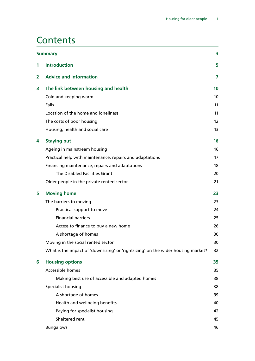## **Contents**

| <b>Summary</b> |                                                                                  | 3  |
|----------------|----------------------------------------------------------------------------------|----|
| 1              | <b>Introduction</b>                                                              | 5  |
| $\overline{2}$ | <b>Advice and information</b>                                                    | 7  |
| 3              | The link between housing and health                                              | 10 |
|                | Cold and keeping warm                                                            | 10 |
|                | Falls                                                                            | 11 |
|                | Location of the home and loneliness                                              | 11 |
|                | The costs of poor housing                                                        | 12 |
|                | Housing, health and social care                                                  | 13 |
| 4              | <b>Staying put</b>                                                               | 16 |
|                | Ageing in mainstream housing                                                     | 16 |
|                | Practical help with maintenance, repairs and adaptations                         | 17 |
|                | Financing maintenance, repairs and adaptations                                   | 18 |
|                | The Disabled Facilities Grant                                                    | 20 |
|                | Older people in the private rented sector                                        | 21 |
| 5              | <b>Moving home</b>                                                               | 23 |
|                | The barriers to moving                                                           | 23 |
|                | Practical support to move                                                        | 24 |
|                | <b>Financial barriers</b>                                                        | 25 |
|                | Access to finance to buy a new home                                              | 26 |
|                | A shortage of homes                                                              | 30 |
|                | Moving in the social rented sector                                               | 30 |
|                | What is the impact of 'downsizing' or 'rightsizing' on the wider housing market? | 32 |
| 6              | <b>Housing options</b>                                                           | 35 |
|                | Accessible homes                                                                 | 35 |
|                | Making best use of accessible and adapted homes                                  | 38 |
|                | Specialist housing                                                               | 38 |
|                | A shortage of homes                                                              | 39 |
|                | Health and wellbeing benefits                                                    | 40 |
|                | Paying for specialist housing                                                    | 42 |
|                | Sheltered rent                                                                   | 45 |
|                | <b>Bungalows</b>                                                                 | 46 |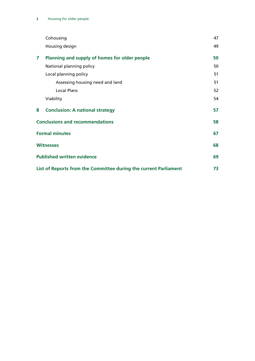|                                                                  | Cohousing                                     | 47 |
|------------------------------------------------------------------|-----------------------------------------------|----|
|                                                                  | Housing design                                | 49 |
| 7                                                                | Planning and supply of homes for older people | 50 |
|                                                                  | National planning policy                      | 50 |
|                                                                  | Local planning policy                         | 51 |
|                                                                  | Assessing housing need and land               | 51 |
|                                                                  | <b>Local Plans</b>                            | 52 |
|                                                                  | Viability                                     | 54 |
| 8                                                                | <b>Conclusion: A national strategy</b>        | 57 |
| <b>Conclusions and recommendations</b>                           |                                               | 58 |
| <b>Formal minutes</b>                                            |                                               | 67 |
| <b>Witnesses</b>                                                 |                                               | 68 |
| <b>Published written evidence</b>                                |                                               | 69 |
| List of Reports from the Committee during the current Parliament |                                               | 73 |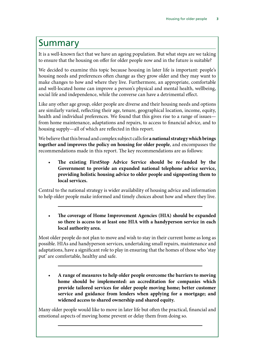### <span id="page-6-0"></span>Summary

It is a well-known fact that we have an ageing population. But what steps are we taking to ensure that the housing on offer for older people now and in the future is suitable?

We decided to examine this topic because housing in later life is important: people's housing needs and preferences often change as they grow older and they may want to make changes to how and where they live. Furthermore, an appropriate, comfortable and well-located home can improve a person's physical and mental health, wellbeing, social life and independence, while the converse can have a detrimental effect.

Like any other age group, older people are diverse and their housing needs and options are similarly varied, reflecting their age, tenure, geographical location, income, equity, health and individual preferences. We found that this gives rise to a range of issues from home maintenance, adaptations and repairs, to access to financial advice, and to housing supply—all of which are reflected in this report.

We believe that this broad and complex subject calls for **a national strategy which brings together and improves the policy on housing for older people**, and encompasses the recommendations made in this report. The key recommendations are as follows:

• **The existing FirstStop Advice Service should be re-funded by the Government to provide an expanded national telephone advice service, providing holistic housing advice to older people and signposting them to local services.**

Central to the national strategy is wider availability of housing advice and information to help older people make informed and timely choices about how and where they live.

• **The coverage of Home Improvement Agencies (HIA) should be expanded so there is access to at least one HIA with a handyperson service in each local authority area.**

Most older people do not plan to move and wish to stay in their current home as long as possible. HIAs and handyperson services, undertaking small repairs, maintenance and adaptations, have a significant role to play in ensuring that the homes of those who 'stay put' are comfortable, healthy and safe.

• **A range of measures to help older people overcome the barriers to moving home should be implemented: an accreditation for companies which provide tailored services for older people moving home; better customer service and guidance from lenders when applying for a mortgage; and widened access to shared ownership and shared equity.**

Many older people would like to move in later life but often the practical, financial and emotional aspects of moving home prevent or delay them from doing so.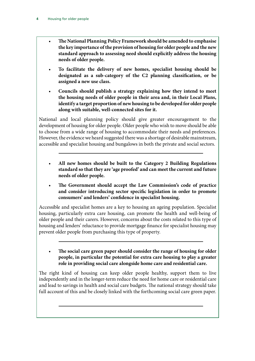- **The National Planning Policy Framework should be amended to emphasise the key importance of the provision of housing for older people and the new standard approach to assessing need should explicitly address the housing needs of older people.**
- **To facilitate the delivery of new homes, specialist housing should be designated as a sub-category of the C2 planning classification, or be assigned a new use class.**
- **Councils should publish a strategy explaining how they intend to meet the housing needs of older people in their area and, in their Local Plans, identify a target proportion of new housing to be developed for older people along with suitable, well-connected sites for it.**

National and local planning policy should give greater encouragement to the development of housing for older people. Older people who wish to move should be able to choose from a wide range of housing to accommodate their needs and preferences. However, the evidence we heard suggested there was a shortage of desirable mainstream, accessible and specialist housing and bungalows in both the private and social sectors.

- **All new homes should be built to the Category 2 Building Regulations standard so that they are 'age proofed' and can meet the current and future needs of older people.**
- **The Government should accept the Law Commission's code of practice and consider introducing sector specific legislation in order to promote consumers' and lenders' confidence in specialist housing.**

Accessible and specialist homes are a key to housing an ageing population. Specialist housing, particularly extra care housing, can promote the health and well-being of older people and their carers. However, concerns about the costs related to this type of housing and lenders' reluctance to provide mortgage finance for specialist housing may prevent older people from purchasing this type of property.

• **The social care green paper should consider the range of housing for older people, in particular the potential for extra care housing to play a greater role in providing social care alongside home care and residential care.**

The right kind of housing can keep older people healthy, support them to live independently and in the longer-term reduce the need for home care or residential care and lead to savings in health and social care budgets. The national strategy should take full account of this and be closely linked with the forthcoming social care green paper.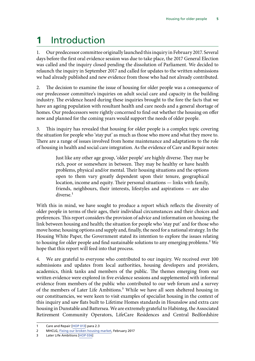# <span id="page-8-0"></span>**1** Introduction

1. Our predecessor committee originally launched this inquiry in February 2017. Several days before the first oral evidence session was due to take place, the 2017 General Election was called and the inquiry closed pending the dissolution of Parliament. We decided to relaunch the inquiry in September 2017 and called for updates to the written submissions we had already published and new evidence from those who had not already contributed.

2. The decision to examine the issue of housing for older people was a consequence of our predecessor committee's inquiries on adult social care and capacity in the building industry. The evidence heard during these inquiries brought to the fore the facts that we have an ageing population with resultant health and care needs and a general shortage of homes. Our predecessors were rightly concerned to find out whether the housing on offer now and planned for the coming years would support the needs of older people.

3. This inquiry has revealed that housing for older people is a complex topic covering the situation for people who 'stay put' as much as those who move and what they move to. There are a range of issues involved from home maintenance and adaptations to the role of housing in health and social care integration. As the evidence of Care and Repair notes:

> Just like any other age group, 'older people' are highly diverse. They may be rich, poor or somewhere in between. They may be healthy or have health problems, physical and/or mental. Their housing situations and the options open to them vary greatly dependent upon their tenure, geographical location, income and equity. Their personal situations — links with family, friends, neighbours, their interests, lifestyles and aspirations — are also diverse.<sup>1</sup>

With this in mind, we have sought to produce a report which reflects the diversity of older people in terms of their ages, their individual circumstances and their choices and preferences. This report considers the provision of advice and information on housing; the link between housing and health; the situation for people who 'stay put' and for those who move home; housing options and supply and, finally, the need for a national strategy. In the Housing White Paper, the Government stated its intention to explore the issues relating to housing for older people and find sustainable solutions to any emerging problems.<sup>2</sup> We hope that this report will feed into that process.

4. We are grateful to everyone who contributed to our inquiry. We received over 100 submissions and updates from local authorities, housing developers and providers, academics, think tanks and members of the public. The themes emerging from our written evidence were explored in five evidence sessions and supplemented with informal evidence from members of the public who contributed to our web forum and a survey of the members of Later Life Ambitions.<sup>3</sup> While we have all seen sheltered housing in our constituencies, we were keen to visit examples of specialist housing in the context of this inquiry and saw flats built to Lifetime Homes standards in Hounslow and extra care housing in Dunstable and Battersea. We are extremely grateful to Habinteg, the Associated Retirement Community Operators, LifeCare Residences and Central Bedfordshire

<sup>1</sup> Care and Repair [\[HOP 013](http://data.parliament.uk/writtenevidence/committeeevidence.svc/evidencedocument/communities-and-local-government-committee/housing-for-older-people/written/49171.pdf)] para 2.3

<sup>2</sup> MHCLG, [Fixing our broken housing market](https://www.gov.uk/government/uploads/system/uploads/attachment_data/file/590464/Fixing_our_broken_housing_market_-_print_ready_version.pdf), February 2017

<sup>3</sup> Later Life Ambitions [[HOP 036\]](http://data.parliament.uk/writtenevidence/committeeevidence.svc/evidencedocument/communities-and-local-government-committee/housing-for-older-people/written/77050.pdf)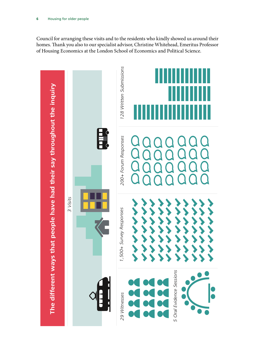Council for arranging these visits and to the residents who kindly showed us around their homes. Thank you also to our specialist advisor, Christine Whitehead, Emeritus Professor of Housing Economics at the London School of Economics and Political Science.

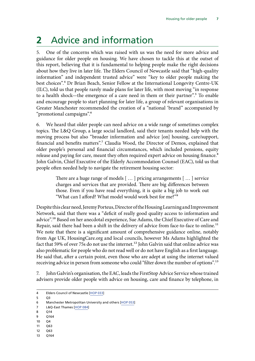# <span id="page-10-0"></span>**2** Advice and information

5. One of the concerns which was raised with us was the need for more advice and guidance for older people on housing. We have chosen to tackle this at the outset of this report, believing that it is fundamental to helping people make the right decisions about how they live in later life. The Elders Council of Newcastle said that "high-quality information" and independent trusted advice" were "key to older people making the best choices".4 Dr Brian Beach, Senior Fellow at the International Longevity Centre-UK (ILC), told us that people rarely made plans for later life, with most moving "in response to a health shock—the emergence of a care need in them or their partner".<sup>5</sup> To enable and encourage people to start planning for later life, a group of relevant organisations in Greater Manchester recommended the creation of a "national 'brand" accompanied by "promotional campaigns".6

6. We heard that older people can need advice on a wide range of sometimes complex topics. The L&Q Group, a large social landlord, said their tenants needed help with the moving process but also "broader information and advice [on] housing, care/support, financial and benefits matters".<sup>7</sup> Claudia Wood, the Director of Demos, explained that older people's personal and financial circumstances, which included pensions, equity release and paying for care, meant they often required expert advice on housing finance.<sup>8</sup> John Galvin, Chief Executive of the Elderly Accommodation Counsel (EAC), told us that people often needed help to navigate the retirement housing sector:

> There are a huge range of models [ … ] pricing arrangements [ … ] service charges and services that are provided. There are big differences between those. Even if you have read everything, it is quite a big job to work out "What can I afford? What model would work best for me?"9

Despite this clear need, Jeremy Porteus, Director of the Housing Learning and Improvement Network, said that there was a "deficit of really good quality access to information and advice".10 Based on her anecdotal experience, Sue Adams, the Chief Executive of Care and Repair, said there had been a shift in the delivery of advice from face-to-face to online.<sup>11</sup> We note that there is a significant amount of comprehensive guidance online, notably from Age UK, HousingCare.org and local councils, however Ms Adams highlighted the fact that 59% of over 75s do not use the internet.<sup>12</sup> John Galvin said that online advice was also problematic for people who do not read well or do not have English as a first language. He said that, after a certain point, even those who are adept at using the internet valued receiving advice in person from someone who could "filter down the number of options".<sup>13</sup>

7. John Galvin's organisation, the EAC, leads the FirstStop Advice Service whose trained advisers provide older people with advice on housing, care and finance by telephone, in

- 11 Q63
- 12 Q63
- 13 Q164

<sup>4</sup> Elders Council of Newcastle [\[HOP 033\]](http://data.parliament.uk/writtenevidence/committeeevidence.svc/evidencedocument/communities-and-local-government-committee/housing-for-older-people/written/49272.pdf)

<sup>5</sup> Q3

<sup>6</sup> Manchester Metropolitan University and others [[HOP 053](http://data.parliament.uk/writtenevidence/committeeevidence.svc/evidencedocument/communities-and-local-government-committee/housing-for-older-people/written/49318.pdf)]

<sup>7</sup> L&Q-East Thames [[HOP 084\]](http://data.parliament.uk/writtenevidence/committeeevidence.svc/evidencedocument/communities-and-local-government-committee/housing-for-older-people/written/49467.pdf)

<sup>8</sup> Q14

<sup>9</sup> Q164 10 Q4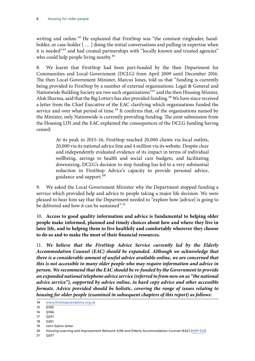writing and online.<sup>14</sup> He explained that FirstStop was "the constant ringleader, handholder, or case-holder [...] doing the initial conversations and pulling in expertise when it is needed"<sup>15</sup> and had created partnerships with "locally known and trusted agencies" who could help people living nearby.<sup>16</sup>

8. We learnt that FirstStop had been part-funded by the then Department for Communities and Local Government (DCLG) from April 2009 until December 2016. The then Local Government Minister, Marcus Jones, told us that "funding is currently being provided to FirstStop by a number of external organisations: Legal & General and Nationwide Building Society are two such organisations"17 and the then Housing Minster, Alok Sharma, said that the Big Lottery has also provided funding.<sup>18</sup> We have since received a letter from the Chief Executive of the EAC clarifying which organisations funded the service and over what period of time.<sup>19</sup> It confirms that, of the organisations named by the Minister, only Nationwide is currently providing funding. The joint submission from the Housing LIN and the EAC explained the consequences of the DCLG funding having ceased:

> At its peak in 2015–16, FirstStop reached 20,000 clients via local outlets, 20,000 via its national advice line and 4 million via its website. Despite clear and independently evaluated evidence of its impact in terms of individual wellbeing, savings to health and social care budgets, and facilitating downsizing, DCLG's decision to stop funding has led to a very substantial reduction in FirstStop Advice's capacity to provide personal advice, guidance and support.<sup>20</sup>

9. We asked the Local Government Minister why the Department stopped funding a service which provided help and advice to people taking a major life decision. We were pleased to hear him say that the Department needed to "explore how [advice] is going to be delivered and how it can be sustained".<sup>21</sup>

10. **Access to good quality information and advice is fundamental to helping older people make informed, planned and timely choices about how and where they live in later life, and to helping them to live healthily and comfortably wherever they choose to do so and to make the most of their financial resources.**

<span id="page-11-0"></span>11. *We believe that the FirstStop Advice Service currently led by the Elderly Accommodation Counsel (EAC) should be expanded. Although we acknowledge that there is a considerable amount of useful advice available online, we are concerned that this is not accessible to many older people who may require information and advice in person. We recommend that the EAC should be re-funded by the Government to provide an expanded national telephone advice service (referred to from now on as "the national advice service"), supported by advice online, in hard copy advice and other accessible formats. Advice provided should be holistic, covering the range of issues relating to housing for older people (examined in subsequent chapters of this report) as follows:*

19 John Galvin letter

<sup>14</sup> [www.firststopcareadvice.org.uk](http://www.firststopcareadvice.org.uk)

 $15 \overline{O165}$ 

<sup>16</sup> Q166

<sup>17</sup> Q257

<sup>18</sup> Q261

<sup>20</sup> Housing Learning and Improvement Network (LIN) and Elderly Accommodation Counsel (EAC) [\[HOP 012](http://data.parliament.uk/writtenevidence/committeeevidence.svc/evidencedocument/communities-and-local-government-committee/housing-for-older-people/written/49166.pdf)]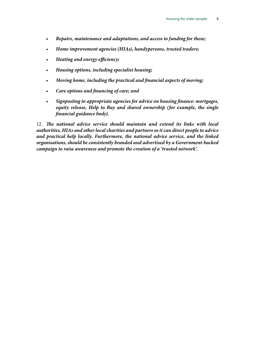- *Repairs, maintenance and adaptations, and access to funding for these;*
- *Home improvement agencies (HIAs), handypersons, trusted traders;*
- *Heating and energy efficiency;*
- *Housing options, including specialist housing;*
- *Moving home, including the practical and financial aspects of moving;*
- *Care options and financing of care; and*
- *Signposting to appropriate agencies for advice on housing finance: mortgages, equity release, Help to Buy and shared ownership (for example, the single financial guidance body).*

12. *The national advice service should maintain and extend its links with local authorities, HIAs and other local charities and partners so it can direct people to advice and practical help locally. Furthermore, the national advice service, and the linked organisations, should be consistently branded and advertised by a Government-backed campaign to raise awareness and promote the creation of a 'trusted network'.*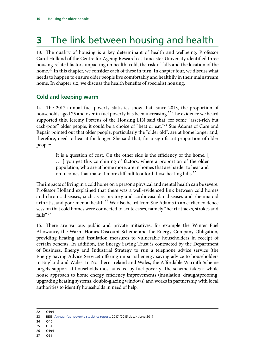# <span id="page-13-0"></span>**3** The link between housing and health

13. The quality of housing is a key determinant of health and wellbeing. Professor Carol Holland of the Centre for Ageing Research at Lancaster University identified three housing-related factors impacting on health: cold, the risk of falls and the location of the home.<sup>22</sup> In this chapter, we consider each of these in turn. In chapter four, we discuss what needs to happen to ensure older people live comfortably and healthily in their mainstream home. In chapter six, we discuss the health benefits of specialist housing.

### **Cold and keeping warm**

14. The 2017 annual fuel poverty statistics show that, since 2013, the proportion of households aged 75 and over in fuel poverty has been increasing.<sup>23</sup> The evidence we heard supported this. Jeremy Porteus of the Housing LIN said that, for some "asset-rich but cash-poor" older people, it could be a choice of "heat or eat."<sup>24</sup> Sue Adams of Care and Repair pointed out that older people, particularly the "older old", are at home longer and, therefore, need to heat it for longer. She said that, for a significant proportion of older people:

> It is a question of cost. On the other side is the efficiency of the home. [ … ] you get this combining of factors, where a proportion of the older population, who are at home more, are in homes that are harder to heat and on incomes that make it more difficult to afford those heating bills.<sup>25</sup>

The impacts of living in a cold home on a person's physical and mental health can be severe. Professor Holland explained that there was a well-evidenced link between cold homes and chronic diseases, such as respiratory and cardiovascular diseases and rheumatoid arthritis, and poor mental health.<sup>26</sup> We also heard from Sue Adams in an earlier evidence session that cold homes were connected to acute cases, namely "heart attacks, strokes and falls".27

15. There are various public and private initiatives, for example the Winter Fuel Allowance, the Warm Homes Discount Scheme and the Energy Company Obligation, providing heating and insulation measures to vulnerable householders in receipt of certain benefits. In addition, the Energy Saving Trust is contracted by the Department of Business, Energy and Industrial Strategy to run a telephone advice service (the Energy Saving Advice Service) offering impartial energy saving advice to householders in England and Wales. In Northern Ireland and Wales, the Affordable Warmth Scheme targets support at households most affected by fuel poverty. The scheme takes a whole house approach to home energy efficiency improvements (insulation, draughtproofing, upgrading heating systems, double-glazing windows) and works in partnership with local authorities to identify households in need of help.

- 24 040
- 25 Q61
- 26 Q194
- 27 Q61

<sup>22</sup> Q194

<sup>23</sup> BEIS, [Annual fuel poverty statistics report,](https://www.gov.uk/government/uploads/system/uploads/attachment_data/file/639118/Fuel_Poverty_Statistics_Report_2017_revised_August.pdf) 2017 (2015 data), June 2017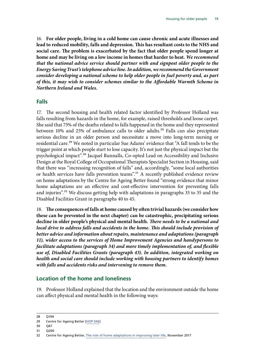<span id="page-14-0"></span>16. **For older people, living in a cold home can cause chronic and acute illnesses and lead to reduced mobility, falls and depression. This has resultant costs to the NHS and social care. The problem is exacerbated by the fact that older people spend longer at home and may be living on a low income in homes that harder to heat.** *We recommend that the national advice service should partner with and signpost older people to the Energy Saving Trust's telephone advice line. In addition, we recommend the Government consider developing a national scheme to help older people in fuel poverty and, as part of this, it may wish to consider schemes similar to the Affordable Warmth Scheme in Northern Ireland and Wales.*

#### **Falls**

17. The second housing and health related factor identified by Professor Holland was falls resulting from hazards in the home, for example, raised thresholds and loose carpet. She said that 75% of the deaths related to falls happened in the home and they represented between 10% and 25% of ambulance calls to older adults.<sup>28</sup> Falls can also precipitate serious decline in an older person and necessitate a move into long-term nursing or residential care.<sup>29</sup> We noted in particular Sue Adams' evidence that "A fall tends to be the trigger point at which people start to lose capacity. It's not just the physical impact but the psychological impact".30 Jacquel Runnalls, Co-opted Lead on Accessibility and Inclusive Design at the Royal College of Occupational Therapists Specialist Section in Housing, said that there was "increasing recognition of falls" and, accordingly, "some local authorities or health services have falls prevention teams".<sup>31</sup> A recently published evidence review on home adaptations by the Centre for Ageing Better found "strong evidence that minor home adaptations are an effective and cost-effective intervention for preventing falls and injuries".<sup>32</sup> We discuss getting help with adaptations in paragraphs [33](#page-20-1) to [35](#page-21-1) and the Disabled Facilities Grant in paragraphs [40](#page-23-1) to [45.](#page-24-1)

18. **The consequences of falls at home caused by often trivial hazards (we consider how these can be prevented in the next chapter) can be catastrophic, precipitating serious decline in older people's physical and mental health.** *There needs to be a national and local drive to address falls and accidents in the home. This should include provision of better advice and information about repairs, maintenance and adaptations (paragraph [11](#page-11-0)), wider access to the services of Home Improvement Agencies and handypersons to facilitate adaptations (paragraph [34](#page-20-2)) and more timely implementation of, and flexible use of, Disabled Facilities Grants (paragraph [43](#page-24-2)). In addition, integrated working on health and social care should include working with housing partners to identify homes with falls and accidents risks and intervening to remove them.*

#### **Location of the home and loneliness**

19. Professor Holland explained that the location and the environment outside the home can affect physical and mental health in the following ways:

<sup>28</sup> Q194

<sup>29</sup> Centre for Ageing Better [\[HOP 046](http://data.parliament.uk/writtenevidence/committeeevidence.svc/evidencedocument/communities-and-local-government-committee/housing-for-older-people/written/49298.pdf)]

<sup>30</sup> Q67

<sup>31</sup> Q200

<sup>32</sup> Centre for Ageing Better, [The role of home adaptations in improving later life,](https://www.ageing-better.org.uk/sites/default/files/2017-12/The%20role%20of%20home%20adaptations%20in%20improving%20later%20life.pdf) November 2017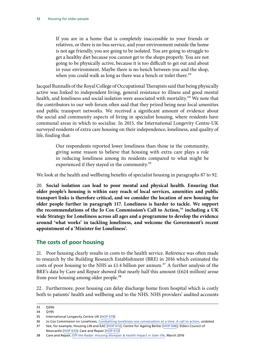<span id="page-15-0"></span>If you are in a home that is completely inaccessible to your friends or relatives, or there is no bus service, and your environment outside the home is not age friendly, you are going to be isolated. You are going to struggle to get a healthy diet because you cannot get to the shops properly. You are not going to be physically active, because it is too difficult to get out and about in your environment. Maybe there is no bench between you and the shop, when you could walk as long as there was a bench or toilet there.<sup>33</sup>

Jacquel Runnalls of the Royal College of Occupational Therapists said that being physically active was linked to independent living, general resistance to illness and good mental health, and loneliness and social isolation were associated with mortality.<sup>34</sup> We note that the contributors to our web forum often said that they prized being near local amenities and public transport networks. We received a significant amount of evidence about the social and community aspects of living in specialist housing, where residents have communal areas in which to socialise. In 2015, the International Longevity Centre-UK surveyed residents of extra care housing on their independence, loneliness, and quality of life, finding that:

> Our respondents reported lower loneliness than those in the community, giving some reason to believe that housing with extra care plays a role in reducing loneliness among its residents compared to what might be experienced if they stayed in the community.<sup>35</sup>

We look at the health and wellbeing benefits of specialist housing in paragraphs 87 to 92.

20. **Social isolation can lead to poor mental and physical health. Ensuring that older people's housing is within easy reach of local services, amenities and public transport links is therefore critical, and we consider the location of new housing for older people further in paragraph 117. Loneliness is harder to tackle. We support the recommendations of the Jo Cox Commission's Call to Action,**36 **including a UK wide Strategy for Loneliness across all ages and a programme to develop the evidence around 'what works' in tackling loneliness, and welcome the Government's recent appointment of a 'Minister for Loneliness'.**

### **The costs of poor housing**

21. Poor housing clearly results in costs to the health service. Reference was often made to research by the Building Research Establishment (BRE) in 2016 which estimated the costs of poor housing to the NHS as £1.4 billion per annum.<sup>37</sup> A further analysis of the BRE's data by Care and Repair showed that nearly half this amount (£624 million) arose from poor housing among older people.<sup>38</sup>

22. Furthermore, poor housing can delay discharge home from hospital which is costly both to patients' health and wellbeing and to the NHS. NHS providers' audited accounts

Newcastle [[HOP 033](http://data.parliament.uk/writtenevidence/committeeevidence.svc/evidencedocument/communities-and-local-government-committee/housing-for-older-people/written/49272.pdf)]; Care and Repair [\[HOP 013](http://data.parliament.uk/writtenevidence/committeeevidence.svc/evidencedocument/communities-and-local-government-committee/housing-for-older-people/written/49171.pdf)]

<sup>33</sup> Q206

<sup>34</sup> Q195

<sup>35</sup> International Longevity Centre-UK [\[HOP 079\]](http://data.parliament.uk/writtenevidence/committeeevidence.svc/evidencedocument/communities-and-local-government-committee/housing-for-older-people/written/49390.pdf)

<sup>36</sup> Jo Cox Commission on Loneliness, [Combatting loneliness one conversation at a time: A call to action](https://www.jocoxloneliness.org/pdf/a_call_to_action.pdf), undated 37 See, for example, Housing LIN and EAC [\[HOP 012](http://data.parliament.uk/writtenevidence/committeeevidence.svc/evidencedocument/communities-and-local-government-committee/housing-for-older-people/written/49166.pdf)]; Centre for Ageing Better [[HOP 046\]](http://data.parliament.uk/writtenevidence/committeeevidence.svc/evidencedocument/communities-and-local-government-committee/housing-for-older-people/written/49298.pdf); Elders Council of

<sup>38</sup> Care and Repair, [Off the Radar: Housing disrepair & health impact in later life](http://careandrepair-england.org.uk/wp-content/uploads/2014/12/Off-the-Radar-2016-Final.pdf), March 2016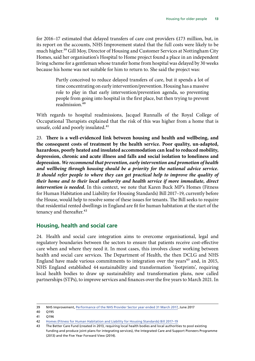<span id="page-16-0"></span>for 2016–17 estimated that delayed transfers of care cost providers £173 million, but, in its report on the accounts, NHS Improvement stated that the full costs were likely to be much higher.<sup>39</sup> Gill Moy, Director of Housing and Customer Services at Nottingham City Homes, said her organisation's Hospital to Home project found a place in an independent living scheme for a gentleman whose transfer home from hospital was delayed by 30 weeks because his home was not suitable for him to return to. She said the project was:

> Partly conceived to reduce delayed transfers of care, but it spends a lot of time concentrating on early intervention/prevention. Housing has a massive role to play in that early intervention/prevention agenda, so preventing people from going into hospital in the first place, but then trying to prevent readmission.40

With regards to hospital readmissions, Jacquel Runnalls of the Royal College of Occupational Therapists explained that the risk of this was higher from a home that is unsafe, cold and poorly insulated.<sup>41</sup>

23. **There is a well-evidenced link between housing and health and wellbeing, and the consequent costs of treatment by the health service. Poor quality, un-adapted, hazardous, poorly heated and insulated accommodation can lead to reduced mobility, depression, chronic and acute illness and falls and social isolation to loneliness and depression.** *We recommend that prevention, early intervention and promotion of health and wellbeing through housing should be a priority for the national advice service. It should refer people to where they can get practical help to improve the quality of their home and to their local authority and health service if more immediate, direct intervention is needed.* In this context, we note that Karen Buck MP's Homes (Fitness for Human Habitation and Liability for Housing Standards) Bill 2017–19, currently before the House, would help to resolve some of these issues for tenants. The Bill seeks to require that residential rented dwellings in England are fit for human habitation at the start of the tenancy and thereafter.<sup>42</sup>

### **Housing, health and social care**

24. Health and social care integration aims to overcome organisational, legal and regulatory boundaries between the sectors to ensure that patients receive cost-effective care when and where they need it. In most cases, this involves closer working between health and social care services. The Department of Health, the then DCLG and NHS England have made various commitments to integration over the years<sup>43</sup> and, in 2015, NHS England established 44 sustainability and transformation 'footprints', requiring local health bodies to draw up sustainability and transformation plans, now called partnerships (STPs), to improve services and finances over the five years to March 2021. In

<sup>39</sup> NHS Improvement, [Performance of the NHS Provider Sector year ended 31 March 2017](https://improvement.nhs.uk/uploads/documents/M12_201617_provider_sector_performance_report_-_Fin_Accts_-_FINAL.pdf), June 2017

<sup>40</sup> Q195

<sup>41</sup> Q196

<sup>42</sup> [Homes \(Fitness for Human Habitation and Liability for Housing Standards\) Bill 2017–19](https://services.parliament.uk/bills/2017-19/homesfitnessforhumanhabitationandliabilityforhousingstandards.html)

<sup>43</sup> The Better Care Fund (created in 2013, requiring local health bodies and local authorities to pool existing funding and produce joint plans for integrating services), the Integrated Care and Support Pioneers Programme (2013) and the Five Year Forward View (2014).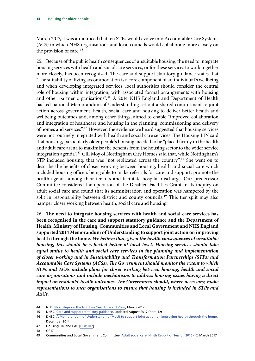March 2017, it was announced that ten STPs would evolve into Accountable Care Systems (ACS) in which NHS organisations and local councils would collaborate more closely on the provision of care.<sup>44</sup>

25. Because of the public health consequences of unsuitable housing, the need to integrate housing services with health and social care services, or for these services to work together more closely, has been recognised. The care and support statutory guidance states that "The suitability of living accommodation is a core component of an individual's wellbeing and when developing integrated services, local authorities should consider the central role of housing within integration, with associated formal arrangements with housing and other partner organisations".<sup>45</sup> A 2014 NHS England and Department of Health backed national Memorandum of Understanding set out a shared commitment to joint action across government, health, social care and housing to deliver better health and wellbeing outcomes and, among other things, aimed to enable "improved collaboration and integration of healthcare and housing in the planning, commissioning and delivery of homes and services".46 However, the evidence we heard suggested that housing services were not routinely integrated with health and social care services. The Housing LIN said that housing, particularly older people's housing, needed to be "placed firmly in the health and adult care arena to maximise the benefits from the housing sector to the wider service integration agenda".47 Gill Moy of Nottingham City Homes said that, while Nottingham's STP included housing, that was "not replicated across the country".<sup>48</sup> She went on to describe the benefits of closer working between housing, health and social care which included housing officers being able to make referrals for care and support, promote the health agenda among their tenants and facilitate hospital discharge. Our predecessor Committee considered the operation of the Disabled Facilities Grant in its inquiry on adult social care and found that its administration and operation was hampered by the split in responsibility between district and county councils.<sup>49</sup> This tier split may also hamper closer working between health, social care and housing.

26. **The need to integrate housing services with health and social care services has been recognised in the care and support statutory guidance and the Department of Health, Ministry of Housing, Communities and Local Government and NHS England supported 2014 Memorandum of Understanding to support joint action on improving health through the home.** *We believe that, given the health consequences of unsuitable housing, this should be reflected better at local level. Housing services should take equal status to health and social care services in the planning and implementation of closer working and in Sustainability and Transformation Partnerships (STPs) and Accountable Care Systems (ACSs). The Government should monitor the extent to which STPs and ACSs include plans for closer working between housing, health and social care organisations and include mechanisms to address housing issues having a direct impact on residents' health outcomes. The Government should, where necessary, make representations to such organisations to ensure that housing is included in STPs and ASCs.*

<sup>44</sup> NHS, [Next steps on the NHS Five Year Forward View,](https://www.england.nhs.uk/five-year-forward-view/next-steps-on-the-nhs-five-year-forward-view/) March 2017

<sup>45</sup> DHSC, [Care and support statutory guidance,](https://www.gov.uk/government/publications/care-act-statutory-guidance/care-and-support-statutory-guidance#integration-and-partnership-working) updated August 2017 (para 4.91)

**<sup>46</sup>** DHSC, [A Memorandum of Understanding \(MoU\) to support joint action on improving health through the home](https://www.housinglin.org.uk/_assets/Resources/Housing/Support_materials/Other_reports_and_guidance/A_Memorandum_of_Understanding_MoU_to_support_joint_action_on_improving_health_through_the_home.pdf), December 2014

<sup>47</sup> Housing LIN and EAC [\[HOP 012](http://data.parliament.uk/writtenevidence/committeeevidence.svc/evidencedocument/communities-and-local-government-committee/housing-for-older-people/written/49166.pdf)]

<sup>48</sup> Q217

<sup>49</sup> Communities and Local Government Committee, [Adult social care: Ninth Report of Session 2016–17](https://publications.parliament.uk/pa/cm201617/cmselect/cmcomloc/1103/1103.pdf), March 2017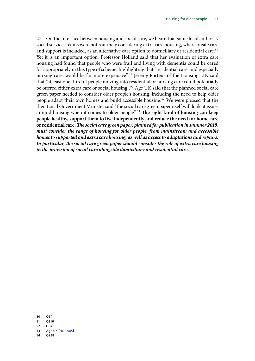27. On the interface between housing and social care, we heard that some local authority social services teams were not routinely considering extra care housing, where onsite care and support is included, as an alternative care option to domiciliary or residential care.<sup>50</sup> Yet it is an important option. Professor Holland said that her evaluation of extra care housing had found that people who were frail and living with dementia could be cared for appropriately in this type of scheme, highlighting that "residential care, and especially nursing care, would be far more expensive".<sup>51</sup> Jeremy Porteus of the Housing LIN said that "at least one third of people moving into residential or nursing care could potentially be offered either extra care or social housing".<sup>52</sup> Age UK said that the planned social care green paper needed to consider older people's housing, including the need to help older people adapt their own homes and build accessible housing.<sup>53</sup> We were pleased that the then Local Government Minister said "the social care green paper itself will look at issues around housing when it comes to older people".54 **The right kind of housing can keep people healthy, support them to live independently and reduce the need for home care or residential care.***The social care green paper, planned for publication in summer 2018, must consider the range of housing for older people, from mainstream and accessible homes to supported and extra care housing, as well as access to adaptations and repairs. In particular, the social care green paper should consider the role of extra care housing in the provision of social care alongside domiciliary and residential care.*

- 51 Q216
- 52 Q54
- 53 Age UK [\[HOP 085](http://data.parliament.uk/writtenevidence/committeeevidence.svc/evidencedocument/communities-and-local-government-committee/housing-for-older-people/written/49476.pdf)]
- 54 Q238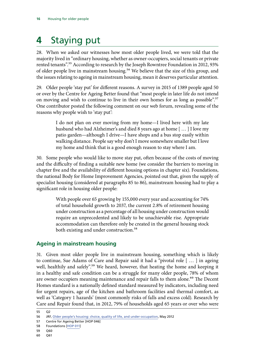# <span id="page-19-0"></span>**4** Staying put

28. When we asked our witnesses how most older people lived, we were told that the majority lived in "ordinary housing, whether as owner-occupiers, social tenants or private rented tenants".<sup>55</sup> According to research by the Joseph Rowntree Foundation in 2012, 93% of older people live in mainstream housing.<sup>56</sup> We believe that the size of this group, and the issues relating to ageing in mainstream housing, mean it deserves particular attention.

29. Older people 'stay put' for different reasons. A survey in 2015 of 1389 people aged 50 or over by the Centre for Ageing Better found that "most people in later life do not intend on moving and wish to continue to live in their own homes for as long as possible".<sup>57</sup> One contributor posted the following comment on our web forum, revealing some of the reasons why people wish to 'stay put':

> I do not plan on ever moving from my home—I lived here with my late husband who had Alzheimer's and died 8 years ago at home [ … ] I love my patio garden—although I drive—I have shops and a bus stop easily within walking distance. People say why don't I move somewhere smaller but I love my home and think that is a good enough reason to stay where I am.

30. Some people who would like to move stay put, often because of the costs of moving and the difficulty of finding a suitable new home (we consider the barriers to moving in chapter five and the availability of different housing options in chapter six). Foundations, the national Body for Home Improvement Agencies, pointed out that, given the supply of specialist housing (considered at paragraphs 85 to 86), mainstream housing had to play a significant role in housing older people:

> With people over 65 growing by 155,000 every year and accounting for 74% of total household growth to 2037, the current 2.8% of retirement housing under construction as a percentage of all housing under construction would require an unprecedented and likely to be unachievable rise. Appropriate accommodation can therefore only be created in the general housing stock both existing and under construction.<sup>58</sup>

### **Ageing in mainstream housing**

31. Given most older people live in mainstream housing, something which is likely to continue, Sue Adams of Care and Repair said it had a "pivotal role [ … ] in ageing well, healthily and safely".<sup>59</sup> We heard, however, that heating the home and keeping it in a healthy and safe condition can be a struggle for many older people, 78% of whom are owner occupiers meaning maintenance and repair falls to them alone.<sup>60</sup> The Decent Homes standard is a nationally defined standard measured by indicators, including need for urgent repairs, age of the kitchen and bathroom facilities and thermal comfort, as well as 'Category 1 hazards' (most commonly risks of falls and excess cold). Research by Care and Repair found that, in 2012, 79% of households aged 65 years or over who were

<sup>55</sup> Q2

<sup>56</sup> JRF, [Older people's housing: choice, quality of life, and under-occupation,]( https://www.jrf.org.uk/report/older-peoples-housing-choice-quality-life-and-under-occupation) May 2012

<sup>57</sup> Centre for Ageing Better [HOP 046]

<sup>58</sup> Foundations [[HOP 011](http://data.parliament.uk/writtenevidence/committeeevidence.svc/evidencedocument/communities-and-local-government-committee/housing-for-older-people/written/49158.pdf)]

<sup>59</sup> Q60

<sup>60</sup> Q61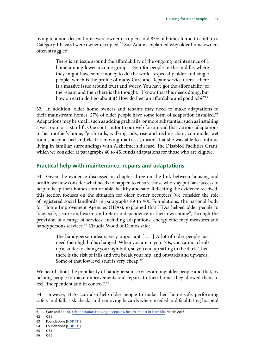<span id="page-20-0"></span>living in a non-decent home were owner occupiers and 85% of homes found to contain a Category 1 hazard were owner occupied.<sup>61</sup> Sue Adams explained why older home owners often struggled:

> There is an issue around the affordability of the ongoing maintenance of a home among lower-income groups. Even for people in the middle, where they might have some money to do the work—especially older and single people, which is the profile of many Care and Repair service users—there is a massive issue around trust and worry. You have got the affordability of the repair, and then there is the thought, "I know that this needs doing, but how on earth do I go about it? How do I get an affordable and good job?"<sup>62</sup>

32. In addition, older home owners and tenants may need to make adaptations to their mainstream homes: 27% of older people have some form of adaptation installed.<sup>63</sup> Adaptations may be small, such as adding grab rails, or more substantial, such as installing a wet room or a stairlift. One contributor to our web forum said that various adaptations to her mother's home, "grab rails, walking aids, rise and recline chair, commode, wet room, hospital bed and electric moving mattress", meant that she was able to continue living in familiar surroundings with Alzheimer's disease. The Disabled Facilities Grant, which we consider at paragraphs [40](#page-23-1) to [45](#page-24-1), funds adaptations for those who are eligible.

#### **Practical help with maintenance, repairs and adaptations**

<span id="page-20-1"></span>33. Given the evidence discussed in chapter three on the link between housing and health, we now consider what needs to happen to ensure those who stay put have access to help to keep their homes comfortable, healthy and safe. Reflecting the evidence received, this section focuses on the situation for older owner occupiers (we consider the role of registered social landlords in paragraphs 89 to 90). Foundations, the national body for Home Improvement Agencies (HIAs), explained that HIAs helped older people to "stay safe, secure and warm and retain independence in their own home", through the provision of a range of services, including adaptations, energy efficiency measures and handypersons services.<sup>64</sup> Claudia Wood of Demos said:

> The handyperson idea is very important [ … ] A lot of older people just need their lightbulbs changed. When you are in your 70s, you cannot climb up a ladder to change your lightbulb, so you end up sitting in the dark. Then there is the risk of falls and you break your hip, and onwards and upwards. Some of that low level stuff is very cheap.<sup>65</sup>

We heard about the popularity of handyperson services among older people and that, by helping people to make improvements and repairs to their home, they allowed them to feel "independent and in control".<sup>66</sup>

<span id="page-20-2"></span>34. However, HIAs can also help older people to make their home safe, performing safety and falls risk checks and removing hazards where needed and facilitating hospital

<sup>61</sup> Care and Repair, [Off the Radar: Housing disrepair & health impact in later life](http://careandrepair-england.org.uk/wp-content/uploads/2014/12/Off-the-Radar-2016-Final.pdf), March 2016

<sup>62</sup> Q61

<sup>63</sup> Foundations [[HOP 011](http://data.parliament.uk/writtenevidence/committeeevidence.svc/evidencedocument/communities-and-local-government-committee/housing-for-older-people/written/49158.pdf)]

<sup>64</sup> Foundations [[HOP 011](http://data.parliament.uk/writtenevidence/committeeevidence.svc/evidencedocument/communities-and-local-government-committee/housing-for-older-people/written/49158.pdf)]

<sup>65</sup> Q34

<sup>66</sup> Q66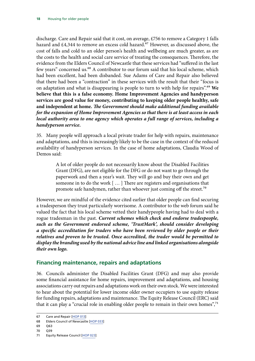<span id="page-21-0"></span>discharge. Care and Repair said that it cost, on average, £756 to remove a Category 1 falls hazard and  $£4,344$  to remove an excess cold hazard.<sup>67</sup> However, as discussed above, the cost of falls and cold to an older person's health and wellbeing are much greater, as are the costs to the health and social care service of treating the consequences. Therefore, the evidence from the Elders Council of Newcastle that these services had "suffered in the last few years" concerned us.<sup>68</sup> A contributor to our forum said that his local scheme, which had been excellent, had been disbanded. Sue Adams of Care and Repair also believed that there had been a "contraction" in these services with the result that their "focus is on adaptation and what is disappearing is people to turn to with help for repairs".69 **We believe that this is a false economy. Home Improvement Agencies and handyperson services are good value for money, contributing to keeping older people healthy, safe and independent at home.** *The Government should make additional funding available for the expansion of Home Improvement Agencies so that there is at least access in each local authority area to one agency which operates a full range of services, including a handyperson service.*

<span id="page-21-1"></span>35. Many people will approach a local private trader for help with repairs, maintenance and adaptations, and this is increasingly likely to be the case in the context of the reduced availability of handyperson services. In the case of home adaptations, Claudia Wood of Demos said:

> A lot of older people do not necessarily know about the Disabled Facilities Grant (DFG), are not eligible for the DFG or do not want to go through the paperwork and then a year's wait. They will go and buy their own and get someone in to do the work [ … ] There are registers and organisations that promote safe handymen, rather than whoever just coming off the street.<sup>70</sup>

However, we are mindful of the evidence cited earlier that older people can find securing a tradesperson they trust particularly worrisome. A contributor to the web forum said he valued the fact that his local scheme vetted their handypeople having had to deal with a rogue tradesman in the past. *Current schemes which check and endorse tradespeople, such as the Government endorsed scheme, 'TrustMark', should consider developing a specific accreditation for traders who have been reviewed by older people or their relatives and proven to be trusted. Once accredited, the trader would be permitted to display the branding used by the national advice line and linked organisations alongside their own logo.*

### **Financing maintenance, repairs and adaptations**

36. Councils administer the Disabled Facilities Grant (DFG) and may also provide some financial assistance for home repairs, improvement and adaptations, and housing associations carry out repairs and adaptations work on their own stock. We were interested to hear about the potential for lower income older owner occupiers to use equity release for funding repairs, adaptations and maintenance. The Equity Release Council (ERC) said that it can play a "crucial role in enabling older people to remain in their own homes",<sup>71</sup>

<sup>67</sup> Care and Repair [\[HOP 013](http://data.parliament.uk/writtenevidence/committeeevidence.svc/evidencedocument/communities-and-local-government-committee/housing-for-older-people/written/49171.pdf)]

<sup>68</sup> Elders Council of Newcastle [\[HOP 033\]](http://data.parliament.uk/writtenevidence/committeeevidence.svc/evidencedocument/communities-and-local-government-committee/housing-for-older-people/written/49272.pdf)

<sup>69</sup> Q63

<sup>71</sup> Equity Release Council [\[HOP 023\]](http://data.parliament.uk/writtenevidence/committeeevidence.svc/evidencedocument/communities-and-local-government-committee/housing-for-older-people/written/49231.pdf)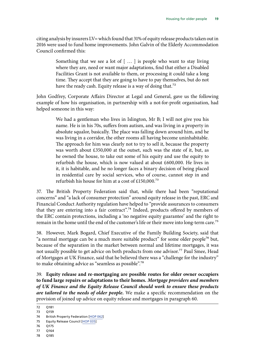citing analysis by insurers LV= which found that 31% of equity release products taken out in 2016 were used to fund home improvements. John Galvin of the Elderly Accommodation Council confirmed this:

> Something that we see a lot of [ … ] is people who want to stay living where they are, need or want major adaptations, find that either a Disabled Facilities Grant is not available to them, or processing it could take a long time. They accept that they are going to have to pay themselves, but do not have the ready cash. Equity release is a way of doing that.<sup>72</sup>

John Godfrey, Corporate Affairs Director at Legal and General, gave us the following example of how his organisation, in partnership with a not-for-profit organisation, had helped someone in this way:

> We had a gentleman who lives in Islington, Mr B; I will not give you his name. He is in his 70s, suffers from autism, and was living in a property in absolute squalor, basically. The place was falling down around him, and he was living in a corridor, the other rooms all having become uninhabitable. The approach for him was clearly not to try to sell it, because the property was worth about £350,000 at the outset, such was the state of it, but, as he owned the house, to take out some of his equity and use the equity to refurbish the house, which is now valued at about £600,000. He lives in it, it is habitable, and he no longer faces a binary decision of being placed in residential care by social services, who of course, cannot step in and refurbish his house for him at a cost of £150,000.73

37. The British Property Federation said that, while there had been "reputational concerns" and "a lack of consumer protection" around equity release in the past, ERC and Financial Conduct Authority regulation have helped to "provide assurances to consumers that they are entering into a fair contract".<sup>74</sup> Indeed, products offered by members of the ERC contain protections, including a 'no negative equity guarantee' and the right to remain in the home until the end of the customer's life or their move into long-term care.<sup>75</sup>

<span id="page-22-0"></span>38. However, Mark Bogard, Chief Executive of the Family Building Society, said that "a normal mortgage can be a much more suitable product" for some older people<sup>76</sup> but, because of the separation in the market between normal and lifetime mortgages, it was not usually possible to get advice on both products from one advisor.<sup>77</sup> Paul Smee, Head of Mortgages at UK Finance, said that he believed there was a "challenge for the industry" to make obtaining advice as "seamless as possible".78

39. **Equity release and re-mortgaging are possible routes for older owner occupiers to fund large repairs or adaptations to their homes.** *Mortgage providers and members of UK Finance and the Equity Release Council should work to ensure these products are tailored to the needs of older people.* We make a specific recommendation on the provision of joined up advice on equity release and mortgages in paragraph [60](#page-31-0).

<sup>72</sup> Q181

<sup>73</sup> Q159

<sup>74</sup> British Property Federation [\[HOP 062\]](http://data.parliament.uk/writtenevidence/committeeevidence.svc/evidencedocument/communities-and-local-government-committee/housing-for-older-people/written/49344.pdf)

<sup>75</sup> Equity Release Council [\[HOP 035](http://data.parliament.uk/writtenevidence/committeeevidence.svc/evidencedocument/communities-and-local-government-committee/housing-for-older-people/written/76762.pdf)]

<sup>76</sup> Q175

<sup>77</sup> Q164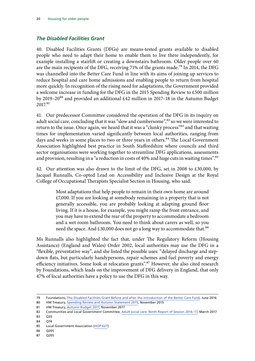#### <span id="page-23-0"></span>*The Disabled Facilities Grant*

<span id="page-23-1"></span>40. Disabled Facilities Grants (DFGs) are means-tested grants available to disabled people who need to adapt their home to enable them to live there independently, for example installing a stairlift or creating a downstairs bathroom. Older people over 60 are the main recipients of the DFG, receiving 71% of the grants made.<sup>79</sup> In 2014, the DFG was channelled into the Better Care Fund in line with its aims of joining up services to reduce hospital and care home admissions and enabling people to return from hospital more quickly. In recognition of the rising need for adaptations, the Government provided a welcome increase in funding for the DFG in the 2015 Spending Review to £500 million by 2019–20<sup>80</sup> and provided an additional £42 million in 2017–18 in the Autumn Budget 2017.81

41. Our predecessor Committee considered the operation of the DFG in its inquiry on adult social care, concluding that it was "slow and cumbersome",<sup>82</sup> so we were interested to return to the issue. Once again, we heard that it was a "clunky process"<sup>83</sup> and that waiting times for implementation varied significantly between local authorities, ranging from days and weeks in some places to two or three years in others.<sup>84</sup> The Local Government Association highlighted best practice in South Staffordshire where councils and third sector organisations were working together to streamline DFG applications, assessments and provision, resulting in a "a reduction in costs of 40% and huge cuts in waiting times".<sup>85</sup>

42. Our attention was also drawn to the limit of the DFG, set in 2008 to £30,000, by Jacquel Runnalls, Co-opted Lead on Accessibility and Inclusive Design at the Royal College of Occupational Therapists Specialist Section in Housing, who said:

> Most adaptations that help people to remain in their own home are around £7,000. If you are looking at somebody remaining in a property that is not generally accessible, you are probably looking at adapting ground floor living. If it is a house, for example, you might ramp the front entrance, and you may have to extend the rear of the property to accommodate a bedroom and a wet room bathroom. You need to think about carers as well, so you need the space. And £30,000 does not go a long way to accommodate that.<sup>86</sup>

Ms Runnalls also highlighted the fact that, under The Regulatory Reform (Housing Assistance) (England and Wales) Order 2002, local authorities may use the DFG in a "flexible, preventative way", and she listed the possible uses: "delayed discharge and stepdown flats, but particularly handypersons, repair schemes and fuel poverty and energy efficiency initiatives. Some look at relocation grants".<sup>87</sup> However, she also cited research by Foundations, which leads on the improvement of DFG delivery in England, that only 47% of local authorities have a policy to use the DFG in this way.

- 86 Q205
- 87 Q205

<sup>79</sup> Foundations, [The Disabled Facilities Grant Before and after the introduction of the Better Care Fund](http://www.foundations.uk.com/media/4665/dfg-report-final-interactive-converted-draft-6-small.pdf), June 2016

<sup>80</sup> HM Treasury, [Spending Review and Autumn Statement 2015,](https://www.gov.uk/government/uploads/system/uploads/attachment_data/file/479749/52229_Blue_Book_PU1865_Web_Accessible.pdf) November 2015

<sup>81</sup> HM Treasury, [Autumn Budget 2017,](https://www.gov.uk/government/uploads/system/uploads/attachment_data/file/661480/autumn_budget_2017_web.pdf) November 2017

<sup>82</sup> Communities and Local Government Committee, [Adult social care: Ninth Report of Session 2016–17](https://publications.parliament.uk/pa/cm201617/cmselect/cmcomloc/1103/1103.pdf), March 2017 83 Q35

<sup>84</sup> Q74

<sup>85</sup> Local Government Association [[HOP 027](http://data.parliament.uk/writtenevidence/committeeevidence.svc/evidencedocument/communities-and-local-government-committee/housing-for-older-people/written/49258.pdf)]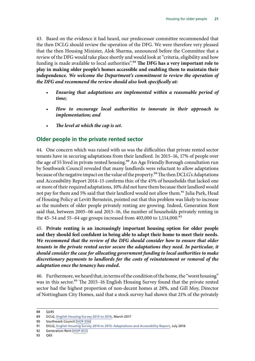<span id="page-24-2"></span><span id="page-24-0"></span>43. Based on the evidence it had heard, our predecessor committee recommended that the then DCLG should review the operation of the DFG. We were therefore very pleased that the then Housing Minister, Alok Sharma, announced before the Committee that a review of the DFG would take place shortly and would look at "criteria, eligibility and how funding is made available to local authorities".<sup>88</sup> The DFG has a very important role to **play in making older people's homes accessible and enabling them to maintain their independence.** *We welcome the Department's commitment to review the operation of the DFG and recommend the review should also look specifically at:*

- *Ensuring that adaptations are implemented within a reasonable period of time;*
- *How to encourage local authorities to innovate in their approach to implementation; and*
- *The level at which the cap is set.*

### **Older people in the private rented sector**

44. One concern which was raised with us was the difficulties that private rented sector tenants have in securing adaptations from their landlord. In 2015–16, 17% of people over the age of 55 lived in private rented housing.<sup>89</sup> An Age Friendly Borough consultation run by Southwark Council revealed that many landlords were reluctant to allow adaptations because of the negative impact on the value of the property.<sup>90</sup> The then DCLG's Adaptations and Accessibility Report 2014–15 confirms this: of the 45% of households that lacked one or more of their required adaptations, 10% did not have them because their landlord would not pay for them and 5% said that their landlord would not allow them.<sup>91</sup> Julia Park, Head of Housing Policy at Levitt Bernstein, pointed out that this problem was likely to increase as the numbers of older people privately renting are growing. Indeed, Generation Rent said that, between 2005–06 and 2015–16, the number of households privately renting in the 45–54 and 55–64 age groups increased from 403,000 to 1,114,000.<sup>92</sup>

<span id="page-24-1"></span>45. **Private renting is an increasingly important housing option for older people and they should feel confident in being able to adapt their home to meet their needs.** *We recommend that the review of the DFG should consider how to ensure that older tenants in the private rented sector secure the adaptations they need. In particular, it should consider the case for allocating government funding to local authorities to make discretionary payments to landlords for the costs of reinstatement or removal of the adaptation once the tenancy has ended.*

46. Furthermore, we heard that, in terms of the condition of the home, the "worst housing" was in this sector.<sup>93</sup> The 2015–16 English Housing Survey found that the private rented sector had the highest proportion of non-decent homes at 28%, and Gill Moy, Director of Nottingham City Homes, said that a stock survey had shown that 21% of the privately

<sup>88</sup> Q245

<sup>89</sup> DCLG, [English Housing Survey 2015 to 2016](https://www.gov.uk/government/statistics/english-housing-survey-2015-to-2016-headline-report), March 2017

<sup>90</sup> Southwark Council [\[HOP 056](http://data.parliament.uk/writtenevidence/committeeevidence.svc/evidencedocument/communities-and-local-government-committee/housing-for-older-people/written/49326.pdf)]

<sup>91</sup> DCLG, [English Housing Survey 2014 to 2015: Adaptations and Accessibility Report,](https://www.gov.uk/government/uploads/system/uploads/attachment_data/file/539541/Adaptations_and_Accessibility_Report.pdf) July 2016

<sup>92</sup> Generation Rent [\[HOP 057](http://data.parliament.uk/writtenevidence/committeeevidence.svc/evidencedocument/communities-and-local-government-committee/housing-for-older-people/written/49329.pdf)]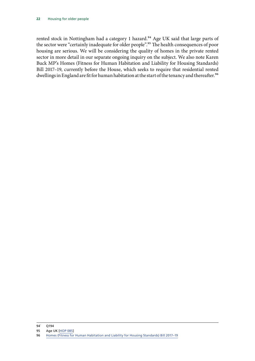rented stock in Nottingham had a category 1 hazard.<sup>94</sup> Age UK said that large parts of the sector were "certainly inadequate for older people".95 The health consequences of poor housing are serious. We will be considering the quality of homes in the private rented sector in more detail in our separate ongoing inquiry on the subject. We also note Karen Buck MP's Homes (Fitness for Human Habitation and Liability for Housing Standards) Bill 2017–19, currently before the House, which seeks to require that residential rented dwellings in England are fit for human habitation at the start of the tenancy and thereafter.<sup>96</sup>

<sup>94`</sup> Q194

<sup>95</sup> Age UK [\[HOP 085](http://data.parliament.uk/writtenevidence/committeeevidence.svc/evidencedocument/communities-and-local-government-committee/housing-for-older-people/written/49476.pdf)]

<sup>96</sup> Homes (Fitness for Human Habitation and Liability for Housing Standards) Bill 2017-19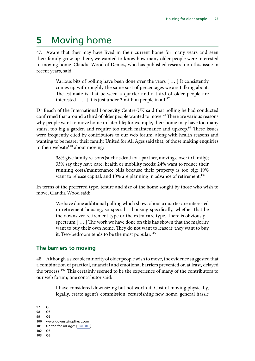# <span id="page-26-0"></span>**5** Moving home

47. Aware that they may have lived in their current home for many years and seen their family grow up there, we wanted to know how many older people were interested in moving home. Claudia Wood of Demos, who has published research on this issue in recent years, said:

> Various bits of polling have been done over the years [ … ] It consistently comes up with roughly the same sort of percentages we are talking about. The estimate is that between a quarter and a third of older people are interested  $[...]$  It is just under 3 million people in all.<sup>97</sup>

Dr Beach of the International Longevity Centre-UK said that polling he had conducted confirmed that around a third of older people wanted to move.<sup>98</sup> There are various reasons why people want to move home in later life; for example, their home may have too many stairs, too big a garden and require too much maintenance and upkeep.<sup>99</sup> These issues were frequently cited by contributors to our web forum, along with health reasons and wanting to be nearer their family. United for All Ages said that, of those making enquiries to their website<sup>100</sup> about moving:

> 38% give family reasons (such as death of a partner, moving closer to family); 33% say they have care, health or mobility needs; 24% want to reduce their running costs/maintenance bills because their property is too big; 19% want to release capital; and 10% are planning in advance of retirement.<sup>101</sup>

In terms of the preferred type, tenure and size of the home sought by those who wish to move, Claudia Wood said:

> We have done additional polling which shows about a quarter are interested in retirement housing, so specialist housing specifically, whether that be the downsizer retirement type or the extra care type. There is obviously a spectrum [ … ] The work we have done on this has shown that the majority want to buy their own home. They do not want to lease it; they want to buy it. Two-bedroom tends to be the most popular.<sup>102</sup>

### **The barriers to moving**

48. Although a sizeable minority of older people wish to move, the evidence suggested that a combination of practical, financial and emotional barriers prevented or, at least, delayed the process.103 This certainly seemed to be the experience of many of the contributors to our web forum; one contributor said:

> I have considered downsizing but not worth it! Cost of moving physically, legally, estate agent's commission, refurbishing new home, general hassle

<sup>97</sup> Q5

<sup>98</sup> Q5

<sup>99</sup> Q6

<sup>100</sup> www.downsizingdirect.com

<sup>101</sup> United for All Ages [[HOP 016\]](http://data.parliament.uk/writtenevidence/committeeevidence.svc/evidencedocument/communities-and-local-government-committee/housing-for-older-people/written/49204.pdf)

<sup>102</sup> Q5 103 Q8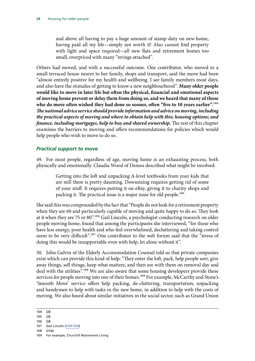<span id="page-27-0"></span>and above all having to pay a huge amount of stamp duty on new home, having paid all my life—simply not worth it! Also cannot find property with light and space required—all new flats and retirement homes too small, overpriced with many "strings attached".

Others had moved, and with a successful outcome. One contributor, who moved to a small terraced house nearer to her family, shops and transport, said the move had been "almost entirely positive for my health and wellbeing. I see family members most days, and also have the stimulus of getting to know a new neighbourhood". **Many older people would like to move in later life but often the physical, financial and emotional aspects of moving home prevent or delay them from doing so, and we heard that many of those who do move often wished they had done so sooner, often "five to 10 years earlier".**104 *The national advice service should provide information and advice on moving, including the practical aspects of moving and where to obtain help with this; housing options; and finance, including mortgages, help to buy and shared ownership.* The rest of this chapter examines the barriers to moving and offers recommendations for policies which would help people who wish to move to do so.

#### *Practical support to move*

49. For most people, regardless of age, moving home is an exhausting process, both physically and emotionally. Claudia Wood of Demos described what might be involved:

> Getting into the loft and unpacking A-level textbooks from your kids that are still there is pretty daunting. Downsizing requires getting rid of some of your stuff. It requires putting it on eBay, giving it to charity shops and packing it. The practical issue is a major issue for old people.105

She said this was compounded by the fact that "People do not look for a retirement property when they are 60 and particularly capable of moving and quite happy to do so. They look at it when they are 75 or 80".<sup>106</sup> Gail Lincoln, a psychologist conducting research on older people moving home, found that among the participants she interviewed, "for those who have less energy, poor health and who feel overwhelmed, decluttering and taking control seem to be very difficult".<sup>107</sup> One contributor to the web forum said that the "stress of doing this would be insupportable even with help, let alone without it".

<span id="page-27-1"></span>50. John Galvin of the Elderly Accommodation Counsel told us that private companies exist which can provide this kind of help: "They enter the loft, pack, help people sort, give away things, sell things, keep what matters, and then are with them on removal day and deal with the utilities".<sup>108</sup> We are also aware that some housing developers provide these services for people moving into one of their homes.<sup>109</sup> For example, McCarthy and Stone's 'Smooth Move' service offers help packing, de-cluttering, transportation, unpacking and handymen to help with tasks in the new home, in addition to help with the costs of moving. We also heard about similar initiatives in the social sector, such as Grand Union

106 Q8

<sup>104</sup> Q8

<sup>105</sup> Q8

<sup>107</sup> Gail Lincoln [[HOP 034](http://data.parliament.uk/writtenevidence/committeeevidence.svc/evidencedocument/communities-and-local-government-committee/housing-for-older-people/written/49274.pdf)]

<sup>109</sup> For example, Churchill Retirement Living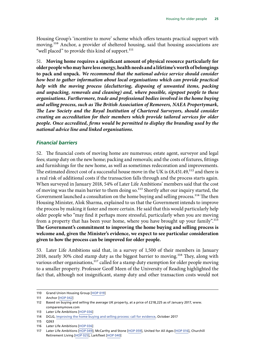<span id="page-28-0"></span>Housing Group's 'incentive to move' scheme which offers tenants practical support with moving.110 Anchor, a provider of sheltered housing, said that housing associations are "well placed" to provide this kind of support.<sup>111</sup>

51. **Moving home requires a significant amount of physical resource particularly for older people who may have less energy, health needs and a lifetime's worth of belongings to pack and unpack.** *We recommend that the national advice service should consider how best to gather information about local organisations which can provide practical help with the moving process (decluttering, disposing of unwanted items, packing and unpacking, removals and cleaning) and, where possible, signpost people to these organisations. Furthermore, trade and professional bodies involved in the home buying and selling process, such as The British Association of Removers, NAEA Propertymark, The Law Society and the Royal Institution of Chartered Surveyors, should consider creating an accreditation for their members which provide tailored services for older people. Once accredited, firms would be permitted to display the branding used by the national advice line and linked organisations.*

#### *Financial barriers*

52. The financial costs of moving home are numerous; estate agent, surveyor and legal fees; stamp duty on the new home; packing and removals; and the costs of fixtures, fittings and furnishings for the new home, as well as sometimes redecoration and improvements. The estimated direct cost of a successful house move in the UK is  $£8,451.49,^{112}$  and there is a real risk of additional costs if the transaction falls through and the process starts again. When surveyed in January 2018, 54% of Later Life Ambitions' members said that the cost of moving was the main barrier to them doing so.<sup>113</sup> Shortly after our inquiry started, the Government launched a consultation on the home buying and selling process.<sup>114</sup> The then Housing Minister, Alok Sharma, explained to us that the Government intends to improve the process by making it faster and more certain. He said that this would particularly help older people who "may find it perhaps more stressful, particularly when you are moving from a property that has been your home, where you have brought up your family".115 **The Government's commitment to improving the home buying and selling process is welcome and, given the Minister's evidence, we expect to see particular consideration given to how the process can be improved for older people.**

53. Later Life Ambitions said that, in a survey of 1,500 of their members in January 2018, nearly 30% cited stamp duty as the biggest barrier to moving.116 They, along with various other organisations,<sup>117</sup> called for a stamp duty exemption for older people moving to a smaller property. Professor Geoff Meen of the University of Reading highlighted the fact that, although not insignificant, stamp duty and other transaction costs would not

<sup>110</sup> Grand Union Housing Group [\[HOP 019](http://data.parliament.uk/writtenevidence/committeeevidence.svc/evidencedocument/communities-and-local-government-committee/housing-for-older-people/written/49215.pdf)]

<sup>111</sup> Anchor [\[HOP 042\]](http://data.parliament.uk/writtenevidence/committeeevidence.svc/evidencedocument/communities-and-local-government-committee/housing-for-older-people/written/49290.pdf)

<sup>112</sup> Based on buying and selling the average UK property, at a price of £218,225 as of January 2017, www. comparemymove.com

<sup>113</sup> Later Life Ambitions [[HOP 036\]](http://data.parliament.uk/writtenevidence/committeeevidence.svc/evidencedocument/communities-and-local-government-committee/housing-for-older-people/written/77050.pdf)

<sup>114</sup> DCLG, Improving the **home buying and selling process: call for evidence**, October 2017

<sup>115</sup> Q263

<sup>116</sup> Later Life Ambitions [[HOP 036\]](http://data.parliament.uk/writtenevidence/committeeevidence.svc/evidencedocument/communities-and-local-government-committee/housing-for-older-people/written/77050.pdf)

<sup>117</sup> Later Life Ambitions [[HOP 049\]](http://data.parliament.uk/writtenevidence/committeeevidence.svc/evidencedocument/communities-and-local-government-committee/housing-for-older-people/written/49306.pdf); McCarthy and Stone [\[HOP 059\]](http://data.parliament.uk/writtenevidence/committeeevidence.svc/evidencedocument/communities-and-local-government-committee/housing-for-older-people/written/49339.pdf), United for All Ages [[HOP 016\]](http://data.parliament.uk/writtenevidence/committeeevidence.svc/evidencedocument/communities-and-local-government-committee/housing-for-older-people/written/49204.pdf), Churchill Retirement Living [[HOP 025](http://data.parliament.uk/writtenevidence/committeeevidence.svc/evidencedocument/communities-and-local-government-committee/housing-for-older-people/written/49242.pdf)], Larkfleet [\[HOP 040](http://data.parliament.uk/writtenevidence/committeeevidence.svc/evidencedocument/communities-and-local-government-committee/housing-for-older-people/written/49285.pdf)]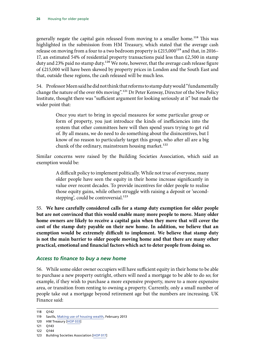<span id="page-29-0"></span>generally negate the capital gain released from moving to a smaller home.<sup>118</sup> This was highlighted in the submission from HM Treasury, which stated that the average cash release on moving from a four to a two bedroom property is  $£215,000^{119}$  and that, in 2016-17, an estimated 54% of residential property transactions paid less than  $£2,500$  in stamp duty and 23% paid no stamp duty.<sup>120</sup> We note, however, that the average cash release figure of £215,000 will have been skewed by property prices in London and the South East and that, outside these regions, the cash released will be much less.

54. Professor Meen said he did not think that reforms to stamp duty would "fundamentally change the nature of the over 60s moving".121 Dr Peter Kenway, Director of the New Policy Institute, thought there was "sufficient argument for looking seriously at it" but made the wider point that:

> Once you start to bring in special measures for some particular group or form of property, you just introduce the kinds of inefficiencies into the system that other committees here will then spend years trying to get rid of. By all means, we do need to do something about the disincentives, but I know of no reason to particularly target this group, who after all are a big chunk of the ordinary, mainstream housing market.<sup>122</sup>

Similar concerns were raised by the Building Societies Association, which said an exemption would be:

> A difficult policy to implement politically. While not true of everyone, many older people have seen the equity in their home increase significantly in value over recent decades. To provide incentives for older people to realise those equity gains, while others struggle with raising a deposit or 'secondstepping', could be controversial.<sup>123</sup>

55. **We have carefully considered calls for a stamp duty exemption for older people but are not convinced that this would enable many more people to move. Many older home owners are likely to receive a capital gain when they move that will cover the cost of the stamp duty payable on their new home. In addition, we believe that an exemption would be extremely difficult to implement. We believe that stamp duty is not the main barrier to older people moving home and that there are many other practical, emotional and financial factors which act to deter people from doing so.**

### *Access to finance to buy a new home*

56. While some older owner occupiers will have sufficient equity in their home to be able to purchase a new property outright, others will need a mortgage to be able to do so; for example, if they wish to purchase a more expensive property, move to a more expensive area, or transition from renting to owning a property. Currently, only a small number of people take out a mortgage beyond retirement age but the numbers are increasing. UK Finance said:

<sup>118</sup> Q142

<sup>119</sup> Savills, [Making use of housing wealth,](http://www.savills.co.uk/research_articles/141560/144654-0) February 2013

<sup>120</sup> HM Treasury [\[HOP 033](http://data.parliament.uk/writtenevidence/committeeevidence.svc/evidencedocument/communities-and-local-government-committee/housing-for-older-people/written/75533.pdf)]

<sup>121</sup> Q143

<sup>122</sup> Q144

<sup>123</sup> Building Societies Association [[HOP 017](http://data.parliament.uk/writtenevidence/committeeevidence.svc/evidencedocument/communities-and-local-government-committee/housing-for-older-people/written/49357.pdf)]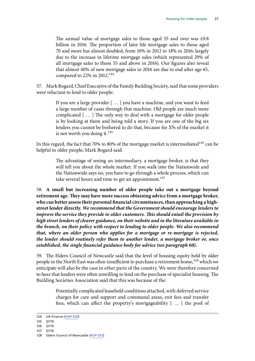The annual value of mortgage sales to those aged 55 and over was £9.8 billion in 2016. The proportion of later life mortgage sales to those aged 70 and more has almost doubled, from 10% in 2012 to 18% in 2016; largely due to the increase in lifetime mortgage sales (which represented 29% of all mortgage sales to those 55 and above in 2016). Our figures also reveal that almost 40% of new mortgage sales in 2016 are due to end after age 65, compared to 22% in 2012.<sup>124</sup>

57. Mark Bogard, Chief Executive of the Family Building Society, said that some providers were reluctant to lend to older people:

> If you are a large provider [ … ] you have a machine, and you want to feed a large number of cases through that machine. Old people are much more complicated [ … ] The only way to deal with a mortgage for older people is by looking at them and being told a story. If you are one of the big six lenders you cannot be bothered to do that, because for X% of the market it is not worth you doing it. $^{125}$

In this regard, the fact that 70% to 80% of the mortgage market is intermediated<sup>126</sup> can be helpful to older people; Mark Bogard said:

> The advantage of seeing an intermediary, a mortgage broker, is that they will tell you about the whole market. If you walk into the Nationwide and the Nationwide says no, you have to go through a whole process, which can take several hours and time to get an appointment.<sup>127</sup>

58. **A small but increasing number of older people take out a mortgage beyond retirement age. They may have more success obtaining advice from a mortgage broker, who can better assess their personal financial circumstances, than approaching a highstreet lender directly.** *We recommend that the Government should encourage lenders to improve the service they provide to older customers. This should entail the provision by high street lenders of clearer guidance, on their website and in the literature available in the branch, on their policy with respect to lending to older people. We also recommend that, where an older person who applies for a mortgage or re-mortgage is rejected, the lender should routinely refer them to another lender, a mortgage broker or, once established, the single financial guidance body for advice (see paragraph 60).*

59. The Elders Council of Newcastle said that the level of housing equity held by older people in the North East was often insufficient to purchase a retirement home,<sup>128</sup> which we anticipate will also be the case in other parts of the country. We were therefore concerned to hear that lenders were often unwilling to lend on the purchase of specialist housing. The Building Societies Association said that this was because of the:

> Potentially complicated leasehold conditions attached, with deferred service charges for care and support and communal areas, exit fees and transfer fees, which can affect the property's mortgageability [ … ] the pool of

<sup>124</sup> UK Finance [\[HOP 030\]](http://data.parliament.uk/writtenevidence/committeeevidence.svc/evidencedocument/communities-and-local-government-committee/housing-for-older-people/written/70998.pdf)

<sup>125</sup> Q170

<sup>126</sup> Q176

<sup>128</sup> Elders Council of Newcastle [\[HOP 033\]](http://data.parliament.uk/writtenevidence/committeeevidence.svc/evidencedocument/communities-and-local-government-committee/housing-for-older-people/written/49272.pdf)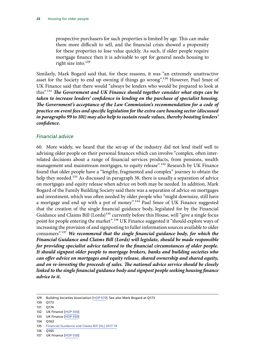prospective purchasers for such properties is limited by age. This can make them more difficult to sell, and the financial crisis showed a propensity for these properties to lose value quickly. As such, if older people require mortgage finance then it is advisable to opt for general needs housing to right size into.<sup>129</sup>

Similarly, Mark Bogard said that, for these reasons, it was "an extremely unattractive asset for the Society to end up owning if things go wrong".<sup>130</sup> However, Paul Smee of UK Finance said that there would "always be lenders who would be prepared to look at this".131 *The Government and UK Finance should together consider what steps can be taken to increase lenders' confidence in lending on the purchase of specialist housing. The Government's acceptance of the Law Commission's recommendation for a code of practice on event fees and specific legislation for the extra care housing sector (discussed in paragraphs 99 to 101) may also help to sustain resale values, thereby boosting lenders' confidence.*

#### *Financial advice*

<span id="page-31-0"></span>60. More widely, we heard that the set-up of the industry did not lend itself well to advising older people on their personal finances which can involve "complex, often interrelated decisions about a range of financial services products, from pensions, wealth management and mainstream mortgages, to equity release".<sup>132</sup> Research by UK Finance found that older people have a "lengthy, fragmented and complex" journey to obtain the help they needed.<sup>133</sup> As discussed in paragraph [38](#page-22-0), there is usually a separation of advice on mortgages and equity release when advice on both may be needed. In addition, Mark Bogard of the Family Building Society said there was a separation of advice on mortgages and investment, which was often needed by older people who "might downsize, still have a mortgage and end up with a pot of money".<sup>134</sup> Paul Smee of UK Finance suggested that the creation of the single financial guidance body, legislated for by the Financial Guidance and Claims Bill (Lords)<sup>135</sup> currently before this House, will "give a single focus point for people entering the market".<sup>136</sup> UK Finance suggested it "should explore ways of increasing the provision of and signposting to fuller information sources available to older consumers".137 *We recommend that the single financial guidance body, for which the Financial Guidance and Claims Bill (Lords) will legislate, should be made responsible for providing specialist advice tailored to the financial circumstances of older people. It should signpost older people to mortgage brokers, banks and building societies who can offer advice on mortgages and equity release, shared ownership and shared equity, and on re-investing the proceeds of sales. The national advice service should be closely linked to the single financial guidance body and signpost people seeking housing finance advice to it.*

- 133 UK Finance [\[HOP 030\]](http://data.parliament.uk/writtenevidence/committeeevidence.svc/evidencedocument/communities-and-local-government-committee/housing-for-older-people/written/70998.pdf)
- 134 Q163

<sup>129</sup> Building Societies Association [[HOP 070](http://data.parliament.uk/writtenevidence/committeeevidence.svc/evidencedocument/communities-and-local-government-committee/housing-for-older-people/written/49357.pdf)]. See also Mark Bogard at Q173

<sup>130</sup> Q173

<sup>131</sup> Q174

<sup>132</sup> UK Finance [\[HOP 030\]](http://data.parliament.uk/writtenevidence/committeeevidence.svc/evidencedocument/communities-and-local-government-committee/housing-for-older-people/written/70998.pdf)

<sup>135</sup> [Financial Guidance and Claims Bill \[HL\] 2017-19](https://services.parliament.uk/bills/2017-19/financialguidanceandclaims.html)

<sup>137</sup> UK Finance [\[HOP 030\]](http://data.parliament.uk/writtenevidence/committeeevidence.svc/evidencedocument/communities-and-local-government-committee/housing-for-older-people/written/70998.pdf)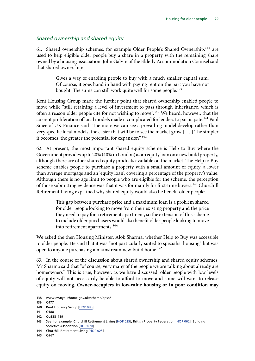#### *Shared ownership and shared equity*

<span id="page-32-0"></span>61. Shared ownership schemes, for example Older People's Shared Ownership,<sup>138</sup> are used to help eligible older people buy a share in a property with the remaining share owned by a housing association. John Galvin of the Elderly Accommodation Counsel said that shared ownership:

> Gives a way of enabling people to buy with a much smaller capital sum. Of course, it goes hand in hand with paying rent on the part you have not bought. The sums can still work quite well for some people.<sup>139</sup>

Kent Housing Group made the further point that shared ownership enabled people to move while "still retaining a level of investment to pass through inheritance, which is often a reason older people cite for not wishing to move".<sup>140</sup> We heard, however, that the current proliferation of local models made it complicated for lenders to participate.<sup>141</sup> Paul Smee of UK Finance said "The more we can see a prevailing model develop rather than very specific local models, the easier that will be to see the market grow [ … ] The simpler it becomes, the greater the potential for expansion".<sup>142</sup>

62. At present, the most important shared equity scheme is Help to Buy where the Government provides up to 20% (40% in London) as an equity loan on a new build property, although there are other shared equity products available on the market. The Help to Buy scheme enables people to purchase a property with a small amount of equity, a lower than average mortgage and an 'equity loan', covering a percentage of the property's value. Although there is no age limit to people who are eligible for the scheme, the perception of those submitting evidence was that it was for mainly for first-time buyers.<sup>143</sup> Churchill Retirement Living explained why shared equity would also be benefit older people:

> This gap between purchase price and a maximum loan is a problem shared for older people looking to move from their existing property and the price they need to pay for a retirement apartment, so the extension of this scheme to include older purchasers would also benefit older people looking to move into retirement apartments.<sup>144</sup>

We asked the then Housing Minister, Alok Sharma, whether Help to Buy was accessible to older people. He said that it was "not particularly suited to specialist housing" but was open to anyone purchasing a mainstream new-build home.<sup>145</sup>

<span id="page-32-1"></span>63. In the course of the discussion about shared ownership and shared equity schemes, Mr Sharma said that "of course, very many of the people we are talking about already are homeowners". This is true, however, as we have discussed, older people with low levels of equity will not necessarily be able to afford to move and some will want to release equity on moving. **Owner-occupiers in low-value housing or in poor condition may** 

<sup>138</sup> www.ownyourhome.gov.uk/scheme/opso/

<sup>139</sup> Q177

<sup>140</sup> Kent Housing Group [\[HOP 080](http://data.parliament.uk/writtenevidence/committeeevidence.svc/evidencedocument/communities-and-local-government-committee/housing-for-older-people/written/49397.pdf)]

<sup>141</sup> Q188

<sup>142</sup> Qq188–189

<sup>143</sup> See, for example, Churchill Retirement Living [\[HOP 025\]](http://data.parliament.uk/writtenevidence/committeeevidence.svc/evidencedocument/communities-and-local-government-committee/housing-for-older-people/written/49242.pdf), British Property Federation [\[HOP 062\]](http://data.parliament.uk/writtenevidence/committeeevidence.svc/evidencedocument/communities-and-local-government-committee/housing-for-older-people/written/49344.pdf), Building Societies Association [\[HOP 070\]](http://data.parliament.uk/writtenevidence/committeeevidence.svc/evidencedocument/communities-and-local-government-committee/housing-for-older-people/written/49357.pdf)

<sup>144</sup> Churchill Retirement Living [\[HOP 025\]](http://data.parliament.uk/writtenevidence/committeeevidence.svc/evidencedocument/communities-and-local-government-committee/housing-for-older-people/written/49242.pdf)

<sup>145</sup> Q267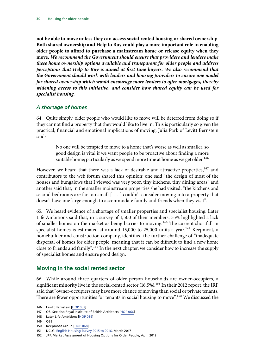<span id="page-33-0"></span>**not be able to move unless they can access social rented housing or shared ownership**. **Both shared ownership and Help to Buy could play a more important role in enabling older people to afford to purchase a mainstream home or release equity when they move.** *We recommend the Government should ensure that providers and lenders make these home ownership options available and transparent for older people and address perceptions that Help to Buy is aimed at first time buyers. We also recommend that the Government should work with lenders and housing providers to ensure one model for shared ownership which would encourage more lenders to offer mortgages, thereby widening access to this initiative, and consider how shared equity can be used for specialist housing.*

#### *A shortage of homes*

64. Quite simply, older people who would like to move will be deterred from doing so if they cannot find a property that they would like to live in. This is particularly so given the practical, financial and emotional implications of moving. Julia Park of Levitt Bernstein said:

> No one will be tempted to move to a home that's worse as well as smaller, so good design is vital if we want people to be proactive about finding a more suitable home; particularly as we spend more time at home as we get older.<sup>146</sup>

However, we heard that there was a lack of desirable and attractive properties,<sup>147</sup> and contributors to the web forum shared this opinion; one said "the design of most of the houses and bungalows that I viewed was very poor, tiny kitchens, tiny dining areas" and another said that, in the smaller mainstream properties she had visited, "the kitchens and second bedrooms are far too small [ … ] couldn't consider moving into a property that doesn't have one large enough to accommodate family and friends when they visit".

65. We heard evidence of a shortage of smaller properties and specialist housing. Later Life Ambitions said that, in a survey of 1,500 of their members, 55% highlighted a lack of smaller homes on the market as being barrier to moving.<sup>148</sup> The current shortfall in specialist homes is estimated at around  $15,000$  to  $25,000$  units a year.<sup>149</sup> Keepmoat, a homebuilder and construction company, identified the further challenge of "inadequate dispersal of homes for older people, meaning that it can be difficult to find a new home close to friends and family".150 In the next chapter, we consider how to increase the supply of specialist homes and ensure good design.

### **Moving in the social rented sector**

66. While around three quarters of older person households are owner-occupiers, a significant minority live in the social-rented sector (16.5%).<sup>151</sup> In their 2012 report, the JRF said that "owner-occupiers may have more chance of moving than social or private tenants. There are fewer opportunities for tenants in social housing to move".<sup>152</sup> We discussed the

<sup>146</sup> Levitt Bernstein [[HOP 032\]](http://data.parliament.uk/writtenevidence/committeeevidence.svc/evidencedocument/communities-and-local-government-committee/housing-for-older-people/written/74783.pdf)

<sup>147</sup> Q8. See also Royal Institute of British Architects [[HOP 066](http://data.parliament.uk/writtenevidence/committeeevidence.svc/evidencedocument/communities-and-local-government-committee/housing-for-older-people/written/49353.pdf)]

<sup>148</sup> Later Life Ambitions [[HOP 036\]](http://data.parliament.uk/writtenevidence/committeeevidence.svc/evidencedocument/communities-and-local-government-committee/housing-for-older-people/written/77050.pdf)

<sup>150</sup> Keepmoat Group [[HOP 068\]](http://data.parliament.uk/writtenevidence/committeeevidence.svc/evidencedocument/communities-and-local-government-committee/housing-for-older-people/written/49355.pdf)

<sup>151</sup> DCLG, [English Housing Survey 2015 to 2016](https://www.gov.uk/government/statistics/english-housing-survey-2015-to-2016-headline-report), March 2017

<sup>152</sup> JRF, Market Assessment of Housing Options for Older People, April 2012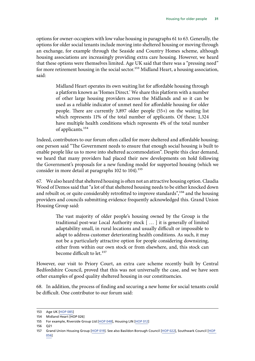options for owner-occupiers with low value housing in paragraphs [61](#page-32-0) to [63.](#page-32-1) Generally, the options for older social tenants include moving into sheltered housing or moving through an exchange, for example through the Seaside and Country Homes scheme, although housing associations are increasingly providing extra care housing. However, we heard that these options were themselves limited. Age UK said that there was a "pressing need" for more retirement housing in the social sector.<sup>153</sup> Midland Heart, a housing association, said:

> Midland Heart operates its own waiting list for affordable housing through a platform known as 'Homes Direct.' We share this platform with a number of other large housing providers across the Midlands and so it can be used as a reliable indicator of unmet need for affordable housing for older people. There are currently 3,897 older people (55+) on the waiting list which represents 11% of the total number of applicants. Of these; 1,324 have multiple health conditions which represents 4% of the total number of applicants.154

Indeed, contributors to our forum often called for more sheltered and affordable housing; one person said "The Government needs to ensure that enough social housing is built to enable people like us to move into sheltered accommodation". Despite this clear demand, we heard that many providers had placed their new developments on hold following the Government's proposals for a new funding model for supported housing (which we consider in more detail at paragraphs  $102$  to  $104$ ).<sup>155</sup>

67. We also heard that sheltered housing is often not an attractive housing option. Claudia Wood of Demos said that "a lot of that sheltered housing needs to be either knocked down and rebuilt or, or quite considerably retrofitted to improve standards<sup>", 156</sup> and the housing providers and councils submitting evidence frequently acknowledged this. Grand Union Housing Group said:

> The vast majority of older people's housing owned by the Group is the traditional post-war Local Authority stock [ … ] it is generally of limited adaptability small, in rural locations and usually difficult or impossible to adapt to address customer deteriorating health conditions. As such, it may not be a particularly attractive option for people considering downsizing, either from within our own stock or from elsewhere, and, this stock can become difficult to let.<sup>157</sup>

However, our visit to Priory Court, an extra care scheme recently built by Central Bedfordshire Council, proved that this was not universally the case, and we have seen other examples of good quality sheltered housing in our constituencies.

68. In addition, the process of finding and securing a new home for social tenants could be difficult. One contributor to our forum said:

<sup>153</sup> Age UK [\[HOP 085](http://data.parliament.uk/writtenevidence/committeeevidence.svc/evidencedocument/communities-and-local-government-committee/housing-for-older-people/written/49476.pdf)]

<sup>154</sup> Midland Heart [HOP 026]

<sup>155</sup> For example, Riverside Group Ltd [[HOP 048\]](http://data.parliament.uk/writtenevidence/committeeevidence.svc/evidencedocument/communities-and-local-government-committee/housing-for-older-people/written/49303.pdf), Housing LIN [\[HOP 012\]](http://data.parliament.uk/writtenevidence/committeeevidence.svc/evidencedocument/communities-and-local-government-committee/housing-for-older-people/written/49166.pdf)

<sup>156</sup> Q21

<sup>157</sup> Grand Union Housing Group [\[HOP 019](http://data.parliament.uk/writtenevidence/committeeevidence.svc/evidencedocument/communities-and-local-government-committee/housing-for-older-people/written/49215.pdf)]. See also Basildon Borough Council [\[HOP 022](http://data.parliament.uk/writtenevidence/committeeevidence.svc/evidencedocument/communities-and-local-government-committee/housing-for-older-people/written/49222.pdf)], Southwark Council [\[HOP](http://data.parliament.uk/writtenevidence/committeeevidence.svc/evidencedocument/communities-and-local-government-committee/housing-for-older-people/written/49326.pdf)  [056\]](http://data.parliament.uk/writtenevidence/committeeevidence.svc/evidencedocument/communities-and-local-government-committee/housing-for-older-people/written/49326.pdf)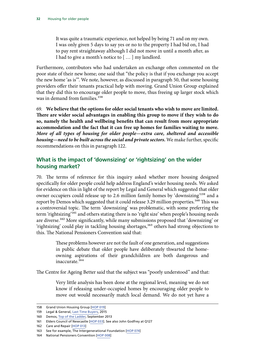<span id="page-35-0"></span>It was quite a traumatic experience, not helped by being 71 and on my own. I was only given 5 days to say yes or no to the property I had bid on, I had to pay rent straightaway although I did not move in until a month after, as I had to give a month's notice to [ … ] my landlord.

Furthermore, contributors who had undertaken an exchange often commented on the poor state of their new home; one said that "the policy is that if you exchange you accept the new home 'as is'". We note, however, as discussed in paragraph [50,](#page-27-1) that some housing providers offer their tenants practical help with moving. Grand Union Group explained that they did this to encourage older people to move, thus freeing up larger stock which was in demand from families.<sup>158</sup>

69. **We believe that the options for older social tenants who wish to move are limited. There are wider social advantages in enabling this group to move if they wish to do so, namely the health and wellbeing benefits that can result from more appropriate accommodation and the fact that it can free up homes for families waiting to move.**  *More of all types of housing for older people—extra care, sheltered and accessible housing—need to be built across the social and private sectors.* We make further, specific recommendations on this in paragraph 122.

### **What is the impact of 'downsizing' or 'rightsizing' on the wider housing market?**

70. The terms of reference for this inquiry asked whether more housing designed specifically for older people could help address England's wider housing needs. We asked for evidence on this in light of the report by Legal and General which suggested that older owner occupiers could release up to 2.6 million family homes by 'downsizing'159 and a report by Demos which suggested that it could release 3.29 million properties.<sup>160</sup> This was a controversial topic. The term 'downsizing' was problematic, with some preferring the term 'rightsizing'<sup>161</sup> and others stating there is no 'right size' when people's housing needs are diverse.<sup>162</sup> More significantly, while many submissions proposed that 'downsizing' or 'rightsizing' could play in tackling housing shortages,<sup>163</sup> others had strong objections to this. The National Pensioners Convention said that:

> These problems however are not the fault of one generation, and suggestions in public debate that older people have deliberately thwarted the homeowning aspirations of their grandchildren are both dangerous and inaccurate.164

The Centre for Ageing Better said that the subject was "poorly understood" and that:

Very little analysis has been done at the regional level, meaning we do not know if releasing under-occupied homes by encouraging older people to move out would necessarily match local demand. We do not yet have a

<sup>158</sup> Grand Union Housing Group [\[HOP 019](http://data.parliament.uk/writtenevidence/committeeevidence.svc/evidencedocument/communities-and-local-government-committee/housing-for-older-people/written/49215.pdf)]

<sup>159</sup> Legal & General, [Last Time Buyers,](https://www.legalandgeneralgroup.com/assets/portal/files/pdf_175.pdf) 2015

<sup>160</sup> Demos, [Top of the Ladder,](https://www.demos.co.uk/project/the-top-of-the-ladder/) September 2013

<sup>161</sup> Elders Council of Newcastle [\[HOP 033\]](http://data.parliament.uk/writtenevidence/committeeevidence.svc/evidencedocument/communities-and-local-government-committee/housing-for-older-people/written/49272.pdf). See also John Godfrey at Q127

<sup>162</sup> Care and Repair [\[HOP 013](http://data.parliament.uk/writtenevidence/committeeevidence.svc/evidencedocument/communities-and-local-government-committee/housing-for-older-people/written/49171.pdf)]

<sup>163</sup> See for example, The Intergenerational Foundation [\[HOP 074](http://data.parliament.uk/writtenevidence/committeeevidence.svc/evidencedocument/communities-and-local-government-committee/housing-for-older-people/written/49365.pdf)]

<sup>164</sup> National Pensioners Convention [[HOP 008\]](http://data.parliament.uk/writtenevidence/committeeevidence.svc/evidencedocument/communities-and-local-government-committee/housing-for-older-people/written/48851.pdf)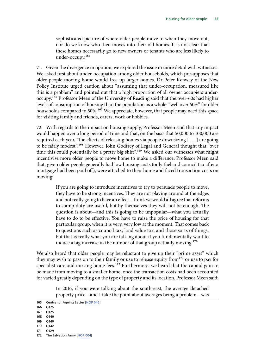sophisticated picture of where older people move to when they move out, nor do we know who then moves into their old homes. It is not clear that these homes necessarily go to new owners or tenants who are less likely to under-occupy.165

71. Given the divergence in opinion, we explored the issue in more detail with witnesses. We asked first about under-occupation among older households, which presupposes that older people moving home would free up larger homes. Dr Peter Kenway of the New Policy Institute urged caution about "assuming that under-occupation, measured like this is a problem" and pointed out that a high proportion of all owner occupiers underoccupy.166 Professor Meen of the University of Reading said that the over-60s had higher levels of consumption of housing than the population as a whole: "well over 60%" for older households compared to 50%.<sup>167</sup> We appreciate, however, that people may need this space for visiting family and friends, carers, work or hobbies.

72. With regards to the impact on housing supply, Professor Meen said that any impact would happen over a long period of time and that, on the basis that 50,000 to 100,000 are required each year, "the effects of releasing homes via people downsizing [ … ] are going to be fairly modest".168 However, John Godfrey of Legal and General thought that "over time this could potentially be a pretty big shift".<sup>169</sup> We asked our witnesses what might incentivise more older people to move home to make a difference. Professor Meen said that, given older people generally had low housing costs (only fuel and council tax after a mortgage had been paid off), were attached to their home and faced transaction costs on moving:

> If you are going to introduce incentives to try to persuade people to move, they have to be strong incentives. They are not playing around at the edges and not really going to have an effect. I think we would all agree that reforms to stamp duty are useful, but by themselves they will not be enough. The question is about—and this is going to be unpopular—what you actually have to do to be effective. You have to raise the price of housing for that particular group, when it is very, very low at the moment. That comes back to questions such as council tax, land value tax, and those sorts of things, but that is really what you are talking about if you fundamentally want to induce a big increase in the number of that group actually moving.<sup>170</sup>

We also heard that older people may be reluctant to give up their "prime asset" which they may wish to pass on to their family or use to release equity from $171$  or use to pay for specialist care and nursing home fees.<sup>172</sup> Furthermore, we heard that the capital gain to be made from moving to a smaller home, once the transaction costs had been accounted for varied greatly depending on the type of property and its location. Professor Meen said:

> In 2016, if you were talking about the south-east, the average detached property price—and I take the point about averages being a problem—was

<sup>165</sup> Centre for Ageing Better [\[HOP 046](http://data.parliament.uk/writtenevidence/committeeevidence.svc/evidencedocument/communities-and-local-government-committee/housing-for-older-people/written/49298.pdf)]

<sup>166</sup> Q125

<sup>167</sup> Q125

<sup>168</sup> Q140 169 Q140

<sup>170</sup> Q142

<sup>171</sup> Q129

<sup>172</sup> The Salvation Army [[HOP 004\]](http://data.parliament.uk/writtenevidence/committeeevidence.svc/evidencedocument/communities-and-local-government-committee/housing-for-older-people/written/46973.pdf)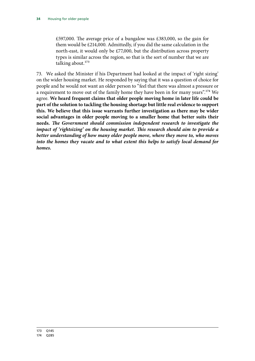£597,000. The average price of a bungalow was £383,000, so the gain for them would be £214,000. Admittedly, if you did the same calculation in the north-east, it would only be £77,000, but the distribution across property types is similar across the region, so that is the sort of number that we are talking about.<sup>173</sup>

73. We asked the Minister if his Department had looked at the impact of 'right sizing' on the wider housing market. He responded by saying that it was a question of choice for people and he would not want an older person to "feel that there was almost a pressure or a requirement to move out of the family home they have been in for many years".174 We agree. **We heard frequent claims that older people moving home in later life could be part of the solution to tackling the housing shortage but little real evidence to support this. We believe that this issue warrants further investigation as there may be wider social advantages in older people moving to a smaller home that better suits their needs.** *The Government should commission independent research to investigate the impact of 'rightsizing' on the housing market. This research should aim to provide a better understanding of how many older people move, where they move to, who moves into the homes they vacate and to what extent this helps to satisfy local demand for homes.*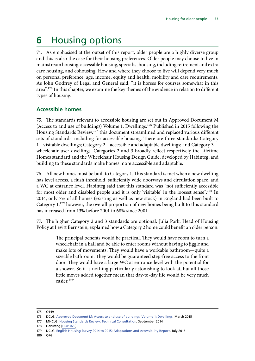# **6** Housing options

74. As emphasised at the outset of this report, older people are a highly diverse group and this is also the case for their housing preferences. Older people may choose to live in mainstream housing, accessible housing, specialist housing, including retirement and extra care housing, and cohousing. How and where they choose to live will depend very much on personal preference, age, income, equity and health, mobility and care requirements. As John Godfrey of Legal and General said, "it is horses for courses somewhat in this area".<sup>175</sup> In this chapter, we examine the key themes of the evidence in relation to different types of housing.

## **Accessible homes**

75. The standards relevant to accessible housing are set out in Approved Document M (Access to and use of buildings) Volume 1: Dwellings.176 Published in 2015 following the Housing Standards Review,<sup>177</sup> this document streamlined and replaced various different sets of standards, including for accessible housing. There are three standards: Category 1—visitable dwellings; Category 2—accessible and adaptable dwellings; and Category 3 wheelchair user dwellings. Categories 2 and 3 broadly reflect respectively the Lifetime Homes standard and the Wheelchair Housing Design Guide, developed by Habinteg, and building to these standards make homes more accessible and adaptable.

76. All new homes must be built to Category 1. This standard is met when a new dwelling has level access, a flush threshold, sufficiently wide doorways and circulation space, and a WC at entrance level. Habinteg said that this standard was "not sufficiently accessible for most older and disabled people and it is only 'visitable' in the loosest sense".<sup>178</sup> In 2014, only 7% of all homes (existing as well as new stock) in England had been built to Category  $1,^{179}$  however, the overall proportion of new homes being built to this standard has increased from 13% before 2001 to 68% since 2001.

77. The higher Category 2 and 3 standards are optional. Julia Park, Head of Housing Policy at Levitt Bernstein, explained how a Category 2 home could benefit an older person:

> The principal benefits would be practical. They would have room to turn a wheelchair in a hall and be able to enter rooms without having to jiggle and make lots of movements. They would have a workable bathroom—quite a sizeable bathroom. They would be guaranteed step-free access to the front door. They would have a large WC at entrance level with the potential for a shower. So it is nothing particularly astonishing to look at, but all those little moves added together mean that day-to-day life would be very much easier<sup>180</sup>

180 Q76

<sup>175</sup> Q149

<sup>176</sup> DCLG, [Approved Document M: Access to and use of buildings: Volume 1: Dwellings](https://www.gov.uk/government/uploads/system/uploads/attachment_data/file/540330/BR_PDF_AD_M1_2015_with_2016_amendments_V3.pdf), March 2015

<sup>177</sup> MHCLG, [Housing Standards Review: Technical Consultation,](https://www.gov.uk/government/uploads/system/uploads/attachment_data/file/354154/140911__HSR_CONSULTATION_DOCUMENT_-_FINAL.pdf) September 2014

<sup>178</sup> Habinteg [[HOP 029\]](http://data.parliament.uk/writtenevidence/committeeevidence.svc/evidencedocument/communities-and-local-government-committee/housing-for-older-people/written/49260.pdf)

<sup>179</sup> DCLG, [English Housing Survey 2014 to 2015: Adaptations and Accessibility Report,](https://www.gov.uk/government/uploads/system/uploads/attachment_data/file/539541/Adaptations_and_Accessibility_Report.pdf) July 2016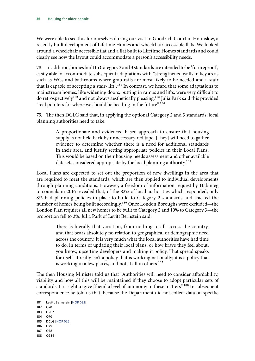We were able to see this for ourselves during our visit to Goodrich Court in Hounslow, a recently built development of Lifetime Homes and wheelchair accessible flats. We looked around a wheelchair accessible flat and a flat built to Lifetime Homes standards and could clearly see how the layout could accommodate a person's accessibility needs.

78. In addition, homes built to Category 2 and 3 standards are intended to be 'futureproof', easily able to accommodate subsequent adaptations with "strengthened walls in key areas such as WCs and bathrooms where grab-rails are most likely to be needed and a stair that is capable of accepting a stair-lift".<sup>181</sup> In contrast, we heard that some adaptations to mainstream homes, like widening doors, putting in ramps and lifts, were very difficult to do retrospectively<sup>182</sup> and not always aesthetically pleasing.<sup>183</sup> Julia Park said this provided "real pointers for where we should be heading in the future".<sup>184</sup>

79. The then DCLG said that, in applying the optional Category 2 and 3 standards, local planning authorities need to take:

> A proportionate and evidenced based approach to ensure that housing supply is not held back by unnecessary red tape. [They] will need to gather evidence to determine whether there is a need for additional standards in their area, and justify setting appropriate policies in their Local Plans. This would be based on their housing needs assessment and other available datasets considered appropriate by the local planning authority.<sup>185</sup>

Local Plans are expected to set out the proportion of new dwellings in the area that are required to meet the standards, which are then applied to individual developments through planning conditions. However, a freedom of information request by Habinteg to councils in 2016 revealed that, of the 82% of local authorities which responded, only 8% had planning policies in place to build to Category 2 standards and tracked the number of homes being built accordingly.<sup>186</sup> Once London Boroughs were excluded—the London Plan requires all new homes to be built to Category 2 and 10% to Category 3—the proportion fell to 3%. Julia Park of Levitt Bernstein said:

> There is literally that variation, from nothing to all, across the country, and that bears absolutely no relation to geographical or demographic need across the country. It is very much what the local authorities have had time to do, in terms of updating their local plans, or how brave they feel about, you know, upsetting developers and making it policy. That spread speaks for itself. It really isn't a policy that is working nationally; it is a policy that is working in a few places, and not at all in others.<sup>187</sup>

The then Housing Minister told us that "Authorities will need to consider affordability, viability and how all this will be maintained if they choose to adopt particular sets of standards. It is right to give [them] a level of autonomy in these matters".<sup>188</sup> In subsequent correspondence he told us that, because the Department did not collect data on specific

<sup>181</sup> Levitt Bernstein [[HOP 032\]](http://data.parliament.uk/writtenevidence/committeeevidence.svc/evidencedocument/communities-and-local-government-committee/housing-for-older-people/written/74783.pdf)

<sup>182</sup> Q70

<sup>183</sup> Q207

<sup>184</sup> Q70 185 DCLG [[HOP 025](http://data.parliament.uk/writtenevidence/committeeevidence.svc/evidencedocument/communities-and-local-government-committee/housing-for-older-people/written/70900.pdf)]

<sup>186</sup> Q79

<sup>187</sup> Q78

<sup>188</sup> Q284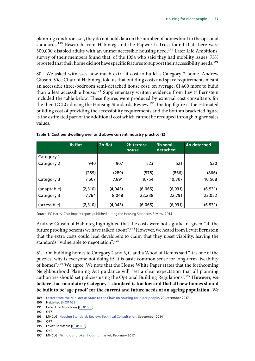planning conditions set, they do not hold data on the number of homes built to the optional standards.<sup>189</sup> Research from Habinteg and the Papworth Trust found that there were 300,000 disabled adults with an unmet accessible housing need.190 Later Life Ambitions' survey of their members found that, of the 1054 who said they had mobility issues, 75% reported that their home did not have specific features to support their accessibility needs.<sup>191</sup>

80. We asked witnesses how much extra it cost to build a Category 2 home. Andrew Gibson, Vice Chair of Habinteg, told us that building costs and space requirements meant an accessible three-bedroom semi-detached house cost, on average, £1,400 more to build than a less accessible house.<sup>192</sup> Supplementary written evidence from Levitt Bernstein included the table below. These figures were produced by external cost consultants for the then DCLG during the Housing Standards Review.<sup>193</sup> The top figure is the estimated building cost of providing the accessibility requirements and the bottom bracketed figure is the estimated part of the additional cost which cannot be recouped through higher sales values.

|              | 1b flat | 2b flat | 2b terrace<br>house | 3b semi-<br>detached | 4b detached |
|--------------|---------|---------|---------------------|----------------------|-------------|
| Category 1   |         |         |                     |                      |             |
| Category 2   | 940     | 907     | 523                 | 521                  | 520         |
|              | (289)   | (289)   | (578)               | (866)                | (866)       |
| Category 3   | 7,607   | 7,891   | 9,754               | 10,307               | 10,568      |
| (adaptable)  | (2,310) | (4,043) | (6,065)             | (6,931)              | (6,931)     |
| Category 3   | 7,764   | 8,048   | 22,238              | 22,791               | 23,052      |
| (accessible) | (2,310) | (4,043) | (6,065)             | (6,931)              | (6, 931)    |

**Table 1: Cost per dwelling over and above current industry practice (£)**

Source: EC Harris, Cost impact report published during the Housing Standards Review, 2014

Andrew Gibson of Habinteg highlighted that the costs were not significant given "all the future proofing benefits we have talked about".<sup>194</sup> However, we heard from Levitt Bernstein that the extra costs could lead developers to claim that they upset viability, leaving the standards "vulnerable to negotiation".<sup>195</sup>

81. On building homes to Category 2 and 3, Claudia Wood of Demos said "it is one of the puzzles: why is everyone not doing it? It is basic common sense for long-term liveability of homes".196 We agree. We note that the House White Paper states that the forthcoming Neighbourhood Planning Act guidance will "set a clear expectation that all planning authorities should set policies using the Optional Building Regulations".197 **However, we believe that mandatory Category 1 standard is too low and that all new homes should be built to be 'age proof' for the current and future needs of an ageing population.** *We* 

<sup>189</sup> [Letter from the Minister of State to the Chair on housing for older people,](http://www.parliament.uk/documents/commons-committees/communities-and-local-government/2017-19-Correspondence/171220-MoS-to-Clive-Betts-MP-Housing-for-Older-People.pdf) 20 December 2017

<sup>190</sup> Habinteg [[HOP 029\]](http://data.parliament.uk/writtenevidence/committeeevidence.svc/evidencedocument/communities-and-local-government-committee/housing-for-older-people/written/49260.pdf)

<sup>191</sup> Later Life Ambitions [[HOP 036\]](http://data.parliament.uk/writtenevidence/committeeevidence.svc/evidencedocument/communities-and-local-government-committee/housing-for-older-people/written/77050.pdf)

<sup>192</sup> Q77

<sup>193</sup> MHCLG, [Housing Standards Review: Technical Consultation,](https://www.gov.uk/government/uploads/system/uploads/attachment_data/file/354154/140911__HSR_CONSULTATION_DOCUMENT_-_FINAL.pdf) September 2014

<sup>194</sup> Q77

<sup>195</sup> Levitt Bernstein [[HOP 032\]](http://data.parliament.uk/writtenevidence/committeeevidence.svc/evidencedocument/communities-and-local-government-committee/housing-for-older-people/written/74783.pdf)

<sup>196</sup> Q42

<sup>197</sup> MHCLG, [Fixing our broken housing market](https://www.gov.uk/government/uploads/system/uploads/attachment_data/file/590464/Fixing_our_broken_housing_market_-_print_ready_version.pdf), February 2017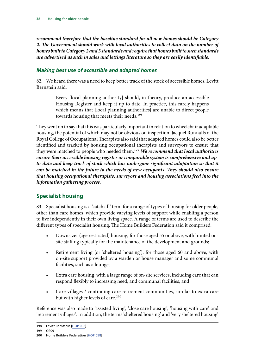*recommend therefore that the baseline standard for all new homes should be Category 2. The Government should work with local authorities to collect data on the number of homes built to Category 2 and 3 standards and require that homes built to such standards are advertised as such in sales and lettings literature so they are easily identifiable.*

### *Making best use of accessible and adapted homes*

82. We heard there was a need to keep better track of the stock of accessible homes. Levitt Bernstein said:

> Every [local planning authority] should, in theory, produce an accessible Housing Register and keep it up to date. In practice, this rarely happens which means that [local planning authorities] are unable to direct people towards housing that meets their needs.<sup>198</sup>

They went on to say that this was particularly important in relation to wheelchair adaptable housing, the potential of which may not be obvious on inspection. Jacquel Runnalls of the Royal College of Occupational Therapists also said that adapted homes could also be better identified and tracked by housing occupational therapists and surveyors to ensure that they were matched to people who needed them.199 *We recommend that local authorities ensure their accessible housing register or comparable system is comprehensive and up*to-date and keep track of stock which has undergone significant adaptation so that it *can be matched in the future to the needs of new occupants. They should also ensure that housing occupational therapists, surveyors and housing associations feed into the information gathering process.*

## **Specialist housing**

83. Specialist housing is a 'catch all' term for a range of types of housing for older people, other than care homes, which provide varying levels of support while enabling a person to live independently in their own living space. A range of terms are used to describe the different types of specialist housing. The Home Builders Federation said it comprised:

- Downsizer (age restricted) housing, for those aged 55 or above, with limited onsite staffing typically for the maintenance of the development and grounds;
- Retirement living (or 'sheltered housing'), for those aged 60 and above, with on-site support provided by a warden or house manager and some communal facilities, such as a lounge;
- Extra care housing, with a large range of on-site services, including care that can respond flexibly to increasing need, and communal facilities; and
- Care villages / continuing care retirement communities, similar to extra care but with higher levels of care.<sup>200</sup>

Reference was also made to 'assisted living', 'close care housing', 'housing with care' and 'retirement villages'. In addition, the terms 'sheltered housing' and 'very sheltered housing'

<sup>198</sup> Levitt Bernstein [[HOP 032\]](http://data.parliament.uk/writtenevidence/committeeevidence.svc/evidencedocument/communities-and-local-government-committee/housing-for-older-people/written/74783.pdf)

<sup>199</sup> Q209

<sup>200</sup> Home Builders Federation [\[HOP 058](http://data.parliament.uk/writtenevidence/committeeevidence.svc/evidencedocument/communities-and-local-government-committee/housing-for-older-people/written/49334.pdf)]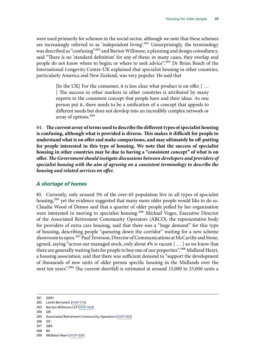were used primarily for schemes in the social sector, although we note that these schemes are increasingly referred to as 'independent living'.<sup>201</sup> Unsurprisingly, the terminology was described as "confusing"202 and Barton Willmore, a planning and design consultancy, said "There is no 'standard definition' for any of these; in many cases, they overlap and people do not know where to begin; or where to seek advice".203 Dr Brian Beach of the International Longevity Centre-UK explained that specialist housing in other countries, particularly America and New Zealand, was very popular. He said that

> [In the UK] For the consumer, it is less clear what product is on offer [ … ] The success in other markets in other countries is attributed by many experts to the consistent concept that people have and their ideas. As one person put it, there needs to be a unification of a concept that appeals to different needs but does not develop into an incredibly complex network or array of options.204

84. **The current array of terms used to describe the different types of specialist housing is confusing, although what is provided is diverse. This makes it difficult for people to understand what is on offer and make comparisons, and may ultimately be off-putting for people interested in this type of housing. We note that the success of specialist housing in other countries may be due to having a "consistent concept" of what is on offer.** *The Government should instigate discussions between developers and providers of specialist housing with the aim of agreeing on a consistent terminology to describe the housing and related services on offer.*

#### *A shortage of homes*

<span id="page-42-0"></span>85. Currently, only around 5% of the over-65 population live in all types of specialist housing,<sup>205</sup> yet the evidence suggested that many more older people would like to do so. Claudia Wood of Demos said that a quarter of older people polled by her organisation were interested in moving to specialist housing.<sup>206</sup> Michael Voges, Executive Director of the Associated Retirement Community Operators (ARCO), the representative body for providers of extra care housing, said that there was a "huge demand" for this type of housing, describing people "queueing down the corridor" waiting for a new scheme showroom to open.<sup>207</sup> Paul Teverson, Director of Communications at McCarthy and Stone, agreed, saying "across our managed stock, only about 4% is vacant [ … ] so we know that there are generally waiting lists for people to buy one of our properties".<sup>208</sup> Midland Heart, a housing association, said that there was sufficient demand to "support the development of thousands of new units of older person specific housing in the Midlands over the next ten years".<sup>209</sup> The current shortfall is estimated at around 15,000 to 25,000 units a

204 Q8

- 206 Q5
- 207 Q83
- 208 84

<sup>201</sup> Q201

<sup>202</sup> Levitt Bernstein [[HOP 014\]](http://data.parliament.uk/writtenevidence/committeeevidence.svc/evidencedocument/communities-and-local-government-committee/housing-for-older-people/written/49197.pdf)

<sup>203</sup> Barton Willmore LLP [[HOP 064](http://data.parliament.uk/writtenevidence/committeeevidence.svc/evidencedocument/communities-and-local-government-committee/housing-for-older-people/written/49348.pdf)]

<sup>205</sup> Associated Retirement Community Operators [[HOP 060](http://data.parliament.uk/writtenevidence/committeeevidence.svc/evidencedocument/communities-and-local-government-committee/housing-for-older-people/written/49340.pdf)]

<sup>209</sup> Midland Heart [\[HOP 026\]](http://data.parliament.uk/writtenevidence/committeeevidence.svc/evidencedocument/communities-and-local-government-committee/housing-for-older-people/written/49244.pdf)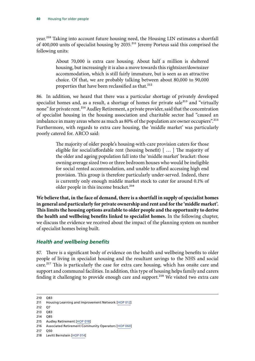year.<sup>210</sup> Taking into account future housing need, the Housing LIN estimates a shortfall of 400,000 units of specialist housing by 2035.<sup>211</sup> Jeremy Porteus said this comprised the following units:

> About 70,000 is extra care housing. About half a million is sheltered housing, but increasingly it is also a move towards this rightsizer/downsizer accommodation, which is still fairly immature, but is seen as an attractive choice. Of that, we are probably talking between about 80,000 to 90,000 properties that have been reclassified as that.<sup>212</sup>

<span id="page-43-0"></span>86. In addition, we heard that there was a particular shortage of privately developed specialist homes and, as a result, a shortage of homes for private sale<sup>213</sup> and "virtually none" for private rent.<sup>214</sup> Audley Retirement, a private provider, said that the concentration of specialist housing in the housing association and charitable sector had "caused an imbalance in many areas where as much as 80% of the population are owner occupiers".<sup>215</sup> Furthermore, with regards to extra care housing, the 'middle market' was particularly poorly catered for. ARCO said:

> The majority of older people's housing-with-care provision caters for those eligible for social/affordable rent (housing benefit) [ … ] The majority of the older and ageing population fall into the 'middle market' bracket: those owning average sized two or three bedroom houses who would be ineligible for social rented accommodation, and unable to afford accessing high end provision. This group is therefore particularly under-served. Indeed, there is currently only enough middle market stock to cater for around 0.1% of older people in this income bracket.<sup>216</sup>

**We believe that, in the face of demand, there is a shortfall in supply of specialist homes in general and particularly for private ownership and rent and for the 'middle market'. This limits the housing options available to older people and the opportunity to derive the health and wellbeing benefits linked to specialist homes.** In the following chapter, we discuss the evidence we received about the impact of the planning system on number of specialist homes being built.

#### *Health and wellbeing benefits*

<span id="page-43-1"></span>87. There is a significant body of evidence on the health and wellbeing benefits to older people of living in specialist housing and the resultant savings to the NHS and social care.<sup>217</sup> This is particularly the case for extra care housing, which has onsite care and support and communal facilities. In addition, this type of housing helps family and carers finding it challenging to provide enough care and support.<sup>218</sup> We visited two extra care

210 Q83

214 Q85

<sup>211</sup> Housing Learning and Improvement Network [[HOP 012](http://data.parliament.uk/writtenevidence/committeeevidence.svc/evidencedocument/communities-and-local-government-committee/housing-for-older-people/written/49166.pdf)]

<sup>212</sup> Q7

<sup>213</sup> Q83

<sup>215</sup> Audley Retirement [[HOP 018\]](http://data.parliament.uk/writtenevidence/committeeevidence.svc/evidencedocument/communities-and-local-government-committee/housing-for-older-people/written/49214.pdf)

<sup>216</sup> Associated Retirement Community Operators [[HOP 060](http://data.parliament.uk/writtenevidence/committeeevidence.svc/evidencedocument/communities-and-local-government-committee/housing-for-older-people/written/49340.pdf)]

<sup>217</sup> Q50

<sup>218</sup> Levitt Bernstein [[HOP 014\]](http://data.parliament.uk/writtenevidence/committeeevidence.svc/evidencedocument/communities-and-local-government-committee/housing-for-older-people/written/49197.pdf)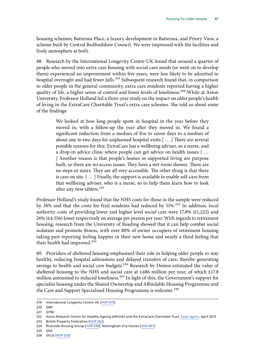housing schemes; Battersea Place, a luxury development in Battersea, and Priory View, a scheme built by Central Bedfordshire Council. We were impressed with the facilities and lively atmosphere at both.

88. Research by the International Longevity Centre-UK found that around a quarter of people who moved into extra care housing with social care needs (or went on to develop them) experienced an improvement within five years, were less likely to be admitted to hospital overnight and had fewer falls.<sup>219</sup> Subsequent research found that, in comparison to older people in the general community, extra care residents reported having a higher quality of life, a higher sense of control and lower levels of loneliness.<sup>220</sup> While at Aston University, Professor Holland led a three-year study on the impact on older people's health of living in the ExtraCare Charitable Trust's extra care schemes. She told us about some of the findings:

> We looked at how long people spent in hospital in the year before they moved in, with a follow-up the year after they moved in. We found a significant reduction from a median of five to seven days to a median of about one to two days for unplanned hospital visits [ … ] There are several possible reasons for this. ExtraCare has a wellbeing adviser, so a nurse, and a drop-in advice clinic where people can get advice on health issues [ … ] Another reason is that people's homes in supported living are purpose built, so there are no access issues. They have a wet room shower. There are no steps or stairs. They are all very accessible. The other thing is that there is care on site. [ … ] Finally, the support is available to enable self-care from that wellbeing adviser, who is a nurse, so to help them learn how to look after any new tablets.<sup>221</sup>

Professor Holland's study found that the NHS costs for those in the sample were reduced by 38% and that the costs for frail residents had reduced by 51%.<sup>222</sup> In addition, local authority costs of providing lower and higher level social care were 17.8% (£1,222) and 26% (£4,556) lower respectively on average per person per year. With regards to retirement housing, research from the University of Reading showed that it can help combat social isolation and promote fitness, with over 80% of owner occupiers of retirement housing taking part reporting feeling happier in their new home and nearly a third feeling that their health had improved.<sup>223</sup>

89. Providers of sheltered housing emphasised their role in helping older people to stay healthy, reducing hospital admissions and delayed transfers of care, thereby generating savings to health and social care budgets.<sup>224</sup> Research by Demos estimated the value of sheltered housing to the NHS and social care at £486 million per year, of which £17.8 million amounted to reduced loneliness.<sup>225</sup> In light of this, the Government's support for specialist housing under the Shared Ownership and Affordable Housing Programme and the Care and Support Specialised Housing Programme is welcome.<sup>226</sup>

<sup>219</sup> International Longevity Centre-UK [\[HOP 079\]](http://data.parliament.uk/writtenevidence/committeeevidence.svc/evidencedocument/communities-and-local-government-committee/housing-for-older-people/written/49390.pdf)

<sup>220</sup> Q49

<sup>221</sup> Q196

<sup>222</sup> Aston Research Centre for Healthy Ageing (ARCHA) and the ExtraCare Charitable Trust, [Final report,](http://www.aston.ac.uk/lhs/research/centres-facilities/archa/extracare-project/) April 2015 223 British Property Federation [\[HOP 062\]](http://data.parliament.uk/writtenevidence/committeeevidence.svc/evidencedocument/communities-and-local-government-committee/housing-for-older-people/written/49344.pdf)

<sup>224</sup> Riverside Housing Group [[HOP 048\]](http://data.parliament.uk/writtenevidence/committeeevidence.svc/evidencedocument/communities-and-local-government-committee/housing-for-older-people/written/49303.pdf), Nottingham City Homes [\[HOP 067\]](http://data.parliament.uk/writtenevidence/committeeevidence.svc/evidencedocument/communities-and-local-government-committee/housing-for-older-people/written/49354.pdf)

<sup>225</sup> Q50

<sup>226</sup> DCLG [[HOP 025](http://data.parliament.uk/writtenevidence/committeeevidence.svc/evidencedocument/communities-and-local-government-committee/housing-for-older-people/written/70900.pdf)]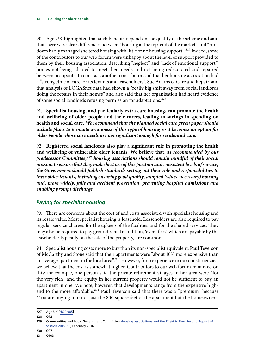90. Age UK highlighted that such benefits depend on the quality of the scheme and said that there were clear differences between "housing at the top-end of the market" and "rundown badly managed sheltered housing with little or no housing support".<sup>227</sup> Indeed, some of the contributors to our web forum were unhappy about the level of support provided to them by their housing association, describing "neglect" and "lack of emotional support", homes not being adapted to meet their needs and not being redecorated and repaired between occupants. In contrast, another contributor said that her housing association had a "strong ethic of care for its tenants and leaseholders". Sue Adams of Care and Repair said that analysis of LOGASnet data had shown a "really big shift away from social landlords doing the repairs in their homes" and also said that her organisation had heard evidence of some social landlords refusing permission for adaptations.<sup>228</sup>

91. **Specialist housing, and particularly extra care housing, can promote the health and wellbeing of older people and their carers, leading to savings in spending on health and social care.** *We recommend that the planned social care green paper should include plans to promote awareness of this type of housing so it becomes an option for older people whose care needs are not significant enough for residential care.* 

<span id="page-45-0"></span>92. **Registered social landlords also play a significant role in promoting the health and wellbeing of vulnerable older tenants. We believe that, a***s recommended by our predecessor Committee,*229 *housing associations should remain mindful of their social mission to ensure that they make best use of this position and consistent levels of service, the Government should publish standards setting out their role and responsibilities to their older tenants, including ensuring good quality, adapted (where necessary) housing and, more widely, falls and accident prevention, preventing hospital admissions and enabling prompt discharge.*

## *Paying for specialist housing*

93. There are concerns about the cost of and costs associated with specialist housing and its resale value. Most specialist housing is leasehold. Leaseholders are also required to pay regular service charges for the upkeep of the facilities and for the shared services. They may also be required to pay ground rent. In addition, 'event fees', which are payable by the leaseholder typically on the sale of the property, are common.

94. Specialist housing costs more to buy than its non-specialist equivalent. Paul Teverson of McCarthy and Stone said that their apartments were "about 10% more expensive than an average apartment in the local area".<sup>230</sup> However, from experience in our constituencies, we believe that the cost is somewhat higher. Contributors to our web forum remarked on this; for example, one person said the private retirement villages in her area were "for the very rich" and the equity in her current property would not be sufficient to buy an apartment in one. We note, however, that developments range from the expensive highend to the more affordable.<sup>231</sup> Paul Teverson said that there was a "premium" because "You are buying into not just the 800 square feet of the apartment but the homeowners'

<sup>227</sup> Age UK [\[HOP 085](http://data.parliament.uk/writtenevidence/committeeevidence.svc/evidencedocument/communities-and-local-government-committee/housing-for-older-people/written/49476.pdf)]

<sup>228</sup> Q72

<sup>229</sup> Communities and Local Government Committee Housing associations and the Right to Buy: Second Report of [Session 2015–16,](https://publications.parliament.uk/pa/cm201516/cmselect/cmcomloc/370/370.pdf) February 2016

<sup>230</sup> Q97

<sup>231</sup> Q103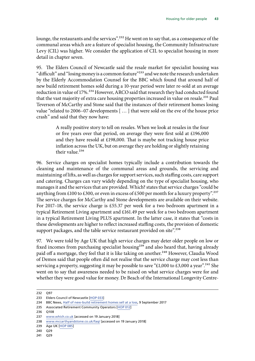lounge, the restaurants and the services".<sup>232</sup> He went on to say that, as a consequence of the communal areas which are a feature of specialist housing, the Community Infrastructure Levy (CIL) was higher. We consider the application of CIL to specialist housing in more detail in chapter seven.

95. The Elders Council of Newcastle said the resale market for specialist housing was "difficult" and "losing money is a common feature"<sup>233</sup> and we note the research undertaken by the Elderly Accommodation Counsel for the BBC which found that around half of new build retirement homes sold during a 10-year period were later re-sold at an average reduction in value of 17%.<sup>234</sup> However, ARCO said that research they had conducted found that the vast majority of extra care housing properties increased in value on resale.<sup>235</sup> Paul Teverson of McCarthy and Stone said that the instances of their retirement homes losing value "related to 2006–07 developments [ … ] that were sold on the eve of the house price crash" and said that they now have:

> A really positive story to tell on resales. When we look at resales in the four or five years over that period, on average they were first sold at £196,000 and they have resold at £198,000. That is maybe not tracking house price inflation across the UK, but on average they are holding or slightly retaining their value. $236$

96. Service charges on specialist homes typically include a contribution towards the cleaning and maintenance of the communal areas and grounds, the servicing and maintaining of lifts, as well as charges for support services, such staffing costs, care support and catering. Charges can vary widely depending on the type of specialist housing, who manages it and the services that are provided. Which? states that service charges "could be anything from £100 to £300, or even in excess of £500 per month for a luxury property".<sup>237</sup> The service charges for McCarthy and Stone developments are available on their website. For 2017–18, the service charge is £55.37 per week for a two bedroom apartment in a typical Retirement Living apartment and £161.49 per week for a two bedroom apartment in a typical Retirement Living PLUS apartment. In the latter case, it states that "costs in these developments are higher to reflect increased staffing costs, the provision of domestic support packages, and the table service restaurant provided on site".<sup>238</sup>

97. We were told by Age UK that high service charges may deter older people on low or fixed incomes from purchasing specialist housing<sup>239</sup> and also heard that, having already paid off a mortgage, they feel that it is like taking on another.<sup>240</sup> However, Claudia Wood of Demos said that people often did not realise that the service charge may cost less than servicing a property, suggesting it may be possible to save "£1,000 to £3,000 a year".<sup>241</sup> She went on to say that awareness needed to be raised on what service charges were for and whether they were good value for money. Dr Beach of the International Longevity Centre-

<sup>232</sup> Q97

<sup>233</sup> Elders Council of Newcastle [\[HOP 033\]](http://data.parliament.uk/writtenevidence/committeeevidence.svc/evidencedocument/communities-and-local-government-committee/housing-for-older-people/written/49272.pdf)

<sup>234</sup> BBC News, [Half of new-build retirement homes sell at a loss,](http://www.bbc.co.uk/news/business-41200686) 9 September 2017

<sup>235</sup> Associated Retirement Community Operators [[HOP 012](http://data.parliament.uk/writtenevidence/committeeevidence.svc/evidencedocument/communities-and-local-government-committee/housing-for-older-people/written/70792.pdf)]

<sup>236</sup> Q108

<sup>237</sup> [www.which.co.uk](http://www.which.co.uk) [accessed on 19 January 2018]

<sup>238</sup> [www.mccarthyandstone.co.uk/faq/](http://www.mccarthyandstone.co.uk/faq/) [accessed on 19 January 2018]

<sup>239</sup> Age UK [\[HOP 085](http://data.parliament.uk/writtenevidence/committeeevidence.svc/evidencedocument/communities-and-local-government-committee/housing-for-older-people/written/49476.pdf)]

<sup>240</sup> Q29

<sup>241</sup> Q29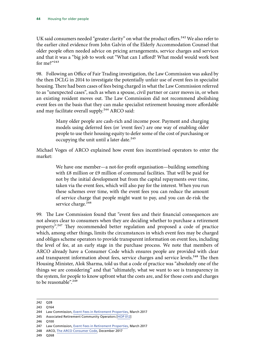UK said consumers needed "greater clarity" on what the product offers.<sup>242</sup> We also refer to the earlier cited evidence from John Galvin of the Elderly Accommodation Counsel that older people often needed advice on pricing arrangements, service charges and services and that it was a "big job to work out "What can I afford? What model would work best for me?"243

98. Following an Office of Fair Trading investigation, the Law Commission was asked by the then DCLG in 2014 to investigate the potentially unfair use of event fees in specialist housing. There had been cases of fees being charged in what the Law Commission referred to as "unexpected cases", such as when a spouse, civil partner or carer moves in, or when an existing resident moves out. The Law Commission did not recommend abolishing event fees on the basis that they can make specialist retirement housing more affordable and may facilitate overall supply.<sup>244</sup> ARCO said:

> Many older people are cash-rich and income poor. Payment and charging models using deferred fees (or 'event fees') are one way of enabling older people to use their housing equity to defer some of the cost of purchasing or occupying the unit until a later date.<sup>245</sup>

Michael Voges of ARCO explained how event fees incentivised operators to enter the market:

> We have one member—a not-for-profit organisation—building something with £8 million or £9 million of communal facilities. That will be paid for not by the initial development but from the capital repayments over time, taken via the event fees, which will also pay for the interest. When you run these schemes over time, with the event fees you can reduce the amount of service charge that people might want to pay, and you can de-risk the service charge.<sup>246</sup>

99. The Law Commission found that "event fees and their financial consequences are not always clear to consumers when they are deciding whether to purchase a retirement property".247 They recommended better regulation and proposed a code of practice which, among other things, limits the circumstances in which event fees may be charged and obliges scheme operators to provide transparent information on event fees, including the level of fee, at an early stage in the purchase process. We note that members of ARCO already have a Consumer Code which ensures people are provided with clear and transparent information about fees, service charges and service levels.<sup>248</sup> The then Housing Minister, Alok Sharma, told us that a code of practice was "absolutely one of the things we are considering" and that "ultimately, what we want to see is transparency in the system, for people to know upfront what the costs are, and for those costs and charges to be reasonable".<sup>249</sup>

246 Q100

249 Q268

<sup>242</sup> Q28 243 Q164

<sup>244</sup> Law Commission, [Event Fees in Retirement Properties,](https://s3-eu-west-2.amazonaws.com/lawcom-prod-storage-11jsxou24uy7q/uploads/2017/03/LC-373.pdf) March 2017

<sup>245</sup> Associated Retirement Community Operators [[HOP 012](http://data.parliament.uk/writtenevidence/committeeevidence.svc/evidencedocument/communities-and-local-government-committee/housing-for-older-people/written/70792.pdf)]

<sup>247</sup> Law Commission, [Event Fees in Retirement Properties,](https://s3-eu-west-2.amazonaws.com/lawcom-prod-storage-11jsxou24uy7q/uploads/2017/03/LC-373.pdf) March 2017

<sup>248</sup> ARCO, [The ARCO Consumer Code](http://arcouk.org/wp-content/uploads/2018/01/The-ARCO-Consumer-Code-2017.pdf), December 2017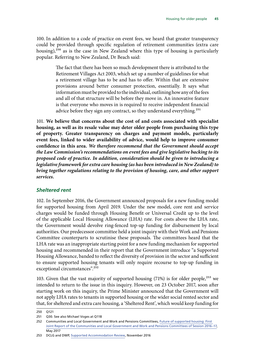100. In addition to a code of practice on event fees, we heard that greater transparency could be provided through specific regulation of retirement communities (extra care housing), $250$  as is the case in New Zealand where this type of housing is particularly popular. Referring to New Zealand, Dr Beach said:

> The fact that there has been so much development there is attributed to the Retirement Villages Act 2003, which set up a number of guidelines for what a retirement village has to be and has to offer. Within that are extensive provisions around better consumer protection, essentially. It says what information must be provided to the individual, outlining how any of the fees and all of that structure will be before they move in. An innovative feature is that everyone who moves in is required to receive independent financial advice before they sign any contract, so they understand everything.<sup>251</sup>

101. **We believe that concerns about the cost of and costs associated with specialist housing, as well as its resale value may deter older people from purchasing this type of property. Greater transparency on charges and payment models, particularly event fees, linked to wider availability of advice, would help to improve consumer confidence in this area.** *We therefore recommend that the Government should accept the Law Commission's recommendations on event fees and give legislative backing to its proposed code of practice. In addition, consideration should be given to introducing a legislative framework for extra care housing (as has been introduced in New Zealand) to bring together regulations relating to the provision of housing, care, and other support services.*

#### *Sheltered rent*

102. In September 2016, the Government announced proposals for a new funding model for supported housing from April 2019. Under the new model, core rent and service charges would be funded through Housing Benefit or Universal Credit up to the level of the applicable Local Housing Allowance (LHA) rate. For costs above the LHA rate, the Government would devolve ring-fenced top-up funding for disbursement by local authorities. Our predecessor committee held a joint inquiry with their Work and Pensions Committee counterparts to scrutinise these proposals. The committees heard that the LHA rate was an inappropriate starting point for a new funding mechanism for supported housing and recommended in their report that the Government introduce "a Supported Housing Allowance, banded to reflect the diversity of provision in the sector and sufficient to ensure supported housing tenants will only require recourse to top-up funding in exceptional circumstances".<sup>252</sup>

103. Given that the vast majority of supported housing  $(71%)$  is for older people,<sup>253</sup> we intended to return to the issue in this inquiry. However, on 23 October 2017, soon after starting work on this inquiry, the Prime Minister announced that the Government will not apply LHA rates to tenants in supported housing or the wider social rented sector and that, for sheltered and extra care housing, a 'Sheltered Rent', which would keep funding for

<sup>250</sup> Q121

<sup>251</sup> Q30. See also Michael Voges at Q118

<sup>252</sup> Communities and Local Government and Work and Pensions Committees, [Future of supported housing: First](https://publications.parliament.uk/pa/cm201617/cmselect/cmcomloc/867/867.pdf)  [Joint Report of the Communities and Local Government and Work and Pensions Committees of Session 2016–17](https://publications.parliament.uk/pa/cm201617/cmselect/cmcomloc/867/867.pdf), May 2017

<sup>253</sup> DCLG and DWP, [Supported Accommodation Review,](https://www.gov.uk/government/uploads/system/uploads/attachment_data/file/572454/rr927-supported-accommodation-review.pdf) November 2016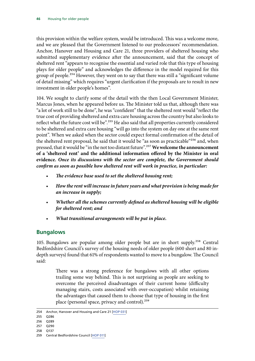this provision within the welfare system, would be introduced. This was a welcome move, and we are pleased that the Government listened to our predecessors' recommendation. Anchor, Hanover and Housing and Care 21, three providers of sheltered housing who submitted supplementary evidence after the announcement, said that the concept of sheltered rent "appears to recognise the essential and varied role that this type of housing plays for older people" and acknowledges the difference in the model required for this group of people.<sup>254</sup> However, they went on to say that there was still a "significant volume of detail missing" which requires "urgent clarification if the proposals are to result in new investment in older people's homes".

104. We sought to clarify some of the detail with the then Local Government Minister, Marcus Jones, when he appeared before us. The Minister told us that, although there was "a lot of work still to be done", he was "confident" that the sheltered rent would "reflect the true cost of providing sheltered and extra care housing across the country but also looks to reflect what the future cost will be".<sup>255</sup> He also said that all properties currently considered to be sheltered and extra care housing "will go into the system on day one at the same rent point". When we asked when the sector could expect formal confirmation of the detail of the sheltered rent proposal, he said that it would be "as soon as practicable"<sup>256</sup> and, when pressed, that it would be "in the not too distant future".257**We welcome the announcement of a 'sheltered rent' and the additional information offered by the Minister in oral evidence.** *Once its discussions with the sector are complete, the Government should confirm as soon as possible how sheltered rent will work in practice, in particular:*

- *The evidence base used to set the sheltered housing rent;*
- *How the rent will increase in future years and what provision is being made for an increase in supply;*
- *Whether all the schemes currently defined as sheltered housing will be eligible for sheltered rent; and*
- *What transitional arrangements will be put in place.*

## **Bungalows**

105. Bungalows are popular among older people but are in short supply.258 Central Bedfordshire Council's survey of the housing needs of older people (600 short and 80 indepth surveys) found that 61% of respondents wanted to move to a bungalow. The Council said:

> There was a strong preference for bungalows with all other options trailing some way behind. This is not surprising as people are seeking to overcome the perceived disadvantages of their current home (difficulty managing stairs, costs associated with over-occupation) whilst retaining the advantages that caused them to choose that type of housing in the first place (personal space, privacy and control).<sup>259</sup>

- 255 Q286
- 256 Q289
- 257 Q290
- 258 Q137

<sup>254</sup> Anchor, Hanover and Housing and Care 21 [[HOP 031\]](http://data.parliament.uk/writtenevidence/committeeevidence.svc/evidencedocument/communities-and-local-government-committee/housing-for-older-people/written/73985.pdf)

<sup>259</sup> Central Bedfordshire Council [[HOP 011](http://data.parliament.uk/writtenevidence/committeeevidence.svc/evidencedocument/communities-and-local-government-committee/housing-for-older-people/written/70790.pdf)]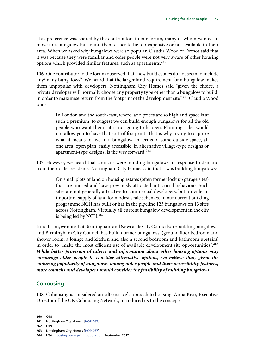This preference was shared by the contributors to our forum, many of whom wanted to move to a bungalow but found them either to be too expensive or not available in their area. When we asked why bungalows were so popular, Claudia Wood of Demos said that it was because they were familiar and older people were not very aware of other housing options which provided similar features, such as apartments.<sup>260</sup>

106. One contributor to the forum observed that "new build estates do not seem to include any/many bungalows". We heard that the larger land requirement for a bungalow makes them unpopular with developers. Nottingham City Homes said "given the choice, a private developer will normally choose any property type other than a bungalow to build, in order to maximise return from the footprint of the development site".<sup>261</sup> Claudia Wood said:

> In London and the south-east, where land prices are so high and space is at such a premium, to suggest we can build enough bungalows for all the old people who want them—it is not going to happen. Planning rules would not allow you to have that sort of footprint. That is why trying to capture what it means to live in a bungalow, in terms of some outside space, all one area, open plan, easily accessible, in alternative village-type designs or apartment-type designs, is the way forward.<sup>262</sup>

107. However, we heard that councils were building bungalows in response to demand from their older residents. Nottingham City Homes said that it was building bungalows:

> On small plots of land on housing estates (often former lock up garage sites) that are unused and have previously attracted anti-social behaviour. Such sites are not generally attractive to commercial developers, but provide an important supply of land for modest scale schemes. In our current building programme NCH has built or has in the pipeline 123 bungalows on 13 sites across Nottingham. Virtually all current bungalow development in the city is being led by NCH.<sup>263</sup>

In addition, we note that Birmingham and Newcastle City Councils are building bungalows, and Birmingham City Council has built 'dormer bungalows' (ground floor bedroom and shower room, a lounge and kitchen and also a second bedroom and bathroom upstairs) in order to "make the most efficient use of available development site opportunities".<sup>264</sup> *While better provision of advice and information about other housing options may*  encourage older people to consider alternative options, we believe that, given the *enduring popularity of bungalows among older people and their accessibility features, more councils and developers should consider the feasibility of building bungalows.*

## **Cohousing**

108. Cohousing is considered an 'alternative' approach to housing. Anna Kear, Executive Director of the UK Cohousing Network, introduced us to the concept:

<sup>260</sup> Q18 261 Nottingham City Homes [\[HOP 067](http://data.parliament.uk/writtenevidence/committeeevidence.svc/evidencedocument/communities-and-local-government-committee/housing-for-older-people/written/49354.pdf)]

<sup>262</sup> Q19

<sup>263</sup> Nottingham City Homes [\[HOP 067](http://data.parliament.uk/writtenevidence/committeeevidence.svc/evidencedocument/communities-and-local-government-committee/housing-for-older-people/written/49354.pdf)]

<sup>264</sup> LGA, [Housing our ageing population,](https://www.local.gov.uk/sites/default/files/documents/5.17%20-%20Housing%20our%20ageing%20population_07_0.pdf) September 2017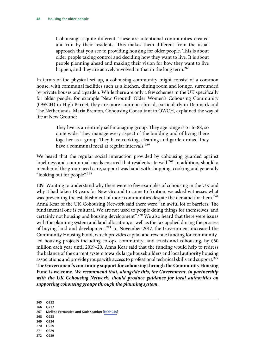Cohousing is quite different. These are intentional communities created and run by their residents. This makes them different from the usual approach that you see to providing housing for older people. This is about older people taking control and deciding how they want to live. It is about people planning ahead and making their vision for how they want to live happen, and they are actively involved in that in the long term.<sup>265</sup>

In terms of the physical set up, a cohousing community might consist of a common house, with communal facilities such as a kitchen, dining room and lounge, surrounded by private houses and a garden. While there are only a few schemes in the UK specifically for older people, for example 'New Ground' Older Women's Cohousing Community (OWCH) in High Barnet, they are more common abroad, particularly in Denmark and The Netherlands. Maria Brenton, Cohousing Consultant to OWCH, explained the way of life at New Ground:

> They live as an entirely self-managing group. They age range is 51 to 88, so quite wide. They manage every aspect of the building and of living there together as a group. They have cooking, cleaning and garden rotas. They have a communal meal at regular intervals.<sup>266</sup>

We heard that the regular social interaction provided by cohousing guarded against loneliness and communal meals ensured that residents ate well.<sup>267</sup> In addition, should a member of the group need care, support was hand with shopping, cooking and generally "looking out for people".268

109. Wanting to understand why there were so few examples of cohousing in the UK and why it had taken 18 years for New Ground to come to fruition, we asked witnesses what was preventing the establishment of more communities despite the demand for them.<sup>269</sup> Anna Kear of the UK Cohousing Network said there were "an awful lot of barriers. The fundamental one is cultural. We are not used to people doing things for themselves, and certainly not housing and housing development".<sup>270</sup> We also heard that there were issues with the planning system and land allocation, as well as the tax applied during the process of buying land and development.271 In November 2017, the Government increased the Community Housing Fund, which provides capital and revenue funding for communityled housing projects including co-ops, community land trusts and cohousing, by £60 million each year until 2019–20. Anna Kear said that the funding would help to redress the balance of the current system towards large housebuilders and local authority housing associations and provide groups with access to professional technical skills and support.<sup>272</sup> **The Government's continuing support for cohousing through the Community Housing Fund is welcome.** *We recommend that, alongside this, the Government, in partnership with the UK Cohousing Network, should produce guidance for local authorities on supporting cohousing groups through the planning system.*

265 Q222

- 266 Q222
- 267 Melissa Fernández and Kath Scanlon [[HOP 030](http://data.parliament.uk/writtenevidence/committeeevidence.svc/evidencedocument/communities-and-local-government-committee/housing-for-older-people/written/49262.pdf)]
- 268 Q228
- 269 Q224
- 270 Q229
- 271 Q229
- 272 Q229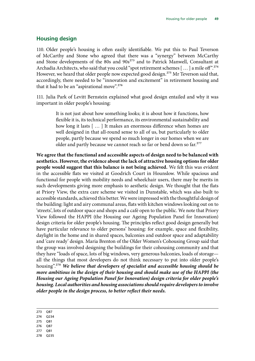#### **Housing design**

110. Older people's housing is often easily identifiable. We put this to Paul Teverson of McCarthy and Stone who agreed that there was a "synergy" between McCarthy and Stone developments of the 80s and 90s<sup>273</sup> and to Patrick Manwell, Consultant at Archadia Architects, who said that you could "spot retirement schemes [...] a mile off".<sup>274</sup> However, we heard that older people now expected good design.<sup>275</sup> Mr Teverson said that, accordingly, there needed to be "innovation and excitement" in retirement housing and that it had to be an "aspirational move".<sup>276</sup>

111. Julia Park of Levitt Bernstein explained what good design entailed and why it was important in older people's housing:

> It is not just about how something looks; it is about how it functions, how flexible it is, its technical performance, its environmental sustainability and how long it lasts [ … ] It makes an enormous difference when homes are well designed in that all-round sense to all of us, but particularly to older people, partly because we spend so much longer in our homes when we are older and partly because we cannot reach so far or bend down so far.<sup>277</sup>

**We agree that the functional and accessible aspects of design need to be balanced with aesthetics. However, the evidence about the lack of attractive housing options for older people would suggest that this balance is not being achieved.** We felt this was evident in the accessible flats we visited at Goodrich Court in Hounslow. While spacious and functional for people with mobility needs and wheelchair users, there may be merits in such developments giving more emphasis to aesthetic design. We thought that the flats at Priory View, the extra care scheme we visited in Dunstable, which was also built to accessible standards, achieved this better. We were impressed with the thoughtful design of the building: light and airy communal areas, flats with kitchen windows looking out on to 'streets', lots of outdoor space and shops and a café open to the public. We note that Priory View followed the HAPPI (the Housing our Ageing Population Panel for Innovation) design criteria for older people's housing. The principles reflect good design generally but have particular relevance to older persons' housing: for example, space and flexibility, daylight in the home and in shared spaces, balconies and outdoor space and adaptability and 'care ready' design. Maria Brenton of the Older Women's Cohousing Group said that the group was involved designing the buildings for their cohousing community and that they have "loads of space, lots of big windows, very generous balconies, loads of storage all the things that most developers do not think necessary to put into older people's housing".278 *We believe that developers of specialist and accessible housing should be more ambitious in the design of their housing and should make use of the HAPPI (the Housing our Ageing Population Panel for Innovation) design criteria for older people's housing. Local authorities and housing associations should require developers to involve older people in the design process, to better reflect their needs.*

273 Q87

274 Q234

275 Q81

276 Q87

277 Q81 278 Q235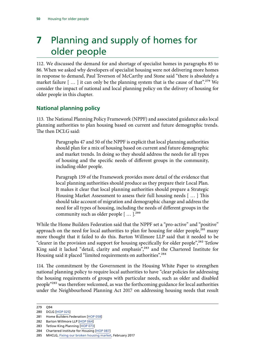# **7** Planning and supply of homes for older people

112. We discussed the demand for and shortage of specialist homes in paragraphs [85](#page-42-0) to [86.](#page-43-0) When we asked why developers of specialist housing were not delivering more homes in response to demand, Paul Teverson of McCarthy and Stone said "there is absolutely a market failure  $[$  ...  $]$  it can only be the planning system that is the cause of that".<sup>279</sup> We consider the impact of national and local planning policy on the delivery of housing for older people in this chapter.

# **National planning policy**

113. The National Planning Policy Framework (NPPF) and associated guidance asks local planning authorities to plan housing based on current and future demographic trends. The then DCLG said:

> Paragraphs 47 and 50 of the NPPF is explicit that local planning authorities should plan for a mix of housing based on current and future demographic and market trends. In doing so they should address the needs for all types of housing and the specific needs of different groups in the community, including older people.

> Paragraph 159 of the Framework provides more detail of the evidence that local planning authorities should produce as they prepare their Local Plan. It makes it clear that local planning authorities should prepare a Strategic Housing Market Assessment to assess their full housing needs [ … ] This should take account of migration and demographic change and address the need for all types of housing, including the needs of different groups in the community such as older people  $[\dots]$ <sup>280</sup>

While the Home Builders Federation said that the NPPF set a "pro-active" and "positive" approach on the need for local authorities to plan for housing for older people,<sup>281</sup> many more thought that it failed to do this. Barton Willmore LLP said that it needed to be "clearer in the provision and support for housing specifically for older people",<sup>282</sup> Tetlow King said it lacked "detail, clarity and emphasis",<sup>283</sup> and the Chartered Institute for Housing said it placed "limited requirements on authorities".<sup>284</sup>

114. The commitment by the Government in the Housing White Paper to strengthen national planning policy to require local authorities to have "clear policies for addressing the housing requirements of groups with particular needs, such as older and disabled people<sup>"285</sup> was therefore welcomed, as was the forthcoming guidance for local authorities under the Neighbourhood Planning Act 2017 on addressing housing needs that result

<sup>279</sup> Q94

<sup>280</sup> DCLG [[HOP 025](http://data.parliament.uk/writtenevidence/committeeevidence.svc/evidencedocument/communities-and-local-government-committee/housing-for-older-people/written/70900.pdf)]

<sup>281</sup> Home Builders Federation [\[HOP 058](http://data.parliament.uk/writtenevidence/committeeevidence.svc/evidencedocument/communities-and-local-government-committee/housing-for-older-people/written/49334.pdf)]

<sup>282</sup> Barton Willmore LLP [[HOP 064](http://data.parliament.uk/writtenevidence/committeeevidence.svc/evidencedocument/communities-and-local-government-committee/housing-for-older-people/written/49348.pdf)]

<sup>283</sup> Tetlow King Planning [[HOP 073\]](http://data.parliament.uk/writtenevidence/committeeevidence.svc/evidencedocument/communities-and-local-government-committee/housing-for-older-people/written/49360.pdf)

<sup>284</sup> Chartered Institute for Housing [[HOP 087\]](http://data.parliament.uk/writtenevidence/committeeevidence.svc/evidencedocument/communities-and-local-government-committee/housing-for-older-people/written/49525.pdf)

<sup>285</sup> MHCLG, [Fixing our broken housing market](https://www.gov.uk/government/uploads/system/uploads/attachment_data/file/590464/Fixing_our_broken_housing_market_-_print_ready_version.pdf), February 2017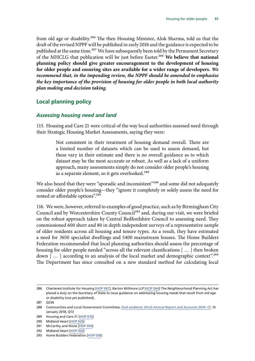from old age or disability.<sup>286</sup> The then Housing Minister, Alok Sharma, told us that the draft of the revised NPPF will be published in early 2018 and the guidance is expected to be published at the same time.<sup>287</sup> We have subsequently been told by the Permanent Secretary of the MHCLG that publication will be just before Easter.288 **We believe that national planning policy should give greater encouragement to the development of housing for older people and ensuring sites are available for a wider range of developers.** *We recommend that, in the impending review, the NPPF should be amended to emphasise the key importance of the provision of housing for older people in both local authority plan making and decision taking.*

#### **Local planning policy**

#### *Assessing housing need and land*

115. Housing and Care 21 were critical of the way local authorities assessed need through their Strategic Housing Market Assessments, saying they were:

> Not consistent in their treatment of housing demand overall. There are a limited number of datasets which can be used to assess demand, but these vary in their estimate and there is no overall guidance as to which dataset may be the most accurate or robust. As well as a lack of a uniform approach, many assessments simply do not consider older people's housing as a separate element, so it gets overlooked.<sup>289</sup>

We also heard that they were "sporadic and inconsistent"<sup>290</sup> and some did not adequately consider older people's housing—they "ignore it completely or solely assess the need for rented or affordable options".<sup>291</sup>

116. We were, however, referred to examples of good practice, such as by Birmingham City Council and by Worcestershire County Council<sup>292</sup> and, during our visit, we were briefed on the robust approach taken by Central Bedfordshire Council to assessing need. They commissioned 600 short and 80 in depth independent surveys of a representative sample of older residents across all housing and tenure types. As a result, they have estimated a need for 3650 specialist dwellings and 5400 mainstream houses. The Home Builders Federation recommended that local planning authorities should assess the percentage of housing for older people needed "across all the relevant classifications [ … ] then broken down [...] according to an analysis of the local market and demographic context".<sup>293</sup> The Department has since consulted on a new standard method for calculating local

<sup>286</sup> Chartered Institute for Housing [[HOP 087\]](http://data.parliament.uk/writtenevidence/committeeevidence.svc/evidencedocument/communities-and-local-government-committee/housing-for-older-people/written/49525.pdf), Barton Willmore LLP [[HOP 064](http://data.parliament.uk/writtenevidence/committeeevidence.svc/evidencedocument/communities-and-local-government-committee/housing-for-older-people/written/49348.pdf)] The Neighbourhood Planning Act has placed a duty on the Secretary of State to issue guidance on addressing housing needs that result from old age or disability (not yet published).

<sup>287</sup> Q236

<sup>288</sup> Communities and Local Government Committee, [Oral evidence: DCLG Annual Report and Accounts 2016–17](http://data.parliament.uk/writtenevidence/committeeevidence.svc/evidencedocument/communities-and-local-government-committee/dclg-annual-report-and-accounts-201617/oral/77090.pdf), 15 January 2018, Q13

<sup>289</sup> Housing and Care 21 [\[HOP 076](http://data.parliament.uk/writtenevidence/committeeevidence.svc/evidencedocument/communities-and-local-government-committee/housing-for-older-people/written/49371.pdf)]

<sup>290</sup> Midland Heart [\[HOP 026\]](http://data.parliament.uk/writtenevidence/committeeevidence.svc/evidencedocument/communities-and-local-government-committee/housing-for-older-people/written/49244.pdf)

<sup>291</sup> McCarthy and Stone [[HOP 059](http://data.parliament.uk/writtenevidence/committeeevidence.svc/evidencedocument/communities-and-local-government-committee/housing-for-older-people/written/49339.pdf)]

<sup>292</sup> Midland Heart [\[HOP 026\]](http://data.parliament.uk/writtenevidence/committeeevidence.svc/evidencedocument/communities-and-local-government-committee/housing-for-older-people/written/49244.pdf)

<sup>293</sup> Home Builders Federation [\[HOP 058](http://data.parliament.uk/writtenevidence/committeeevidence.svc/evidencedocument/communities-and-local-government-committee/housing-for-older-people/written/49334.pdf)]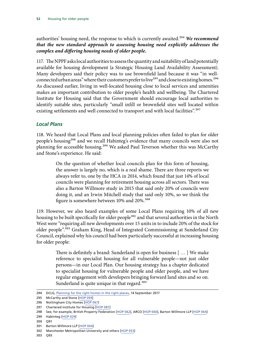authorities' housing need, the response to which is currently awaited.<sup>294</sup> We recommend *that the new standard approach to assessing housing need explicitly addresses the complex and differing housing needs of older people.*

117. The NPPF asks local authorities to assess the quantity and suitability of land potentially available for housing development (a Strategic Housing Land Availability Assessment). Many developers said their policy was to use brownfield land because it was "in wellconnected urban areas" where their customers prefer to live<sup>295</sup> and close to existing homes.<sup>296</sup> As discussed earlier, living in well-located housing close to local services and amenities makes an important contribution to older people's health and wellbeing. The Chartered Institute for Housing said that the Government should encourage local authorities to identify suitable sites, particularly "small infill or brownfield sites well located within existing settlements and well connected to transport and with local facilities".<sup>297</sup>

#### *Local Plans*

118. We heard that Local Plans and local planning policies often failed to plan for older people's housing<sup>298</sup> and we recall Habinteg's evidence that many councils were also not planning for accessible housing.<sup>299</sup> We asked Paul Teverson whether this was McCarthy and Stone's experience. He said:

> On the question of whether local councils plan for this form of housing, the answer is largely no, which is a real shame. There are three reports we always refer to, one by the HCA in 2014, which found that just 14% of local councils were planning for retirement housing across all sectors. There was also a Barton Willmore study in 2015 that said only 20% of councils were doing it, and an Irwin Mitchell study that said only 10%, so we think the figure is somewhere between 10% and 20%.<sup>300</sup>

119. However, we also heard examples of some Local Plans requiring 10% of all new housing to be built specifically for older people<sup>301</sup> and that several authorities in the North West were "requiring all new developments over 15 units in to include 20% of the stock for older people".<sup>302</sup> Graham King, Head of Integrated Commissioning at Sunderland City Council, explained why his council had been particularly successful at increasing housing for older people:

> There is definitely a brand: Sunderland is open for business [ … ] We make reference to specialist housing for all vulnerable people—not just older persons—in our Local Plan. Our housing strategy has a chapter dedicated to specialist housing for vulnerable people and older people, and we have regular engagement with developers bringing forward land sites and so on. Sunderland is quite unique in that regard.<sup>303</sup>

<sup>294</sup> DCLG, [Planning for the right homes in the right places](https://www.gov.uk/government/uploads/system/uploads/attachment_data/file/652888/Planning_for_Homes_Consultation_Document.pdf), 14 September 2017

<sup>295</sup> McCarthy and Stone [[HOP 059](http://data.parliament.uk/writtenevidence/committeeevidence.svc/evidencedocument/communities-and-local-government-committee/housing-for-older-people/written/49339.pdf)]

<sup>296</sup> Nottingham City Homes [\[HOP 067](http://data.parliament.uk/writtenevidence/committeeevidence.svc/evidencedocument/communities-and-local-government-committee/housing-for-older-people/written/49354.pdf)]

<sup>297</sup> Chartered Institute for Housing [[HOP 087\]](http://data.parliament.uk/writtenevidence/committeeevidence.svc/evidencedocument/communities-and-local-government-committee/housing-for-older-people/written/49525.pdf)

<sup>298</sup> See, for example, British Property Federation [\[HOP 062\]](http://data.parliament.uk/writtenevidence/committeeevidence.svc/evidencedocument/communities-and-local-government-committee/housing-for-older-people/written/49344.pdf), ARCO [[HOP 060\]](http://data.parliament.uk/writtenevidence/committeeevidence.svc/evidencedocument/communities-and-local-government-committee/housing-for-older-people/written/49340.pdf), Barton Willmore LLP [[HOP 064](http://data.parliament.uk/writtenevidence/committeeevidence.svc/evidencedocument/communities-and-local-government-committee/housing-for-older-people/written/49348.pdf)]

<sup>299</sup> Habinteg [[HOP 029\]](http://data.parliament.uk/writtenevidence/committeeevidence.svc/evidencedocument/communities-and-local-government-committee/housing-for-older-people/written/49260.pdf)

<sup>300</sup> Q91

<sup>301</sup> Barton Willmore LLP [[HOP 064](http://data.parliament.uk/writtenevidence/committeeevidence.svc/evidencedocument/communities-and-local-government-committee/housing-for-older-people/written/49348.pdf)]

<sup>302</sup> Manchester Metropolitan University and others [[HOP 053](http://data.parliament.uk/writtenevidence/committeeevidence.svc/evidencedocument/communities-and-local-government-committee/housing-for-older-people/written/49318.pdf)]

<sup>303</sup> Q93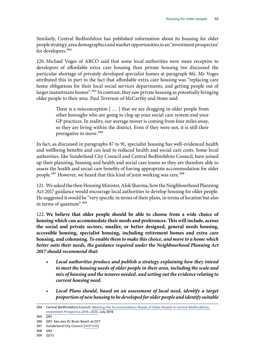Similarly, Central Bedfordshire has published information about its housing for older people strategy, area demographics and market opportunities in an 'investment prospectus' for developers.<sup>304</sup>

120. Michael Voges of ARCO said that some local authorities were more receptive to developers of affordable extra care housing than private housing (we discussed the particular shortage of privately developed specialist homes at paragraph [86](#page-43-0)). Mr Voges attributed this in part to the fact that affordable extra care housing was "replacing care home obligations for their local social services departments, and getting people out of larger mainstream homes".<sup>305</sup> In contrast, they saw private housing as potentially bringing older people to their area. Paul Teverson of McCarthy and Stone said:

> There is a misconception [ … ] that we are dragging in older people from other boroughs who are going to clog up your social care system and your GP practices. In reality, our average mover is coming from four miles away, so they are living within the district. Even if they were not, it is still their prerogative to move.<sup>306</sup>

In fact, as discussed in paragraphs [87](#page-43-1) to [91,](#page-45-0) specialist housing has well-evidenced health and wellbeing benefits and can lead to reduced health and social care costs. Some local authorities, like Sunderland City Council and Central Bedfordshire Council, have joined up their planning, housing and health and social care teams so they are therefore able to assess the health and social care benefits of having appropriate accommodation for older people.<sup>307</sup> However, we heard that this kind of joint working was rare.<sup>308</sup>

121. We asked the then Housing Minister, Alok Sharma, how the Neighbourhood Planning Act 2017 guidance would encourage local authorities to develop housing for older people. He suggested it would be "very specific in terms of their plans, in terms of location but also in terms of quantum".<sup>309</sup>

122. **We believe that older people should be able to choose from a wide choice of housing which can accommodate their needs and preferences. This will include, across the social and private sectors, smaller, or better designed, general needs housing, accessible housing, specialist housing, including retirement homes and extra care housing, and cohousing.** *To enable them to make this choice, and move to a home which better suits their needs, the guidance required under the Neighbourhood Planning Act 2017 should recommend that:*

- *Local authorities produce and publish a strategy explaining how they intend to meet the housing needs of older people in their area, including the scale and mix of housing and the tenures needed, and setting out the evidence relating to current housing need.*
- *Local Plans should, based on an assessment of local need, identify a target proportion of new housing to be developed for older people and identify suitable*

<sup>304</sup> Central Bedfordshire Council, [Meeting the Accommodation Needs of Older People in Central Bedfordshire:](http://www.centralbedfordshire.gov.uk/Images/manop-prospectus-2016-2020_tcm3-17756.pdf)  [Investment Prospectus 2016–2020](http://www.centralbedfordshire.gov.uk/Images/manop-prospectus-2016-2020_tcm3-17756.pdf), July 2016

<sup>305</sup> Q91

<sup>306</sup> Q91. See also Dr Brian Beach at Q17

<sup>307</sup> Sunderland City Council [[HOP 035](http://data.parliament.uk/writtenevidence/committeeevidence.svc/evidencedocument/communities-and-local-government-committee/housing-for-older-people/written/49278.pdf)]

<sup>308</sup> Q93

<sup>309</sup> Q272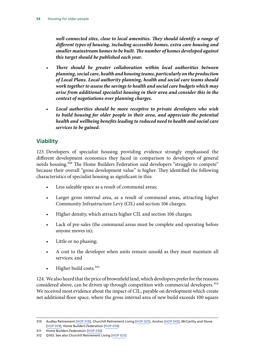*well-connected sites, close to local amenities. They should identify a range of different types of housing, including accessible homes, extra care housing and smaller mainstream homes to be built. The number of homes developed against this target should be published each year.*

- *There should be greater collaboration within local authorities between planning, social care, health and housing teams, particularly on the production of Local Plans. Local authority planning, health and social care teams should work together to assess the savings to health and social care budgets which may arise from additional specialist housing in their area and consider this in the context of negotiations over planning charges.*
- *Local authorities should be more receptive to private developers who wish to build housing for older people in their area, and appreciate the potential health and wellbeing benefits leading to reduced need to health and social care services to be gained.*

# **Viability**

123. Developers of specialist housing providing evidence strongly emphasised the different development economics they faced in comparison to developers of general needs housing.<sup>310</sup> The Home Builders Federation said developers "struggle to compete" because their overall "gross development value" is higher. They identified the following characteristics of specialist housing as significant in this:

- Less saleable space as a result of communal areas;
- Larger gross internal area, as a result of communal areas, attracting higher Community Infrastructure Levy (CIL) and section 106 charges;
- Higher density, which attracts higher CIL and section 106 charges;
- Lack of pre-sales (the communal areas must be complete and operating before anyone moves in);
- Little or no phasing;
- A cost to the developer when units remain unsold as they must maintain all services; and
- $\bullet$  Higher build costs.<sup>311</sup>

124. We also heard that the price of brownfield land, which developers prefer for the reasons considered above, can be driven up through competition with commercial developers.<sup>312</sup> We received most evidence about the impact of CIL, payable on development which create net additional floor space, where the gross internal area of new build exceeds 100 square

<sup>310</sup> Audley Retirement [[HOP 018\]](http://data.parliament.uk/writtenevidence/committeeevidence.svc/evidencedocument/communities-and-local-government-committee/housing-for-older-people/written/49214.pdf), Churchill Retirement Living [\[HOP 025\]](http://data.parliament.uk/writtenevidence/committeeevidence.svc/evidencedocument/communities-and-local-government-committee/housing-for-older-people/written/49242.pdf), Anchor [\[HOP 042\]](http://data.parliament.uk/writtenevidence/committeeevidence.svc/evidencedocument/communities-and-local-government-committee/housing-for-older-people/written/49290.pdf), McCarthy and Stone [\[HOP 059\]](http://data.parliament.uk/writtenevidence/committeeevidence.svc/evidencedocument/communities-and-local-government-committee/housing-for-older-people/written/49339.pdf), Home Builders Federation [\[HOP 058\]](http://data.parliament.uk/writtenevidence/committeeevidence.svc/evidencedocument/communities-and-local-government-committee/housing-for-older-people/written/49334.pdf)

<sup>311</sup> Home Builders Federation [\[HOP 058](http://data.parliament.uk/writtenevidence/committeeevidence.svc/evidencedocument/communities-and-local-government-committee/housing-for-older-people/written/49334.pdf)]

<sup>312</sup> Q103. See also Churchill Retirement Living [\[HOP 025\]](http://data.parliament.uk/writtenevidence/committeeevidence.svc/evidencedocument/communities-and-local-government-committee/housing-for-older-people/written/49242.pdf)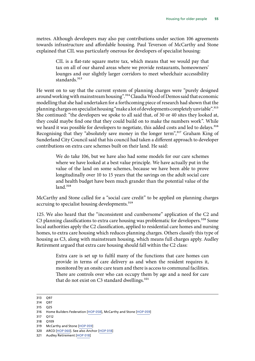metres. Although developers may also pay contributions under section 106 agreements towards infrastructure and affordable housing. Paul Teverson of McCarthy and Stone explained that CIL was particularly onerous for developers of specialist housing:

> CIL is a flat-rate square metre tax, which means that we would pay that tax on all of our shared areas where we provide restaurants, homeowners' lounges and our slightly larger corridors to meet wheelchair accessibility standards.<sup>313</sup>

He went on to say that the current system of planning charges were "purely designed around working with mainstream housing".<sup>314</sup> Claudia Wood of Demos said that economic modelling that she had undertaken for a forthcoming piece of research had shown that the planning charges on specialist housing "make a lot of developments completely unviable".315 She continued: "the developers we spoke to all said that, of 30 or 40 sites they looked at, they could maybe find one that they could build on to make the numbers work". While we heard it was possible for developers to negotiate, this added costs and led to delays.<sup>316</sup> Recognising that they "absolutely save money in the longer term",<sup>317</sup> Graham King of Sunderland City Council said that his council had taken a different approach to developer contributions on extra care schemes built on their land. He said:

> We do take 106, but we have also had some models for our care schemes where we have looked at a best value principle. We have actually put in the value of the land on some schemes, because we have been able to prove longitudinally over 10 to 15 years that the savings on the adult social care and health budget have been much grander than the potential value of the  $land.<sup>318</sup>$

McCarthy and Stone called for a "social care credit" to be applied on planning charges accruing to specialist housing developments.<sup>319</sup>

125. We also heard that the "inconsistent and cumbersome" application of the C2 and C3 planning classifications to extra care housing was problematic for developers.<sup>320</sup> Some local authorities apply the C2 classification, applied to residential care homes and nursing homes, to extra care housing which reduces planning charges. Others classify this type of housing as C3, along with mainstream housing, which means full charges apply. Audley Retirement argued that extra care housing should fall within the C2 class:

> Extra care is set up to fulfil many of the functions that care homes can provide in terms of care delivery as and when the resident requires it, monitored by an onsite care team and there is access to communal facilities. There are controls over who can occupy them by age and a need for care that do not exist on C3 standard dwellings.<sup>321</sup>

315 Q25

- 317 Q112
- 318 Q109
- 319 McCarthy and Stone [[HOP 059](http://data.parliament.uk/writtenevidence/committeeevidence.svc/evidencedocument/communities-and-local-government-committee/housing-for-older-people/written/49339.pdf)]
- 320 ARCO [[HOP 060\]](http://data.parliament.uk/writtenevidence/committeeevidence.svc/evidencedocument/communities-and-local-government-committee/housing-for-older-people/written/49340.pdf). See also Anchor [[HOP 018](http://data.parliament.uk/writtenevidence/committeeevidence.svc/evidencedocument/communities-and-local-government-committee/housing-for-older-people/written/49214.pdf)]

<sup>313</sup> Q97

<sup>314</sup> Q97

<sup>316</sup> Home Builders Federation [\[HOP 058](http://data.parliament.uk/writtenevidence/committeeevidence.svc/evidencedocument/communities-and-local-government-committee/housing-for-older-people/written/49334.pdf)], McCarthy and Stone [[HOP 059](http://data.parliament.uk/writtenevidence/committeeevidence.svc/evidencedocument/communities-and-local-government-committee/housing-for-older-people/written/49339.pdf)]

<sup>321</sup> Audley Retirement [[HOP 018\]](http://data.parliament.uk/writtenevidence/committeeevidence.svc/evidencedocument/communities-and-local-government-committee/housing-for-older-people/written/49214.pdf)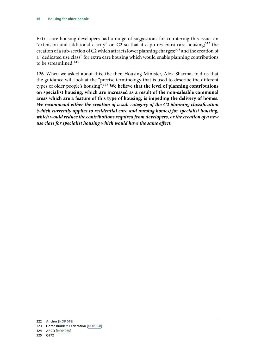Extra care housing developers had a range of suggestions for countering this issue: an "extension and additional clarity" on C2 so that it captures extra care housing; $322$  the creation of a sub-section of C2 which attracts lower planning charges;<sup>323</sup> and the creation of a "dedicated use class" for extra care housing which would enable planning contributions to be streamlined.<sup>324</sup>

126. When we asked about this, the then Housing Minister, Alok Sharma, told us that the guidance will look at the "precise terminology that is used to describe the different types of older people's housing".325 **We believe that the level of planning contributions on specialist housing, which are increased as a result of the non-saleable communal areas which are a feature of this type of housing, is impeding the delivery of homes.** *We recommend either the creation of a sub-category of the C2 planning classification (which currently applies to residential care and nursing homes) for specialist housing, which would reduce the contributions required from developers, or the creation of a new use class for specialist housing which would have the same effect.*

<sup>322</sup> Anchor [\[HOP 018](http://data.parliament.uk/writtenevidence/committeeevidence.svc/evidencedocument/communities-and-local-government-committee/housing-for-older-people/written/49214.pdf)]

<sup>323</sup> Home Builders Federation [\[HOP 058](http://data.parliament.uk/writtenevidence/committeeevidence.svc/evidencedocument/communities-and-local-government-committee/housing-for-older-people/written/49334.pdf)]

<sup>324</sup> ARCO [[HOP 060\]](http://data.parliament.uk/writtenevidence/committeeevidence.svc/evidencedocument/communities-and-local-government-committee/housing-for-older-people/written/49340.pdf)

<sup>325</sup> Q272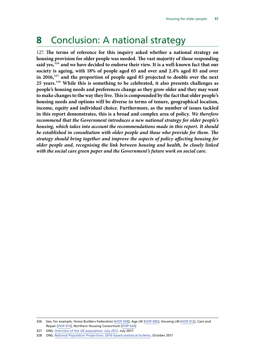# **8** Conclusion: A national strategy

127. **The terms of reference for this inquiry asked whether a national strategy on housing provision for older people was needed. The vast majority of those responding said yes,**326 **and we have decided to endorse their view. It is a well-known fact that our society is ageing, with 18% of people aged 65 and over and 2.4% aged 85 and over in 2016,**327 **and the proportion of people aged 85 projected to double over the next 25 years.**328 **While this is something to be celebrated, it also presents challenges as people's housing needs and preferences change as they grow older and they may want to make changes to the way they live. This is compounded by the fact that older people's housing needs and options will be diverse in terms of tenure, geographical location, income, equity and individual choice. Furthermore, as the number of issues tackled in this report demonstrates, this is a broad and complex area of policy.** *We therefore recommend that the Government introduces a new national strategy for older people's housing, which takes into account the recommendations made in this report. It should be established in consultation with older people and those who provide for them. The strategy should bring together and improve the aspects of policy affecting housing for older people and, recognising the link between housing and health, be closely linked with the social care green paper and the Government's future work on social care.*

<sup>326</sup> See, for example, Home Builders Federation [\[HOP 058\]](http://data.parliament.uk/writtenevidence/committeeevidence.svc/evidencedocument/communities-and-local-government-committee/housing-for-older-people/written/49334.pdf), Age UK [\[HOP 085](http://data.parliament.uk/writtenevidence/committeeevidence.svc/evidencedocument/communities-and-local-government-committee/housing-for-older-people/written/49476.pdf)], Housing LIN [[HOP 012\]](http://data.parliament.uk/writtenevidence/committeeevidence.svc/evidencedocument/communities-and-local-government-committee/housing-for-older-people/written/49166.pdf), Care and Repair [\[HOP 013](http://data.parliament.uk/writtenevidence/committeeevidence.svc/evidencedocument/communities-and-local-government-committee/housing-for-older-people/written/49171.pdf)], Northern Housing Consortium [\[HOP 026\]](http://data.parliament.uk/writtenevidence/committeeevidence.svc/evidencedocument/communities-and-local-government-committee/housing-for-older-people/written/70901.pdf)

<sup>327</sup> ONS, [Overview of the UK population: July 2017](https://www.ons.gov.uk/releases/overviewoftheukpopulationjuly2017), July 2017

<sup>328</sup> ONS, [National Population Projections: 2016-based statistical bulletin,](https://www.ons.gov.uk/peoplepopulationandcommunity/populationandmigration/populationprojections/bulletins/nationalpopulationprojections/2016basedstatisticalbulletin) October 2017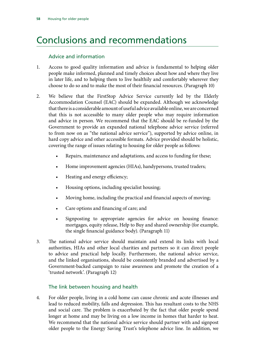# Conclusions and recommendations

### Advice and information

- 1. Access to good quality information and advice is fundamental to helping older people make informed, planned and timely choices about how and where they live in later life, and to helping them to live healthily and comfortably wherever they choose to do so and to make the most of their financial resources. (Paragraph 10)
- 2. We believe that the FirstStop Advice Service currently led by the Elderly Accommodation Counsel (EAC) should be expanded. Although we acknowledge that there is a considerable amount of useful advice available online, we are concerned that this is not accessible to many older people who may require information and advice in person. We recommend that the EAC should be re-funded by the Government to provide an expanded national telephone advice service (referred to from now on as "the national advice service"), supported by advice online, in hard copy advice and other accessible formats. Advice provided should be holistic, covering the range of issues relating to housing for older people as follows:
	- Repairs, maintenance and adaptations, and access to funding for these;
	- Home improvement agencies (HIAs), handypersons, trusted traders;
	- Heating and energy efficiency;
	- Housing options, including specialist housing;
	- Moving home, including the practical and financial aspects of moving;
	- Care options and financing of care; and
	- Signposting to appropriate agencies for advice on housing finance: mortgages, equity release, Help to Buy and shared ownership (for example, the single financial guidance body). (Paragraph 11)
- 3. The national advice service should maintain and extend its links with local authorities, HIAs and other local charities and partners so it can direct people to advice and practical help locally. Furthermore, the national advice service, and the linked organisations, should be consistently branded and advertised by a Government-backed campaign to raise awareness and promote the creation of a 'trusted network'. (Paragraph 12)

#### The link between housing and health

4. For older people, living in a cold home can cause chronic and acute illnesses and lead to reduced mobility, falls and depression. This has resultant costs to the NHS and social care. The problem is exacerbated by the fact that older people spend longer at home and may be living on a low income in homes that harder to heat. We recommend that the national advice service should partner with and signpost older people to the Energy Saving Trust's telephone advice line. In addition, we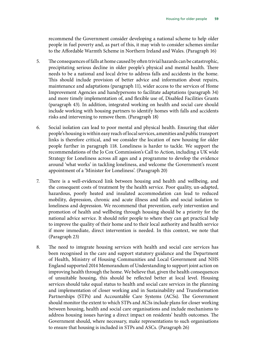recommend the Government consider developing a national scheme to help older people in fuel poverty and, as part of this, it may wish to consider schemes similar to the Affordable Warmth Scheme in Northern Ireland and Wales. (Paragraph 16)

- 5. The consequences of falls at home caused by often trivial hazards can be catastrophic, precipitating serious decline in older people's physical and mental health. There needs to be a national and local drive to address falls and accidents in the home. This should include provision of better advice and information about repairs, maintenance and adaptations (paragraph 11), wider access to the services of Home Improvement Agencies and handypersons to facilitate adaptations (paragraph 34) and more timely implementation of, and flexible use of, Disabled Facilities Grants (paragraph 43). In addition, integrated working on health and social care should include working with housing partners to identify homes with falls and accidents risks and intervening to remove them. (Paragraph 18)
- 6. Social isolation can lead to poor mental and physical health. Ensuring that older people's housing is within easy reach of local services, amenities and public transport links is therefore critical, and we consider the location of new housing for older people further in paragraph 118. Loneliness is harder to tackle. We support the recommendations of the Jo Cox Commission's Call to Action, including a UK wide Strategy for Loneliness across all ages and a programme to develop the evidence around 'what works' in tackling loneliness, and welcome the Government's recent appointment of a 'Minister for Loneliness'. (Paragraph 20)
- 7. There is a well-evidenced link between housing and health and wellbeing, and the consequent costs of treatment by the health service. Poor quality, un-adapted, hazardous, poorly heated and insulated accommodation can lead to reduced mobility, depression, chronic and acute illness and falls and social isolation to loneliness and depression. We recommend that prevention, early intervention and promotion of health and wellbeing through housing should be a priority for the national advice service. It should refer people to where they can get practical help to improve the quality of their home and to their local authority and health service if more immediate, direct intervention is needed. In this context, we note that (Paragraph 23)
- 8. The need to integrate housing services with health and social care services has been recognised in the care and support statutory guidance and the Department of Health, Ministry of Housing Communities and Local Government and NHS England supported 2014 Memorandum of Understanding to support joint action on improving health through the home. We believe that, given the health consequences of unsuitable housing, this should be reflected better at local level. Housing services should take equal status to health and social care services in the planning and implementation of closer working and in Sustainability and Transformation Partnerships (STPs) and Accountable Care Systems (ACSs). The Government should monitor the extent to which STPs and ACSs include plans for closer working between housing, health and social care organisations and include mechanisms to address housing issues having a direct impact on residents' health outcomes. The Government should, where necessary, make representations to such organisations to ensure that housing is included in STPs and ASCs. (Paragraph 26)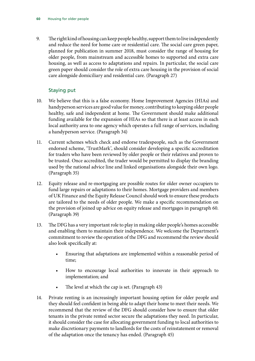9. The right kind of housing can keep people healthy, support them to live independently and reduce the need for home care or residential care. The social care green paper, planned for publication in summer 2018, must consider the range of housing for older people, from mainstream and accessible homes to supported and extra care housing, as well as access to adaptations and repairs. In particular, the social care green paper should consider the role of extra care housing in the provision of social care alongside domiciliary and residential care. (Paragraph 27)

## Staying put

- 10. We believe that this is a false economy. Home Improvement Agencies (HIAs) and handyperson services are good value for money, contributing to keeping older people healthy, safe and independent at home. The Government should make additional funding available for the expansion of HIAs so that there is at least access in each local authority area to one agency which operates a full range of services, including a handyperson service. (Paragraph 34)
- 11. Current schemes which check and endorse tradespeople, such as the Government endorsed scheme, 'TrustMark', should consider developing a specific accreditation for traders who have been reviewed by older people or their relatives and proven to be trusted. Once accredited, the trader would be permitted to display the branding used by the national advice line and linked organisations alongside their own logo. (Paragraph 35)
- 12. Equity release and re-mortgaging are possible routes for older owner occupiers to fund large repairs or adaptations to their homes. Mortgage providers and members of UK Finance and the Equity Release Council should work to ensure these products are tailored to the needs of older people. We make a specific recommendation on the provision of joined up advice on equity release and mortgages in paragraph 60. (Paragraph 39)
- 13. The DFG has a very important role to play in making older people's homes accessible and enabling them to maintain their independence. We welcome the Department's commitment to review the operation of the DFG and recommend the review should also look specifically at:
	- Ensuring that adaptations are implemented within a reasonable period of time;
	- How to encourage local authorities to innovate in their approach to implementation; and
	- The level at which the cap is set. (Paragraph 43)
- 14. Private renting is an increasingly important housing option for older people and they should feel confident in being able to adapt their home to meet their needs. We recommend that the review of the DFG should consider how to ensure that older tenants in the private rented sector secure the adaptations they need. In particular, it should consider the case for allocating government funding to local authorities to make discretionary payments to landlords for the costs of reinstatement or removal of the adaptation once the tenancy has ended. (Paragraph 45)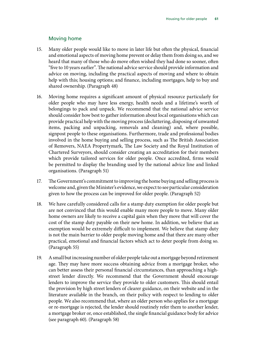#### Moving home

- 15. Many older people would like to move in later life but often the physical, financial and emotional aspects of moving home prevent or delay them from doing so, and we heard that many of those who do move often wished they had done so sooner, often "five to 10 years earlier". The national advice service should provide information and advice on moving, including the practical aspects of moving and where to obtain help with this; housing options; and finance, including mortgages, help to buy and shared ownership. (Paragraph 48)
- 16. Moving home requires a significant amount of physical resource particularly for older people who may have less energy, health needs and a lifetime's worth of belongings to pack and unpack. We recommend that the national advice service should consider how best to gather information about local organisations which can provide practical help with the moving process (decluttering, disposing of unwanted items, packing and unpacking, removals and cleaning) and, where possible, signpost people to these organisations. Furthermore, trade and professional bodies involved in the home buying and selling process, such as The British Association of Removers, NAEA Propertymark, The Law Society and the Royal Institution of Chartered Surveyors, should consider creating an accreditation for their members which provide tailored services for older people. Once accredited, firms would be permitted to display the branding used by the national advice line and linked organisations. (Paragraph 51)
- 17. The Government's commitment to improving the home buying and selling process is welcome and, given the Minister's evidence, we expect to see particular consideration given to how the process can be improved for older people. (Paragraph 52)
- 18. We have carefully considered calls for a stamp duty exemption for older people but are not convinced that this would enable many more people to move. Many older home owners are likely to receive a capital gain when they move that will cover the cost of the stamp duty payable on their new home. In addition, we believe that an exemption would be extremely difficult to implement. We believe that stamp duty is not the main barrier to older people moving home and that there are many other practical, emotional and financial factors which act to deter people from doing so. (Paragraph 55)
- 19. A small but increasing number of older people take out a mortgage beyond retirement age. They may have more success obtaining advice from a mortgage broker, who can better assess their personal financial circumstances, than approaching a highstreet lender directly. We recommend that the Government should encourage lenders to improve the service they provide to older customers. This should entail the provision by high street lenders of clearer guidance, on their website and in the literature available in the branch, on their policy with respect to lending to older people. We also recommend that, where an older person who applies for a mortgage or re-mortgage is rejected, the lender should routinely refer them to another lender, a mortgage broker or, once established, the single financial guidance body for advice (see paragraph 60). (Paragraph 58)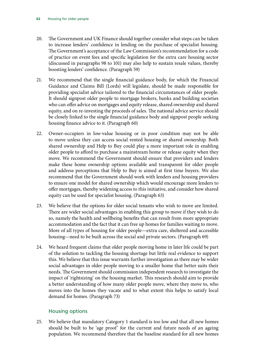- 20. The Government and UK Finance should together consider what steps can be taken to increase lenders' confidence in lending on the purchase of specialist housing. The Government's acceptance of the Law Commission's recommendation for a code of practice on event fees and specific legislation for the extra care housing sector (discussed in paragraphs 98 to 101) may also help to sustain resale values, thereby boosting lenders' confidence. (Paragraph 59)
- 21. We recommend that the single financial guidance body, for which the Financial Guidance and Claims Bill (Lords) will legislate, should be made responsible for providing specialist advice tailored to the financial circumstances of older people. It should signpost older people to mortgage brokers, banks and building societies who can offer advice on mortgages and equity release, shared ownership and shared equity, and on re-investing the proceeds of sales. The national advice service should be closely linked to the single financial guidance body and signpost people seeking housing finance advice to it. (Paragraph 60)
- 22. Owner-occupiers in low-value housing or in poor condition may not be able to move unless they can access social rented housing or shared ownership. Both shared ownership and Help to Buy could play a more important role in enabling older people to afford to purchase a mainstream home or release equity when they move. We recommend the Government should ensure that providers and lenders make these home ownership options available and transparent for older people and address perceptions that Help to Buy is aimed at first time buyers. We also recommend that the Government should work with lenders and housing providers to ensure one model for shared ownership which would encourage more lenders to offer mortgages, thereby widening access to this initiative, and consider how shared equity can be used for specialist housing. (Paragraph 63)
- 23. We believe that the options for older social tenants who wish to move are limited. There are wider social advantages in enabling this group to move if they wish to do so, namely the health and wellbeing benefits that can result from more appropriate accommodation and the fact that it can free up homes for families waiting to move. More of all types of housing for older people—extra care, sheltered and accessible housing—need to be built across the social and private sectors. (Paragraph 69)
- 24. We heard frequent claims that older people moving home in later life could be part of the solution to tackling the housing shortage but little real evidence to support this. We believe that this issue warrants further investigation as there may be wider social advantages in older people moving to a smaller home that better suits their needs. The Government should commission independent research to investigate the impact of 'rightsizing' on the housing market. This research should aim to provide a better understanding of how many older people move, where they move to, who moves into the homes they vacate and to what extent this helps to satisfy local demand for homes. (Paragraph 73)

## Housing options

25. We believe that mandatory Category 1 standard is too low and that all new homes should be built to be 'age proof' for the current and future needs of an ageing population. We recommend therefore that the baseline standard for all new homes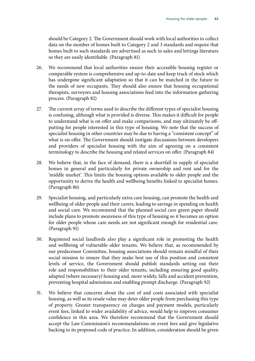should be Category 2. The Government should work with local authorities to collect data on the number of homes built to Category 2 and 3 standards and require that homes built to such standards are advertised as such in sales and lettings literature so they are easily identifiable. (Paragraph 81)

- 26. We recommend that local authorities ensure their accessible housing register or comparable system is comprehensive and up-to-date and keep track of stock which has undergone significant adaptation so that it can be matched in the future to the needs of new occupants. They should also ensure that housing occupational therapists, surveyors and housing associations feed into the information gathering process. (Paragraph 82)
- 27. The current array of terms used to describe the different types of specialist housing is confusing, although what is provided is diverse. This makes it difficult for people to understand what is on offer and make comparisons, and may ultimately be offputting for people interested in this type of housing. We note that the success of specialist housing in other countries may be due to having a "consistent concept" of what is on offer. The Government should instigate discussions between developers and providers of specialist housing with the aim of agreeing on a consistent terminology to describe the housing and related services on offer. (Paragraph 84)
- 28. We believe that, in the face of demand, there is a shortfall in supply of specialist homes in general and particularly for private ownership and rent and for the 'middle market'. This limits the housing options available to older people and the opportunity to derive the health and wellbeing benefits linked to specialist homes. (Paragraph 86)
- 29. Specialist housing, and particularly extra care housing, can promote the health and wellbeing of older people and their carers, leading to savings in spending on health and social care. We recommend that the planned social care green paper should include plans to promote awareness of this type of housing so it becomes an option for older people whose care needs are not significant enough for residential care. (Paragraph 91)
- 30. Registered social landlords also play a significant role in promoting the health and wellbeing of vulnerable older tenants. We believe that, as recommended by our predecessor Committee, housing associations should remain mindful of their social mission to ensure that they make best use of this position and consistent levels of service, the Government should publish standards setting out their role and responsibilities to their older tenants, including ensuring good quality, adapted (where necessary) housing and, more widely, falls and accident prevention, preventing hospital admissions and enabling prompt discharge. (Paragraph 92)
- 31. We believe that concerns about the cost of and costs associated with specialist housing, as well as its resale value may deter older people from purchasing this type of property. Greater transparency on charges and payment models, particularly event fees, linked to wider availability of advice, would help to improve consumer confidence in this area. We therefore recommend that the Government should accept the Law Commission's recommendations on event fees and give legislative backing to its proposed code of practice. In addition, consideration should be given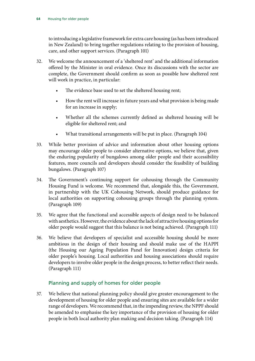to introducing a legislative framework for extra care housing (as has been introduced in New Zealand) to bring together regulations relating to the provision of housing, care, and other support services. (Paragraph 101)

- 32. We welcome the announcement of a 'sheltered rent' and the additional information offered by the Minister in oral evidence. Once its discussions with the sector are complete, the Government should confirm as soon as possible how sheltered rent will work in practice, in particular:
	- The evidence base used to set the sheltered housing rent;
	- How the rent will increase in future years and what provision is being made for an increase in supply;
	- Whether all the schemes currently defined as sheltered housing will be eligible for sheltered rent; and
	- What transitional arrangements will be put in place. (Paragraph 104)
- 33. While better provision of advice and information about other housing options may encourage older people to consider alternative options, we believe that, given the enduring popularity of bungalows among older people and their accessibility features, more councils and developers should consider the feasibility of building bungalows. (Paragraph 107)
- 34. The Government's continuing support for cohousing through the Community Housing Fund is welcome. We recommend that, alongside this, the Government, in partnership with the UK Cohousing Network, should produce guidance for local authorities on supporting cohousing groups through the planning system. (Paragraph 109)
- 35. We agree that the functional and accessible aspects of design need to be balanced with aesthetics. However, the evidence about the lack of attractive housing options for older people would suggest that this balance is not being achieved. (Paragraph 111)
- 36. We believe that developers of specialist and accessible housing should be more ambitious in the design of their housing and should make use of the HAPPI (the Housing our Ageing Population Panel for Innovation) design criteria for older people's housing. Local authorities and housing associations should require developers to involve older people in the design process, to better reflect their needs. (Paragraph 111)

## Planning and supply of homes for older people

37. We believe that national planning policy should give greater encouragement to the development of housing for older people and ensuring sites are available for a wider range of developers. We recommend that, in the impending review, the NPPF should be amended to emphasise the key importance of the provision of housing for older people in both local authority plan making and decision taking. (Paragraph 114)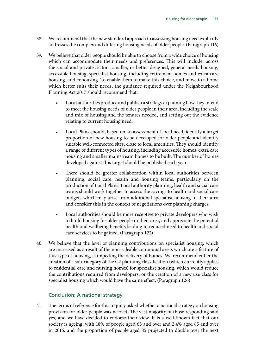- 38. We recommend that the new standard approach to assessing housing need explicitly addresses the complex and differing housing needs of older people. (Paragraph 116)
- 39. We believe that older people should be able to choose from a wide choice of housing which can accommodate their needs and preferences. This will include, across the social and private sectors, smaller, or better designed, general needs housing, accessible housing, specialist housing, including retirement homes and extra care housing, and cohousing. To enable them to make this choice, and move to a home which better suits their needs, the guidance required under the Neighbourhood Planning Act 2017 should recommend that:
	- Local authorities produce and publish a strategy explaining how they intend to meet the housing needs of older people in their area, including the scale and mix of housing and the tenures needed, and setting out the evidence relating to current housing need.
	- Local Plans should, based on an assessment of local need, identify a target proportion of new housing to be developed for older people and identify suitable well-connected sites, close to local amenities. They should identify a range of different types of housing, including accessible homes, extra care housing and smaller mainstream homes to be built. The number of homes developed against this target should be published each year.
	- There should be greater collaboration within local authorities between planning, social care, health and housing teams, particularly on the production of Local Plans. Local authority planning, health and social care teams should work together to assess the savings to health and social care budgets which may arise from additional specialist housing in their area and consider this in the context of negotiations over planning charges.
	- Local authorities should be more receptive to private developers who wish to build housing for older people in their area, and appreciate the potential health and wellbeing benefits leading to reduced need to health and social care services to be gained. (Paragraph 122)
- 40. We believe that the level of planning contributions on specialist housing, which are increased as a result of the non-saleable communal areas which are a feature of this type of housing, is impeding the delivery of homes. We recommend either the creation of a sub-category of the C2 planning classification (which currently applies to residential care and nursing homes) for specialist housing, which would reduce the contributions required from developers, or the creation of a new use class for specialist housing which would have the same effect. (Paragraph 126)

#### Conclusion: A national strategy

41. The terms of reference for this inquiry asked whether a national strategy on housing provision for older people was needed. The vast majority of those responding said yes, and we have decided to endorse their view. It is a well-known fact that our society is ageing, with 18% of people aged 65 and over and 2.4% aged 85 and over in 2016, and the proportion of people aged 85 projected to double over the next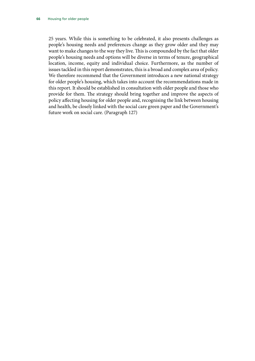25 years. While this is something to be celebrated, it also presents challenges as people's housing needs and preferences change as they grow older and they may want to make changes to the way they live. This is compounded by the fact that older people's housing needs and options will be diverse in terms of tenure, geographical location, income, equity and individual choice. Furthermore, as the number of issues tackled in this report demonstrates, this is a broad and complex area of policy. We therefore recommend that the Government introduces a new national strategy for older people's housing, which takes into account the recommendations made in this report. It should be established in consultation with older people and those who provide for them. The strategy should bring together and improve the aspects of policy affecting housing for older people and, recognising the link between housing and health, be closely linked with the social care green paper and the Government's future work on social care. (Paragraph 127)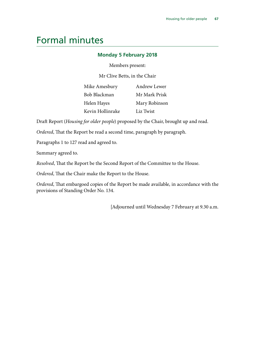# Formal minutes

#### **Monday 5 February 2018**

Members present:

Mr Clive Betts, in the Chair

| Mike Amesbury    | Andrew Lewer  |
|------------------|---------------|
| Bob Blackman     | Mr Mark Prisk |
| Helen Hayes      | Mary Robinson |
| Kevin Hollinrake | Liz Twist     |

Draft Report (*Housing for older people*) proposed by the Chair, brought up and read.

*Ordered*, That the Report be read a second time, paragraph by paragraph.

Paragraphs 1 to 127 read and agreed to.

Summary agreed to.

*Resolved*, That the Report be the Second Report of the Committee to the House.

*Ordered*, That the Chair make the Report to the House.

*Ordered*, That embargoed copies of the Report be made available, in accordance with the provisions of Standing Order No. 134.

[Adjourned until Wednesday 7 February at 9.30 a.m.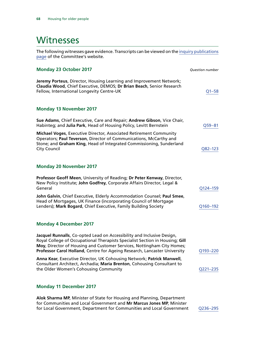# **Witnesses**

The following witnesses gave evidence. Transcripts can be viewed on the [inquiry publications](https://www.parliament.uk/business/committees/committees-a-z/commons-select/communities-and-local-government-committee/inquiries/parliament-2017/housing-for-older-people-17-19/publications/) [page](https://www.parliament.uk/business/committees/committees-a-z/commons-select/communities-and-local-government-committee/inquiries/parliament-2017/housing-for-older-people-17-19/publications/) of the Committee's website.

| <b>Monday 23 October 2017</b>                                                                                                                                                                                                                                                                                 | Question number |
|---------------------------------------------------------------------------------------------------------------------------------------------------------------------------------------------------------------------------------------------------------------------------------------------------------------|-----------------|
| Jeremy Porteus, Director, Housing Learning and Improvement Network;<br>Claudia Wood, Chief Executive, DEMOS; Dr Brian Beach, Senior Research<br>Fellow, International Longevity Centre-UK                                                                                                                     | $Q1 - 58$       |
| <b>Monday 13 November 2017</b>                                                                                                                                                                                                                                                                                |                 |
| Sue Adams, Chief Executive, Care and Repair; Andrew Gibson, Vice Chair,<br>Habinteg; and Julia Park, Head of Housing Policy, Levitt Bernstein                                                                                                                                                                 | $Q59 - 81$      |
| Michael Voges, Executive Director, Associated Retirement Community<br>Operators; Paul Teverson, Director of Communications, McCarthy and<br>Stone; and Graham King, Head of Integrated Commissioning, Sunderland<br><b>City Council</b>                                                                       | $Q82 - 123$     |
| <b>Monday 20 November 2017</b>                                                                                                                                                                                                                                                                                |                 |
| Professor Geoff Meen, University of Reading; Dr Peter Kenway, Director,<br>New Policy Institute; John Godfrey, Corporate Affairs Director, Legal &<br>General                                                                                                                                                 | Q124-159        |
| John Galvin, Chief Executive, Elderly Accommodation Counsel; Paul Smee,<br>Head of Mortgages, UK Finance (incorporating Council of Mortgage<br>Lenders); Mark Bogard, Chief Executive, Family Building Society                                                                                                | Q160-192        |
| <b>Monday 4 December 2017</b>                                                                                                                                                                                                                                                                                 |                 |
| Jacquel Runnalls, Co-opted Lead on Accessibility and Inclusive Design,<br>Royal College of Occupational Therapists Specialist Section in Housing; Gill<br>Moy, Director of Housing and Customer Services, Nottingham City Homes;<br>Professor Carol Holland, Centre for Ageing Research, Lancaster University | Q193-220        |
| Anna Kear, Executive Director, UK Cohousing Network; Patrick Manwell<br>Consultant Architect, Archadia; Maria Brenton, Cohousing Consultant to<br>the Older Women's Cohousing Community                                                                                                                       | Q221-235        |
| <b>Monday 11 December 2017</b>                                                                                                                                                                                                                                                                                |                 |
| Alok Sharma MP, Minister of State for Housing and Planning, Department<br>for Communities and Local Government and Mr Marcus Jones MP, Minister                                                                                                                                                               |                 |

for Local Government, Department for Communities and Local Government [Q236–295](http://data.parliament.uk/writtenevidence/committeeevidence.svc/evidencedocument/communities-and-local-government-committee/housing-for-older-people/oral/75622.html)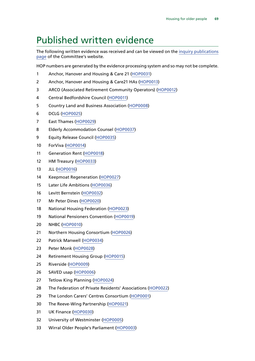## Published written evidence

The following written evidence was received and can be viewed on the [inquiry publications](https://www.parliament.uk/business/committees/committees-a-z/commons-select/communities-and-local-government-committee/inquiries/parliament-2017/housing-for-older-people-17-19/publications/) [page](https://www.parliament.uk/business/committees/committees-a-z/commons-select/communities-and-local-government-committee/inquiries/parliament-2017/housing-for-older-people-17-19/publications/) of the Committee's website.

HOP numbers are generated by the evidence processing system and so may not be complete.

- Anchor, Hanover and Housing & Care 21 ([HOP0031](http://data.parliament.uk/WrittenEvidence/CommitteeEvidence.svc/EvidenceDocument/Communities and Local Government/Housing for older people/written/73985.html))
- Anchor, Hanover and Housing & Care21 HAs [\(HOP0013](http://data.parliament.uk/WrittenEvidence/CommitteeEvidence.svc/EvidenceDocument/Communities and Local Government/Housing for older people/written/70795.html))
- ARCO (Associated Retirement Community Operators) [\(HOP0012](http://data.parliament.uk/WrittenEvidence/CommitteeEvidence.svc/EvidenceDocument/Communities and Local Government/Housing for older people/written/70792.html))
- Central Bedfordshire Council ([HOP0011\)](http://data.parliament.uk/WrittenEvidence/CommitteeEvidence.svc/EvidenceDocument/Communities and Local Government/Housing for older people/written/70790.html)
- Country Land and Business Association [\(HOP0008](http://data.parliament.uk/WrittenEvidence/CommitteeEvidence.svc/EvidenceDocument/Communities and Local Government/Housing for older people/written/70665.html))
- DCLG ([HOP0025](http://data.parliament.uk/WrittenEvidence/CommitteeEvidence.svc/EvidenceDocument/Communities and Local Government/Housing for older people/written/70900.html))
- East Thames [\(HOP0029\)](http://data.parliament.uk/WrittenEvidence/CommitteeEvidence.svc/EvidenceDocument/Communities and Local Government/Housing for older people/written/70929.html)
- Elderly Accommodation Counsel ([HOP0037](http://data.parliament.uk/WrittenEvidence/CommitteeEvidence.svc/EvidenceDocument/Communities and Local Government/Housing for older people/written/77100.html))
- Equity Release Council [\(HOP0035\)](http://data.parliament.uk/WrittenEvidence/CommitteeEvidence.svc/EvidenceDocument/Communities and Local Government/Housing for older people/written/76762.html)
- ForViva ([HOP0014](http://data.parliament.uk/WrittenEvidence/CommitteeEvidence.svc/EvidenceDocument/Communities and Local Government/Housing for older people/written/70835.html))
- Generation Rent [\(HOP0018\)](http://data.parliament.uk/WrittenEvidence/CommitteeEvidence.svc/EvidenceDocument/Communities and Local Government/Housing for older people/written/70861.html)
- HM Treasury [\(HOP0033](http://data.parliament.uk/WrittenEvidence/CommitteeEvidence.svc/EvidenceDocument/Communities and Local Government/Housing for older people/written/75533.html))
- JLL [\(HOP0016](http://data.parliament.uk/WrittenEvidence/CommitteeEvidence.svc/EvidenceDocument/Communities and Local Government/Housing for older people/written/70849.html))
- Keepmoat Regeneration [\(HOP0027\)](http://data.parliament.uk/WrittenEvidence/CommitteeEvidence.svc/EvidenceDocument/Communities and Local Government/Housing for older people/written/70902.html)
- Later Life Ambitions [\(HOP0036](http://data.parliament.uk/WrittenEvidence/CommitteeEvidence.svc/EvidenceDocument/Communities and Local Government/Housing for older people/written/77050.html))
- Levitt Bernstein [\(HOP0032](http://data.parliament.uk/WrittenEvidence/CommitteeEvidence.svc/EvidenceDocument/Communities and Local Government/Housing for older people/written/74783.html))
- Mr Peter Dines ([HOP0020](http://data.parliament.uk/WrittenEvidence/CommitteeEvidence.svc/EvidenceDocument/Communities and Local Government/Housing for older people/written/70866.html))
- National Housing Federation [\(HOP0023\)](http://data.parliament.uk/WrittenEvidence/CommitteeEvidence.svc/EvidenceDocument/Communities and Local Government/Housing for older people/written/70880.html)
- National Pensioners Convention [\(HOP0019\)](http://data.parliament.uk/WrittenEvidence/CommitteeEvidence.svc/EvidenceDocument/Communities and Local Government/Housing for older people/written/70865.html)
- NHBC [\(HOP0010](http://data.parliament.uk/WrittenEvidence/CommitteeEvidence.svc/EvidenceDocument/Communities and Local Government/Housing for older people/written/70770.html))
- Northern Housing Consortium ([HOP0026](http://data.parliament.uk/WrittenEvidence/CommitteeEvidence.svc/EvidenceDocument/Communities and Local Government/Housing for older people/written/70901.html))
- Patrick Manwell [\(HOP0034\)](http://data.parliament.uk/WrittenEvidence/CommitteeEvidence.svc/EvidenceDocument/Communities and Local Government/Housing for older people/written/75574.html)
- Peter Monk [\(HOP0028\)](http://data.parliament.uk/WrittenEvidence/CommitteeEvidence.svc/EvidenceDocument/Communities and Local Government/Housing for older people/written/70910.html)
- Retirement Housing Group ([HOP0015](http://data.parliament.uk/WrittenEvidence/CommitteeEvidence.svc/EvidenceDocument/Communities and Local Government/Housing for older people/written/70837.html))
- Riverside [\(HOP0009](http://data.parliament.uk/WrittenEvidence/CommitteeEvidence.svc/EvidenceDocument/Communities and Local Government/Housing for older people/written/70738.html))
- SAVED usap ([HOP0006\)](http://data.parliament.uk/WrittenEvidence/CommitteeEvidence.svc/EvidenceDocument/Communities and Local Government/Housing for older people/written/70590.html)
- Tetlow King Planning [\(HOP0024\)](http://data.parliament.uk/writtenevidence/committeeevidence.svc/evidencedocument/communities-and-local-government-committee/housing-for-older-people/written/70888.html)
- The Federation of Private Residents' Associations [\(HOP0022\)](http://data.parliament.uk/WrittenEvidence/CommitteeEvidence.svc/EvidenceDocument/Communities and Local Government/Housing for older people/written/70879.html)
- 29 The London Carers' Centres Consortium ([HOP0001\)](http://data.parliament.uk/WrittenEvidence/CommitteeEvidence.svc/EvidenceDocument/Communities and Local Government/Housing for older people/written/70264.html)
- The Reeve-Wing Partnership [\(HOP0021\)](http://data.parliament.uk/WrittenEvidence/CommitteeEvidence.svc/EvidenceDocument/Communities and Local Government/Housing for older people/written/70869.html)
- UK Finance ([HOP0030](http://data.parliament.uk/WrittenEvidence/CommitteeEvidence.svc/EvidenceDocument/Communities and Local Government/Housing for older people/written/70998.html))
- University of Westminster ([HOP0005](http://data.parliament.uk/WrittenEvidence/CommitteeEvidence.svc/EvidenceDocument/Communities and Local Government/Housing for older people/written/70586.html))
- Wirral Older People's Parliament [\(HOP0003\)](http://data.parliament.uk/WrittenEvidence/CommitteeEvidence.svc/EvidenceDocument/Communities and Local Government/Housing for older people/written/70583.html)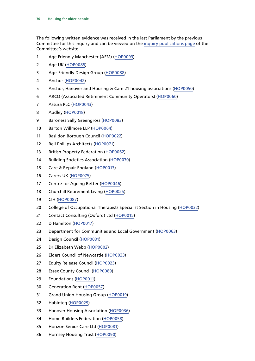The following written evidence was received in the last Parliament by the previous Committee for this inquiry and can be viewed on the [inquiry publications page](http://www.parliament.uk/business/committees/committees-a-z/commons-select/communities-and-local-government-committee/inquiries/parliament-2015/inquiry7/publications/) of the Committee's website.

- Age Friendly Manchester (AFM) [\(HOP0093\)](http://data.parliament.uk/WrittenEvidence/CommitteeEvidence.svc/EvidenceDocument/Communities%20and%20Local%20Government/Housing%20for%20older%20people/written/49833.html)
- Age UK [\(HOP0085\)](http://data.parliament.uk/WrittenEvidence/CommitteeEvidence.svc/EvidenceDocument/Communities%20and%20Local%20Government/Housing%20for%20older%20people/written/49476.html)
- Age-Friendly Design Group ([HOP0088\)](http://data.parliament.uk/WrittenEvidence/CommitteeEvidence.svc/EvidenceDocument/Communities%20and%20Local%20Government/Housing%20for%20older%20people/written/49527.html)
- Anchor ([HOP0042](http://data.parliament.uk/WrittenEvidence/CommitteeEvidence.svc/EvidenceDocument/Communities%20and%20Local%20Government/Housing%20for%20older%20people/written/49290.html))
- Anchor, Hanover and Housing & Care 21 housing associations [\(HOP0050](http://data.parliament.uk/WrittenEvidence/CommitteeEvidence.svc/EvidenceDocument/Communities%20and%20Local%20Government/Housing%20for%20older%20people/written/49307.html))
- ARCO (Associated Retirement Community Operators) [\(HOP0060](http://data.parliament.uk/WrittenEvidence/CommitteeEvidence.svc/EvidenceDocument/Communities%20and%20Local%20Government/Housing%20for%20older%20people/written/49340.html))
- Assura PLC ([HOP0043](http://data.parliament.uk/WrittenEvidence/CommitteeEvidence.svc/EvidenceDocument/Communities%20and%20Local%20Government/Housing%20for%20older%20people/written/49292.html))
- Audley [\(HOP0018](http://data.parliament.uk/WrittenEvidence/CommitteeEvidence.svc/EvidenceDocument/Communities%20and%20Local%20Government/Housing%20for%20older%20people/written/49214.html))
- Baroness Sally Greengross [\(HOP0083](http://data.parliament.uk/WrittenEvidence/CommitteeEvidence.svc/EvidenceDocument/Communities%20and%20Local%20Government/Housing%20for%20older%20people/written/49457.html))
- Barton Willmore LLP ([HOP0064\)](http://data.parliament.uk/WrittenEvidence/CommitteeEvidence.svc/EvidenceDocument/Communities%20and%20Local%20Government/Housing%20for%20older%20people/written/49348.html)
- Basildon Borough Council ([HOP0022](http://data.parliament.uk/WrittenEvidence/CommitteeEvidence.svc/EvidenceDocument/Communities%20and%20Local%20Government/Housing%20for%20older%20people/written/49222.html))
- Bell Phillips Architects ([HOP0071](http://data.parliament.uk/WrittenEvidence/CommitteeEvidence.svc/EvidenceDocument/Communities%20and%20Local%20Government/Housing%20for%20older%20people/written/49358.html))
- British Property Federation [\(HOP0062\)](http://data.parliament.uk/WrittenEvidence/CommitteeEvidence.svc/EvidenceDocument/Communities%20and%20Local%20Government/Housing%20for%20older%20people/written/49344.html)
- Building Societies Association [\(HOP0070\)](http://data.parliament.uk/WrittenEvidence/CommitteeEvidence.svc/EvidenceDocument/Communities%20and%20Local%20Government/Housing%20for%20older%20people/written/49357.html)
- Care & Repair England ([HOP0013](http://data.parliament.uk/WrittenEvidence/CommitteeEvidence.svc/EvidenceDocument/Communities%20and%20Local%20Government/Housing%20for%20older%20people/written/49171.html))
- Carers UK [\(HOP0075\)](http://data.parliament.uk/WrittenEvidence/CommitteeEvidence.svc/EvidenceDocument/Communities%20and%20Local%20Government/Housing%20for%20older%20people/written/49367.html)
- Centre for Ageing Better [\(HOP0046](http://data.parliament.uk/WrittenEvidence/CommitteeEvidence.svc/EvidenceDocument/Communities%20and%20Local%20Government/Housing%20for%20older%20people/written/49298.html))
- Churchill Retirement Living [\(HOP0025\)](http://data.parliament.uk/WrittenEvidence/CommitteeEvidence.svc/EvidenceDocument/Communities%20and%20Local%20Government/Housing%20for%20older%20people/written/49242.html)
- CIH ([HOP0087\)](http://data.parliament.uk/WrittenEvidence/CommitteeEvidence.svc/EvidenceDocument/Communities%20and%20Local%20Government/Housing%20for%20older%20people/written/49525.html)
- College of Occupational Therapists Specialist Section in Housing ([HOP0032](http://data.parliament.uk/WrittenEvidence/CommitteeEvidence.svc/EvidenceDocument/Communities%20and%20Local%20Government/Housing%20for%20older%20people/written/49266.html))
- Contact Consulting (Oxford) Ltd [\(HOP0015](http://data.parliament.uk/WrittenEvidence/CommitteeEvidence.svc/EvidenceDocument/Communities%20and%20Local%20Government/Housing%20for%20older%20people/written/49203.html))
- D Hamilton ([HOP0017\)](http://data.parliament.uk/WrittenEvidence/CommitteeEvidence.svc/EvidenceDocument/Communities%20and%20Local%20Government/Housing%20for%20older%20people/written/49205.html)
- Department for Communities and Local Government ([HOP0063](http://data.parliament.uk/WrittenEvidence/CommitteeEvidence.svc/EvidenceDocument/Communities%20and%20Local%20Government/Housing%20for%20older%20people/written/49346.html))
- Design Council ([HOP0031](http://data.parliament.uk/WrittenEvidence/CommitteeEvidence.svc/EvidenceDocument/Communities%20and%20Local%20Government/Housing%20for%20older%20people/written/49265.html))
- Dr Elizabeth Webb [\(HOP0002\)](http://data.parliament.uk/WrittenEvidence/CommitteeEvidence.svc/EvidenceDocument/Communities%20and%20Local%20Government/Housing%20for%20older%20people/written/46814.html)
- Elders Council of Newcastle [\(HOP0033](http://data.parliament.uk/WrittenEvidence/CommitteeEvidence.svc/EvidenceDocument/Communities%20and%20Local%20Government/Housing%20for%20older%20people/written/49272.html))
- Equity Release Council [\(HOP0023\)](http://data.parliament.uk/WrittenEvidence/CommitteeEvidence.svc/EvidenceDocument/Communities%20and%20Local%20Government/Housing%20for%20older%20people/written/49231.html)
- Essex County Council [\(HOP0089](http://data.parliament.uk/WrittenEvidence/CommitteeEvidence.svc/EvidenceDocument/Communities%20and%20Local%20Government/Housing%20for%20older%20people/written/49531.html))
- Foundations [\(HOP0011](http://data.parliament.uk/WrittenEvidence/CommitteeEvidence.svc/EvidenceDocument/Communities%20and%20Local%20Government/Housing%20for%20older%20people/written/49158.html))
- Generation Rent [\(HOP0057\)](http://data.parliament.uk/WrittenEvidence/CommitteeEvidence.svc/EvidenceDocument/Communities%20and%20Local%20Government/Housing%20for%20older%20people/written/49329.html)
- Grand Union Housing Group [\(HOP0019\)](http://data.parliament.uk/WrittenEvidence/CommitteeEvidence.svc/EvidenceDocument/Communities%20and%20Local%20Government/Housing%20for%20older%20people/written/49215.html)
- Habinteg [\(HOP0029](http://data.parliament.uk/WrittenEvidence/CommitteeEvidence.svc/EvidenceDocument/Communities%20and%20Local%20Government/Housing%20for%20older%20people/written/49260.html))
- Hanover Housing Association [\(HOP0036](http://data.parliament.uk/WrittenEvidence/CommitteeEvidence.svc/EvidenceDocument/Communities%20and%20Local%20Government/Housing%20for%20older%20people/written/49281.html))
- Home Builders Federation [\(HOP0058](http://data.parliament.uk/WrittenEvidence/CommitteeEvidence.svc/EvidenceDocument/Communities%20and%20Local%20Government/Housing%20for%20older%20people/written/49334.html))
- Horizon Senior Care Ltd ([HOP0081\)](http://data.parliament.uk/WrittenEvidence/CommitteeEvidence.svc/EvidenceDocument/Communities%20and%20Local%20Government/Housing%20for%20older%20people/written/49408.html)
- Hornsey Housing Trust ([HOP0090\)](http://data.parliament.uk/WrittenEvidence/CommitteeEvidence.svc/EvidenceDocument/Communities%20and%20Local%20Government/Housing%20for%20older%20people/written/49624.html)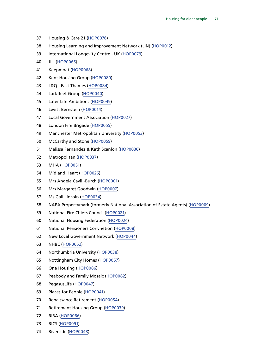- Housing & Care 21 ([HOP0076\)](http://data.parliament.uk/WrittenEvidence/CommitteeEvidence.svc/EvidenceDocument/Communities%20and%20Local%20Government/Housing%20for%20older%20people/written/49371.html)
- Housing Learning and Improvement Network (LIN) [\(HOP0012\)](http://data.parliament.uk/WrittenEvidence/CommitteeEvidence.svc/EvidenceDocument/Communities%20and%20Local%20Government/Housing%20for%20older%20people/written/49166.html)
- International Longevity Centre UK [\(HOP0079\)](http://data.parliament.uk/WrittenEvidence/CommitteeEvidence.svc/EvidenceDocument/Communities%20and%20Local%20Government/Housing%20for%20older%20people/written/49390.html)
- JLL [\(HOP0065](http://data.parliament.uk/WrittenEvidence/CommitteeEvidence.svc/EvidenceDocument/Communities%20and%20Local%20Government/Housing%20for%20older%20people/written/49351.html))
- Keepmoat [\(HOP0068\)](http://data.parliament.uk/WrittenEvidence/CommitteeEvidence.svc/EvidenceDocument/Communities%20and%20Local%20Government/Housing%20for%20older%20people/written/49355.html)
- Kent Housing Group [\(HOP0080](http://data.parliament.uk/WrittenEvidence/CommitteeEvidence.svc/EvidenceDocument/Communities%20and%20Local%20Government/Housing%20for%20older%20people/written/49397.html))
- L&Q East Thames [\(HOP0084](http://data.parliament.uk/WrittenEvidence/CommitteeEvidence.svc/EvidenceDocument/Communities%20and%20Local%20Government/Housing%20for%20older%20people/written/49467.html))
- Larkfleet Group [\(HOP0040](http://data.parliament.uk/WrittenEvidence/CommitteeEvidence.svc/EvidenceDocument/Communities%20and%20Local%20Government/Housing%20for%20older%20people/written/49285.html))
- Later Life Ambitions [\(HOP0049](http://data.parliament.uk/WrittenEvidence/CommitteeEvidence.svc/EvidenceDocument/Communities%20and%20Local%20Government/Housing%20for%20older%20people/written/49306.html))
- Levitt Bernstein [\(HOP0014\)](http://data.parliament.uk/WrittenEvidence/CommitteeEvidence.svc/EvidenceDocument/Communities%20and%20Local%20Government/Housing%20for%20older%20people/written/49197.html)
- Local Government Association [\(HOP0027\)](http://data.parliament.uk/WrittenEvidence/CommitteeEvidence.svc/EvidenceDocument/Communities%20and%20Local%20Government/Housing%20for%20older%20people/written/49258.html)
- London Fire Brigade [\(HOP0055\)](http://data.parliament.uk/WrittenEvidence/CommitteeEvidence.svc/EvidenceDocument/Communities%20and%20Local%20Government/Housing%20for%20older%20people/written/49321.html)
- Manchester Metropolitan University [\(HOP0053\)](http://data.parliament.uk/WrittenEvidence/CommitteeEvidence.svc/EvidenceDocument/Communities%20and%20Local%20Government/Housing%20for%20older%20people/written/49318.html)
- McCarthy and Stone ([HOP0059\)](http://data.parliament.uk/WrittenEvidence/CommitteeEvidence.svc/EvidenceDocument/Communities%20and%20Local%20Government/Housing%20for%20older%20people/written/49339.html)
- Melissa Fernandez & Kath Scanlon ([HOP0030](http://data.parliament.uk/WrittenEvidence/CommitteeEvidence.svc/EvidenceDocument/Communities%20and%20Local%20Government/Housing%20for%20older%20people/written/49262.html))
- Metropolitan [\(HOP0037\)](http://data.parliament.uk/WrittenEvidence/CommitteeEvidence.svc/EvidenceDocument/Communities%20and%20Local%20Government/Housing%20for%20older%20people/written/49282.html)
- MHA [\(HOP0051](http://data.parliament.uk/WrittenEvidence/CommitteeEvidence.svc/EvidenceDocument/Communities%20and%20Local%20Government/Housing%20for%20older%20people/written/49313.html))
- Midland Heart ([HOP0026](http://data.parliament.uk/WrittenEvidence/CommitteeEvidence.svc/EvidenceDocument/Communities%20and%20Local%20Government/Housing%20for%20older%20people/written/49244.html))
- Mrs Angela Cavill-Burch [\(HOP0001\)](http://data.parliament.uk/WrittenEvidence/CommitteeEvidence.svc/EvidenceDocument/Communities%20and%20Local%20Government/Housing%20for%20older%20people/written/46688.html)
- Mrs Margaret Goodwin ([HOP0007](http://data.parliament.uk/WrittenEvidence/CommitteeEvidence.svc/EvidenceDocument/Communities%20and%20Local%20Government/Housing%20for%20older%20people/written/48782.html))
- Ms Gail Lincoln [\(HOP0034\)](http://data.parliament.uk/WrittenEvidence/CommitteeEvidence.svc/EvidenceDocument/Communities%20and%20Local%20Government/Housing%20for%20older%20people/written/49274.html)
- NAEA Propertymark (formerly National Association of Estate Agents) [\(HOP0009](http://data.parliament.uk/WrittenEvidence/CommitteeEvidence.svc/EvidenceDocument/Communities%20and%20Local%20Government/Housing%20for%20older%20people/written/49075.html))
- National Fire Chiefs Council [\(HOP0021\)](http://data.parliament.uk/WrittenEvidence/CommitteeEvidence.svc/EvidenceDocument/Communities%20and%20Local%20Government/Housing%20for%20older%20people/written/49220.html)
- National Housing Federation [\(HOP0024\)](http://data.parliament.uk/WrittenEvidence/CommitteeEvidence.svc/EvidenceDocument/Communities%20and%20Local%20Government/Housing%20for%20older%20people/written/49241.html)
- National Pensioners Convnetion [\(HOP0008](http://data.parliament.uk/WrittenEvidence/CommitteeEvidence.svc/EvidenceDocument/Communities%20and%20Local%20Government/Housing%20for%20older%20people/written/48851.html))
- New Local Government Network ([HOP0044\)](http://data.parliament.uk/WrittenEvidence/CommitteeEvidence.svc/EvidenceDocument/Communities%20and%20Local%20Government/Housing%20for%20older%20people/written/49293.html)
- NHBC [\(HOP0052\)](http://data.parliament.uk/WrittenEvidence/CommitteeEvidence.svc/EvidenceDocument/Communities%20and%20Local%20Government/Housing%20for%20older%20people/written/49316.html)
- Northumbria University [\(HOP0038\)](http://data.parliament.uk/WrittenEvidence/CommitteeEvidence.svc/EvidenceDocument/Communities%20and%20Local%20Government/Housing%20for%20older%20people/written/49283.html)
- Nottingham City Homes [\(HOP0067](http://data.parliament.uk/WrittenEvidence/CommitteeEvidence.svc/EvidenceDocument/Communities%20and%20Local%20Government/Housing%20for%20older%20people/written/49354.html))
- One Housing [\(HOP0086](http://data.parliament.uk/WrittenEvidence/CommitteeEvidence.svc/EvidenceDocument/Communities%20and%20Local%20Government/Housing%20for%20older%20people/written/49480.html))
- Peabody and Family Mosaic [\(HOP0082](http://data.parliament.uk/WrittenEvidence/CommitteeEvidence.svc/EvidenceDocument/Communities%20and%20Local%20Government/Housing%20for%20older%20people/written/49418.html))
- PegasusLife ([HOP0047\)](http://data.parliament.uk/WrittenEvidence/CommitteeEvidence.svc/EvidenceDocument/Communities%20and%20Local%20Government/Housing%20for%20older%20people/written/49299.html)
- Places for People ([HOP0041\)](http://data.parliament.uk/WrittenEvidence/CommitteeEvidence.svc/EvidenceDocument/Communities%20and%20Local%20Government/Housing%20for%20older%20people/written/49287.html)
- Renaissance Retirement ([HOP0054](http://data.parliament.uk/WrittenEvidence/CommitteeEvidence.svc/EvidenceDocument/Communities%20and%20Local%20Government/Housing%20for%20older%20people/written/49319.html))
- Retirement Housing Group ([HOP0039\)](http://data.parliament.uk/WrittenEvidence/CommitteeEvidence.svc/EvidenceDocument/Communities%20and%20Local%20Government/Housing%20for%20older%20people/written/49284.html)
- RIBA ([HOP0066\)](http://data.parliament.uk/WrittenEvidence/CommitteeEvidence.svc/EvidenceDocument/Communities%20and%20Local%20Government/Housing%20for%20older%20people/written/49353.html)
- RICS ([HOP0091\)](http://data.parliament.uk/WrittenEvidence/CommitteeEvidence.svc/EvidenceDocument/Communities%20and%20Local%20Government/Housing%20for%20older%20people/written/49656.html)
- Riverside [\(HOP0048\)](http://data.parliament.uk/WrittenEvidence/CommitteeEvidence.svc/EvidenceDocument/Communities%20and%20Local%20Government/Housing%20for%20older%20people/written/49303.html)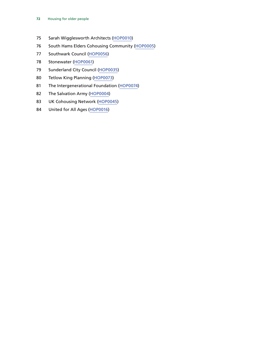- Sarah Wigglesworth Architects [\(HOP0010](http://data.parliament.uk/WrittenEvidence/CommitteeEvidence.svc/EvidenceDocument/Communities%20and%20Local%20Government/Housing%20for%20older%20people/written/49112.html))
- South Hams Elders Cohousing Community ([HOP0005\)](http://data.parliament.uk/WrittenEvidence/CommitteeEvidence.svc/EvidenceDocument/Communities%20and%20Local%20Government/Housing%20for%20older%20people/written/47065.html)
- Southwark Council [\(HOP0056](http://data.parliament.uk/WrittenEvidence/CommitteeEvidence.svc/EvidenceDocument/Communities%20and%20Local%20Government/Housing%20for%20older%20people/written/49326.html))
- Stonewater [\(HOP0061\)](http://data.parliament.uk/WrittenEvidence/CommitteeEvidence.svc/EvidenceDocument/Communities%20and%20Local%20Government/Housing%20for%20older%20people/written/49341.html)
- Sunderland City Council [\(HOP0035\)](http://data.parliament.uk/WrittenEvidence/CommitteeEvidence.svc/EvidenceDocument/Communities%20and%20Local%20Government/Housing%20for%20older%20people/written/49278.html)
- Tetlow King Planning [\(HOP0073\)](http://data.parliament.uk/WrittenEvidence/CommitteeEvidence.svc/EvidenceDocument/Communities%20and%20Local%20Government/Housing%20for%20older%20people/written/49360.html)
- The Intergenerational Foundation [\(HOP0074\)](http://data.parliament.uk/WrittenEvidence/CommitteeEvidence.svc/EvidenceDocument/Communities%20and%20Local%20Government/Housing%20for%20older%20people/written/49365.html)
- The Salvation Army [\(HOP0004](http://data.parliament.uk/WrittenEvidence/CommitteeEvidence.svc/EvidenceDocument/Communities%20and%20Local%20Government/Housing%20for%20older%20people/written/46973.html))
- UK Cohousing Network ([HOP0045\)](http://data.parliament.uk/WrittenEvidence/CommitteeEvidence.svc/EvidenceDocument/Communities%20and%20Local%20Government/Housing%20for%20older%20people/written/49295.html)
- United for All Ages [\(HOP0016](http://data.parliament.uk/WrittenEvidence/CommitteeEvidence.svc/EvidenceDocument/Communities%20and%20Local%20Government/Housing%20for%20older%20people/written/49204.html))